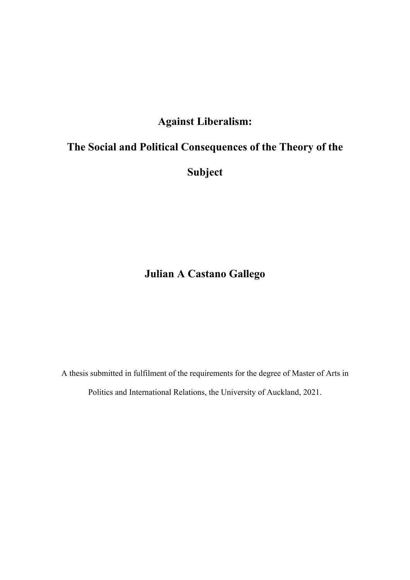## **Against Liberalism:**

# **The Social and Political Consequences of the Theory of the**

**Subject** 

**Julian A Castano Gallego**

A thesis submitted in fulfilment of the requirements for the degree of Master of Arts in Politics and International Relations, the University of Auckland, 2021.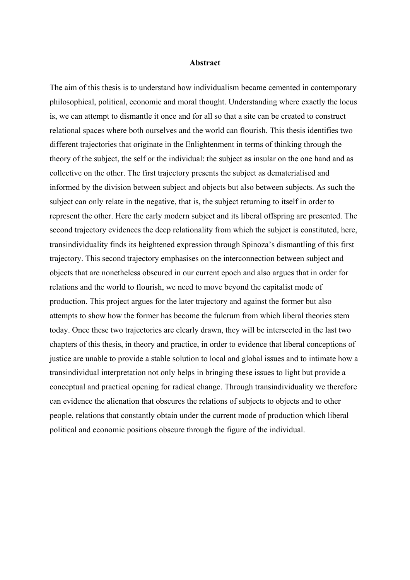#### **Abstract**

The aim of this thesis is to understand how individualism became cemented in contemporary philosophical, political, economic and moral thought. Understanding where exactly the locus is, we can attempt to dismantle it once and for all so that a site can be created to construct relational spaces where both ourselves and the world can flourish. This thesis identifies two different trajectories that originate in the Enlightenment in terms of thinking through the theory of the subject, the self or the individual: the subject as insular on the one hand and as collective on the other. The first trajectory presents the subject as dematerialised and informed by the division between subject and objects but also between subjects. As such the subject can only relate in the negative, that is, the subject returning to itself in order to represent the other. Here the early modern subject and its liberal offspring are presented. The second trajectory evidences the deep relationality from which the subject is constituted, here, transindividuality finds its heightened expression through Spinoza's dismantling of this first trajectory. This second trajectory emphasises on the interconnection between subject and objects that are nonetheless obscured in our current epoch and also argues that in order for relations and the world to flourish, we need to move beyond the capitalist mode of production. This project argues for the later trajectory and against the former but also attempts to show how the former has become the fulcrum from which liberal theories stem today. Once these two trajectories are clearly drawn, they will be intersected in the last two chapters of this thesis, in theory and practice, in order to evidence that liberal conceptions of justice are unable to provide a stable solution to local and global issues and to intimate how a transindividual interpretation not only helps in bringing these issues to light but provide a conceptual and practical opening for radical change. Through transindividuality we therefore can evidence the alienation that obscures the relations of subjects to objects and to other people, relations that constantly obtain under the current mode of production which liberal political and economic positions obscure through the figure of the individual.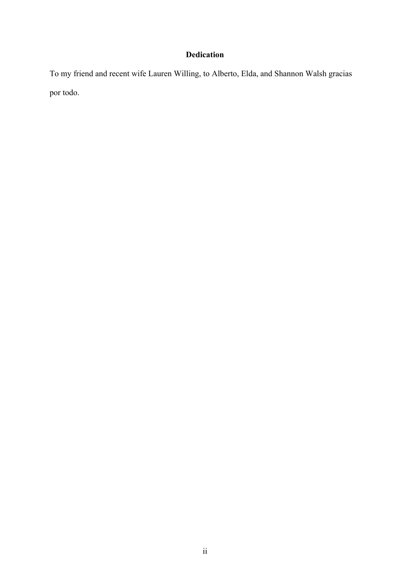### **Dedication**

To my friend and recent wife Lauren Willing, to Alberto, Elda, and Shannon Walsh gracias por todo.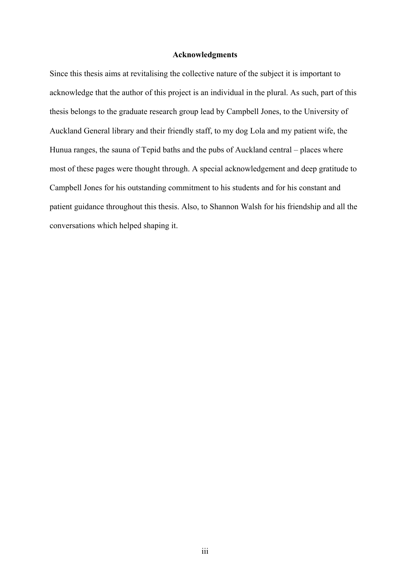#### **Acknowledgments**

Since this thesis aims at revitalising the collective nature of the subject it is important to acknowledge that the author of this project is an individual in the plural. As such, part of this thesis belongs to the graduate research group lead by Campbell Jones, to the University of Auckland General library and their friendly staff, to my dog Lola and my patient wife, the Hunua ranges, the sauna of Tepid baths and the pubs of Auckland central – places where most of these pages were thought through. A special acknowledgement and deep gratitude to Campbell Jones for his outstanding commitment to his students and for his constant and patient guidance throughout this thesis. Also, to Shannon Walsh for his friendship and all the conversations which helped shaping it.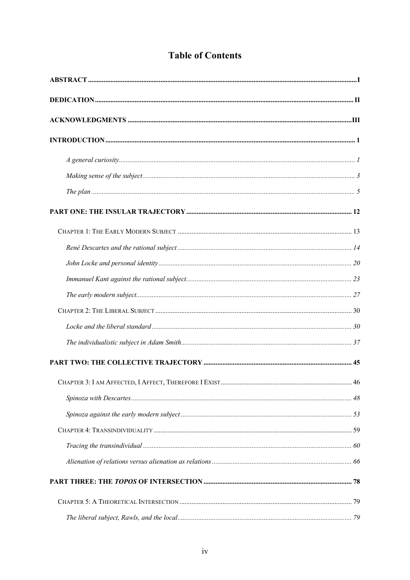## **Table of Contents**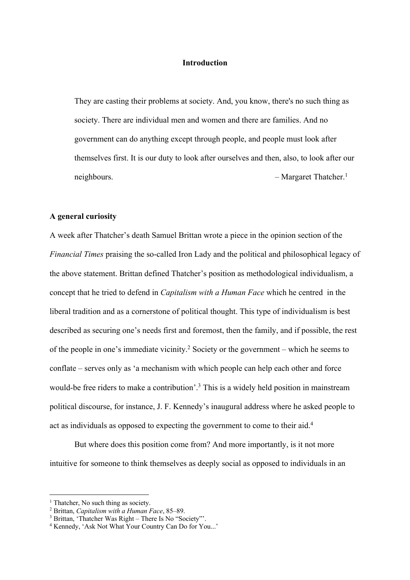#### **Introduction**

They are casting their problems at society. And, you know, there's no such thing as society. There are individual men and women and there are families. And no government can do anything except through people, and people must look after themselves first. It is our duty to look after ourselves and then, also, to look after our neighbours. – Margaret Thatcher.<sup>1</sup>

#### **A general curiosity**

A week after Thatcher's death Samuel Brittan wrote a piece in the opinion section of the *Financial Times* praising the so-called Iron Lady and the political and philosophical legacy of the above statement. Brittan defined Thatcher's position as methodological individualism, a concept that he tried to defend in *Capitalism with a Human Face* which he centred in the liberal tradition and as a cornerstone of political thought. This type of individualism is best described as securing one's needs first and foremost, then the family, and if possible, the rest of the people in one's immediate vicinity.2 Society or the government – which he seems to conflate – serves only as 'a mechanism with which people can help each other and force would-be free riders to make a contribution'. <sup>3</sup> This is a widely held position in mainstream political discourse, for instance, J. F. Kennedy's inaugural address where he asked people to act as individuals as opposed to expecting the government to come to their aid.4

But where does this position come from? And more importantly, is it not more intuitive for someone to think themselves as deeply social as opposed to individuals in an

 $<sup>1</sup>$  Thatcher, No such thing as society.</sup>

<sup>2</sup> Brittan, *Capitalism with a Human Face*, 85–89.

<sup>3</sup> Brittan, 'Thatcher Was Right – There Is No "Society"'.

<sup>4</sup> Kennedy, 'Ask Not What Your Country Can Do for You...'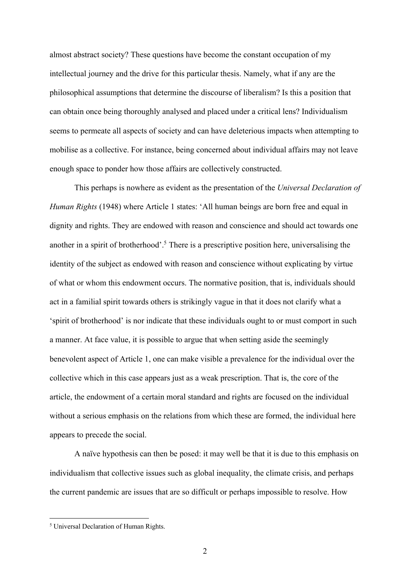almost abstract society? These questions have become the constant occupation of my intellectual journey and the drive for this particular thesis. Namely, what if any are the philosophical assumptions that determine the discourse of liberalism? Is this a position that can obtain once being thoroughly analysed and placed under a critical lens? Individualism seems to permeate all aspects of society and can have deleterious impacts when attempting to mobilise as a collective. For instance, being concerned about individual affairs may not leave enough space to ponder how those affairs are collectively constructed.

This perhaps is nowhere as evident as the presentation of the *Universal Declaration of Human Rights* (1948) where Article 1 states: 'All human beings are born free and equal in dignity and rights. They are endowed with reason and conscience and should act towards one another in a spirit of brotherhood'.<sup>5</sup> There is a prescriptive position here, universalising the identity of the subject as endowed with reason and conscience without explicating by virtue of what or whom this endowment occurs. The normative position, that is, individuals should act in a familial spirit towards others is strikingly vague in that it does not clarify what a 'spirit of brotherhood' is nor indicate that these individuals ought to or must comport in such a manner. At face value, it is possible to argue that when setting aside the seemingly benevolent aspect of Article 1, one can make visible a prevalence for the individual over the collective which in this case appears just as a weak prescription. That is, the core of the article, the endowment of a certain moral standard and rights are focused on the individual without a serious emphasis on the relations from which these are formed, the individual here appears to precede the social.

A naïve hypothesis can then be posed: it may well be that it is due to this emphasis on individualism that collective issues such as global inequality, the climate crisis, and perhaps the current pandemic are issues that are so difficult or perhaps impossible to resolve. How

<sup>5</sup> Universal Declaration of Human Rights.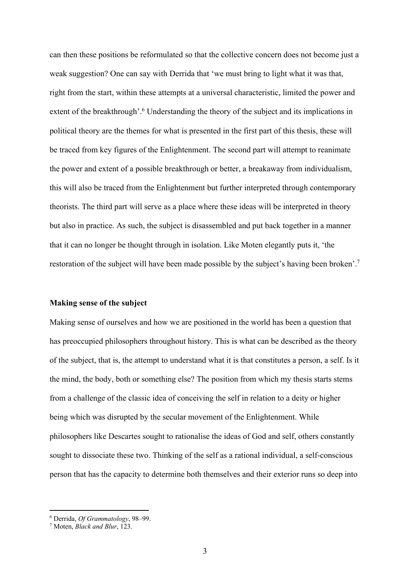can then these positions be reformulated so that the collective concern does not become just a weak suggestion? One can say with Derrida that 'we must bring to light what it was that, right from the start, within these attempts at a universal characteristic, limited the power and extent of the breakthrough'.<sup>6</sup> Understanding the theory of the subject and its implications in political theory are the themes for what is presented in the first part of this thesis, these will be traced from key figures of the Enlightenment. The second part will attempt to reanimate the power and extent of a possible breakthrough or better, a breakaway from individualism, this will also be traced from the Enlightenment but further interpreted through contemporary theorists. The third part will serve as a place where these ideas will be interpreted in theory but also in practice. As such, the subject is disassembled and put back together in a manner that it can no longer be thought through in isolation. Like Moten elegantly puts it, 'the restoration of the subject will have been made possible by the subject's having been broken'.7

#### **Making sense of the subject**

Making sense of ourselves and how we are positioned in the world has been a question that has preoccupied philosophers throughout history. This is what can be described as the theory of the subject, that is, the attempt to understand what it is that constitutes a person, a self. Is it the mind, the body, both or something else? The position from which my thesis starts stems from a challenge of the classic idea of conceiving the self in relation to a deity or higher being which was disrupted by the secular movement of the Enlightenment. While philosophers like Descartes sought to rationalise the ideas of God and self, others constantly sought to dissociate these two. Thinking of the self as a rational individual, a self-conscious person that has the capacity to determine both themselves and their exterior runs so deep into

<sup>6</sup> Derrida, *Of Grammatology*, 98–99.

<sup>7</sup> Moten, *Black and Blur*, 123.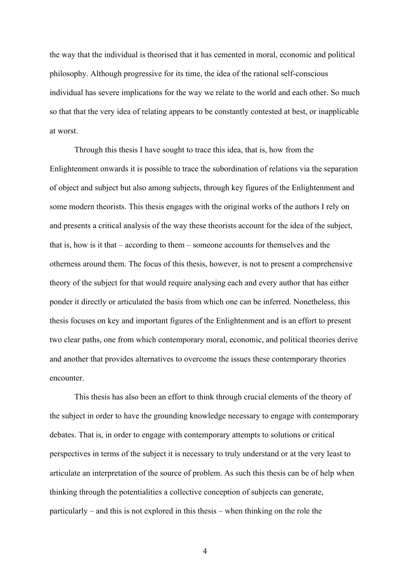the way that the individual is theorised that it has cemented in moral, economic and political philosophy. Although progressive for its time, the idea of the rational self-conscious individual has severe implications for the way we relate to the world and each other. So much so that that the very idea of relating appears to be constantly contested at best, or inapplicable at worst.

Through this thesis I have sought to trace this idea, that is, how from the Enlightenment onwards it is possible to trace the subordination of relations via the separation of object and subject but also among subjects, through key figures of the Enlightenment and some modern theorists. This thesis engages with the original works of the authors I rely on and presents a critical analysis of the way these theorists account for the idea of the subject, that is, how is it that – according to them – someone accounts for themselves and the otherness around them. The focus of this thesis, however, is not to present a comprehensive theory of the subject for that would require analysing each and every author that has either ponder it directly or articulated the basis from which one can be inferred. Nonetheless, this thesis focuses on key and important figures of the Enlightenment and is an effort to present two clear paths, one from which contemporary moral, economic, and political theories derive and another that provides alternatives to overcome the issues these contemporary theories encounter.

This thesis has also been an effort to think through crucial elements of the theory of the subject in order to have the grounding knowledge necessary to engage with contemporary debates. That is, in order to engage with contemporary attempts to solutions or critical perspectives in terms of the subject it is necessary to truly understand or at the very least to articulate an interpretation of the source of problem. As such this thesis can be of help when thinking through the potentialities a collective conception of subjects can generate, particularly – and this is not explored in this thesis – when thinking on the role the

4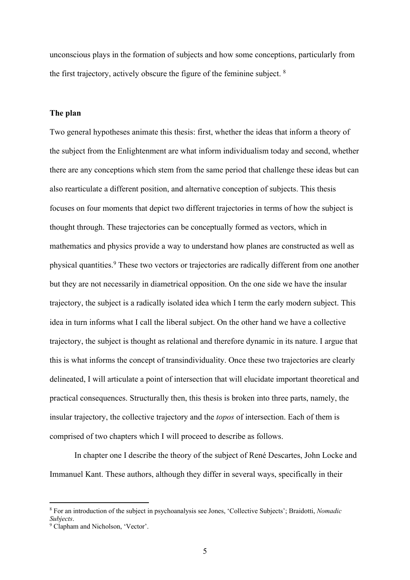unconscious plays in the formation of subjects and how some conceptions, particularly from the first trajectory, actively obscure the figure of the feminine subject. <sup>8</sup>

#### **The plan**

Two general hypotheses animate this thesis: first, whether the ideas that inform a theory of the subject from the Enlightenment are what inform individualism today and second, whether there are any conceptions which stem from the same period that challenge these ideas but can also rearticulate a different position, and alternative conception of subjects. This thesis focuses on four moments that depict two different trajectories in terms of how the subject is thought through. These trajectories can be conceptually formed as vectors, which in mathematics and physics provide a way to understand how planes are constructed as well as physical quantities. <sup>9</sup> These two vectors or trajectories are radically different from one another but they are not necessarily in diametrical opposition. On the one side we have the insular trajectory, the subject is a radically isolated idea which I term the early modern subject. This idea in turn informs what I call the liberal subject. On the other hand we have a collective trajectory, the subject is thought as relational and therefore dynamic in its nature. I argue that this is what informs the concept of transindividuality. Once these two trajectories are clearly delineated, I will articulate a point of intersection that will elucidate important theoretical and practical consequences. Structurally then, this thesis is broken into three parts, namely, the insular trajectory, the collective trajectory and the *topos* of intersection. Each of them is comprised of two chapters which I will proceed to describe as follows.

In chapter one I describe the theory of the subject of René Descartes, John Locke and Immanuel Kant. These authors, although they differ in several ways, specifically in their

<sup>8</sup> For an introduction of the subject in psychoanalysis see Jones, 'Collective Subjects'; Braidotti, *Nomadic Subjects*.

<sup>&</sup>lt;sup>9</sup> Clapham and Nicholson, 'Vector'.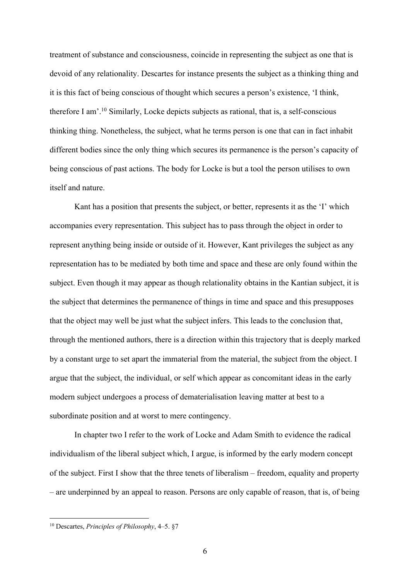treatment of substance and consciousness, coincide in representing the subject as one that is devoid of any relationality. Descartes for instance presents the subject as a thinking thing and it is this fact of being conscious of thought which secures a person's existence, 'I think, therefore I am'.10 Similarly, Locke depicts subjects as rational, that is, a self-conscious thinking thing. Nonetheless, the subject, what he terms person is one that can in fact inhabit different bodies since the only thing which secures its permanence is the person's capacity of being conscious of past actions. The body for Locke is but a tool the person utilises to own itself and nature.

Kant has a position that presents the subject, or better, represents it as the 'I' which accompanies every representation. This subject has to pass through the object in order to represent anything being inside or outside of it. However, Kant privileges the subject as any representation has to be mediated by both time and space and these are only found within the subject. Even though it may appear as though relationality obtains in the Kantian subject, it is the subject that determines the permanence of things in time and space and this presupposes that the object may well be just what the subject infers. This leads to the conclusion that, through the mentioned authors, there is a direction within this trajectory that is deeply marked by a constant urge to set apart the immaterial from the material, the subject from the object. I argue that the subject, the individual, or self which appear as concomitant ideas in the early modern subject undergoes a process of dematerialisation leaving matter at best to a subordinate position and at worst to mere contingency.

In chapter two I refer to the work of Locke and Adam Smith to evidence the radical individualism of the liberal subject which, I argue, is informed by the early modern concept of the subject. First I show that the three tenets of liberalism – freedom, equality and property – are underpinned by an appeal to reason. Persons are only capable of reason, that is, of being

<sup>10</sup> Descartes, *Principles of Philosophy*, 4–5. §7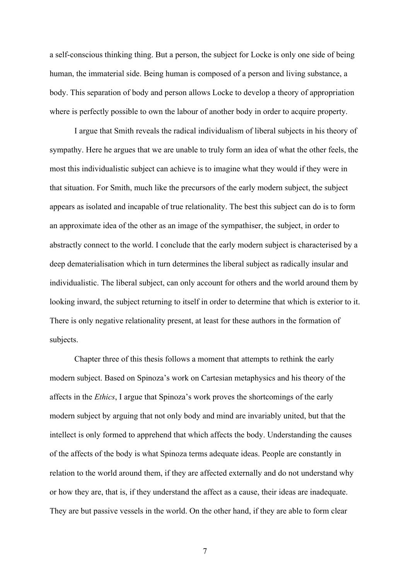a self-conscious thinking thing. But a person, the subject for Locke is only one side of being human, the immaterial side. Being human is composed of a person and living substance, a body. This separation of body and person allows Locke to develop a theory of appropriation where is perfectly possible to own the labour of another body in order to acquire property.

I argue that Smith reveals the radical individualism of liberal subjects in his theory of sympathy. Here he argues that we are unable to truly form an idea of what the other feels, the most this individualistic subject can achieve is to imagine what they would if they were in that situation. For Smith, much like the precursors of the early modern subject, the subject appears as isolated and incapable of true relationality. The best this subject can do is to form an approximate idea of the other as an image of the sympathiser, the subject, in order to abstractly connect to the world. I conclude that the early modern subject is characterised by a deep dematerialisation which in turn determines the liberal subject as radically insular and individualistic. The liberal subject, can only account for others and the world around them by looking inward, the subject returning to itself in order to determine that which is exterior to it. There is only negative relationality present, at least for these authors in the formation of subjects.

Chapter three of this thesis follows a moment that attempts to rethink the early modern subject. Based on Spinoza's work on Cartesian metaphysics and his theory of the affects in the *Ethics*, I argue that Spinoza's work proves the shortcomings of the early modern subject by arguing that not only body and mind are invariably united, but that the intellect is only formed to apprehend that which affects the body. Understanding the causes of the affects of the body is what Spinoza terms adequate ideas. People are constantly in relation to the world around them, if they are affected externally and do not understand why or how they are, that is, if they understand the affect as a cause, their ideas are inadequate. They are but passive vessels in the world. On the other hand, if they are able to form clear

7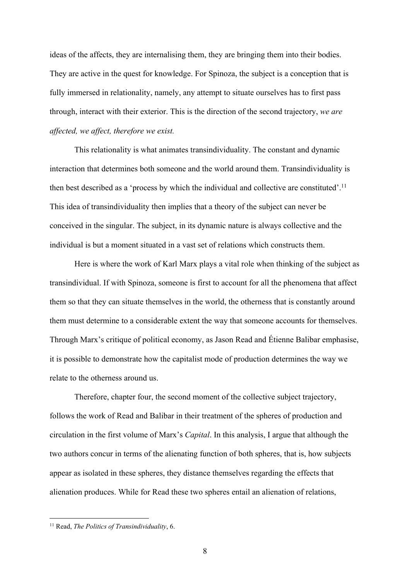ideas of the affects, they are internalising them, they are bringing them into their bodies. They are active in the quest for knowledge. For Spinoza, the subject is a conception that is fully immersed in relationality, namely, any attempt to situate ourselves has to first pass through, interact with their exterior. This is the direction of the second trajectory, *we are affected, we affect, therefore we exist.*

This relationality is what animates transindividuality. The constant and dynamic interaction that determines both someone and the world around them. Transindividuality is then best described as a 'process by which the individual and collective are constituted'.11 This idea of transindividuality then implies that a theory of the subject can never be conceived in the singular. The subject, in its dynamic nature is always collective and the individual is but a moment situated in a vast set of relations which constructs them.

Here is where the work of Karl Marx plays a vital role when thinking of the subject as transindividual. If with Spinoza, someone is first to account for all the phenomena that affect them so that they can situate themselves in the world, the otherness that is constantly around them must determine to a considerable extent the way that someone accounts for themselves. Through Marx's critique of political economy, as Jason Read and Étienne Balibar emphasise, it is possible to demonstrate how the capitalist mode of production determines the way we relate to the otherness around us.

Therefore, chapter four, the second moment of the collective subject trajectory, follows the work of Read and Balibar in their treatment of the spheres of production and circulation in the first volume of Marx's *Capital*. In this analysis, I argue that although the two authors concur in terms of the alienating function of both spheres, that is, how subjects appear as isolated in these spheres, they distance themselves regarding the effects that alienation produces. While for Read these two spheres entail an alienation of relations,

<sup>11</sup> Read, *The Politics of Transindividuality*, 6.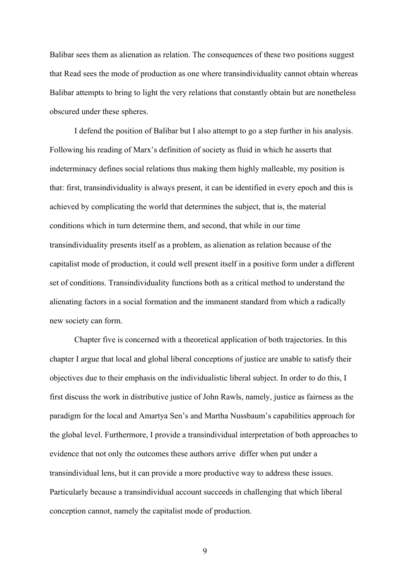Balibar sees them as alienation as relation. The consequences of these two positions suggest that Read sees the mode of production as one where transindividuality cannot obtain whereas Balibar attempts to bring to light the very relations that constantly obtain but are nonetheless obscured under these spheres.

I defend the position of Balibar but I also attempt to go a step further in his analysis. Following his reading of Marx's definition of society as fluid in which he asserts that indeterminacy defines social relations thus making them highly malleable, my position is that: first, transindividuality is always present, it can be identified in every epoch and this is achieved by complicating the world that determines the subject, that is, the material conditions which in turn determine them, and second, that while in our time transindividuality presents itself as a problem, as alienation as relation because of the capitalist mode of production, it could well present itself in a positive form under a different set of conditions. Transindividuality functions both as a critical method to understand the alienating factors in a social formation and the immanent standard from which a radically new society can form.

Chapter five is concerned with a theoretical application of both trajectories. In this chapter I argue that local and global liberal conceptions of justice are unable to satisfy their objectives due to their emphasis on the individualistic liberal subject. In order to do this, I first discuss the work in distributive justice of John Rawls, namely, justice as fairness as the paradigm for the local and Amartya Sen's and Martha Nussbaum's capabilities approach for the global level. Furthermore, I provide a transindividual interpretation of both approaches to evidence that not only the outcomes these authors arrive differ when put under a transindividual lens, but it can provide a more productive way to address these issues. Particularly because a transindividual account succeeds in challenging that which liberal conception cannot, namely the capitalist mode of production.

9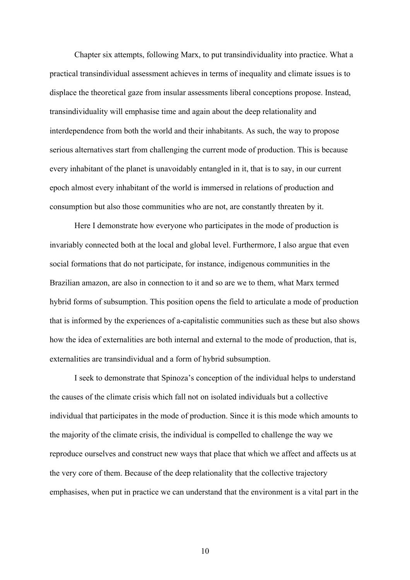Chapter six attempts, following Marx, to put transindividuality into practice. What a practical transindividual assessment achieves in terms of inequality and climate issues is to displace the theoretical gaze from insular assessments liberal conceptions propose. Instead, transindividuality will emphasise time and again about the deep relationality and interdependence from both the world and their inhabitants. As such, the way to propose serious alternatives start from challenging the current mode of production. This is because every inhabitant of the planet is unavoidably entangled in it, that is to say, in our current epoch almost every inhabitant of the world is immersed in relations of production and consumption but also those communities who are not, are constantly threaten by it.

Here I demonstrate how everyone who participates in the mode of production is invariably connected both at the local and global level. Furthermore, I also argue that even social formations that do not participate, for instance, indigenous communities in the Brazilian amazon, are also in connection to it and so are we to them, what Marx termed hybrid forms of subsumption. This position opens the field to articulate a mode of production that is informed by the experiences of a-capitalistic communities such as these but also shows how the idea of externalities are both internal and external to the mode of production, that is, externalities are transindividual and a form of hybrid subsumption.

I seek to demonstrate that Spinoza's conception of the individual helps to understand the causes of the climate crisis which fall not on isolated individuals but a collective individual that participates in the mode of production. Since it is this mode which amounts to the majority of the climate crisis, the individual is compelled to challenge the way we reproduce ourselves and construct new ways that place that which we affect and affects us at the very core of them. Because of the deep relationality that the collective trajectory emphasises, when put in practice we can understand that the environment is a vital part in the

10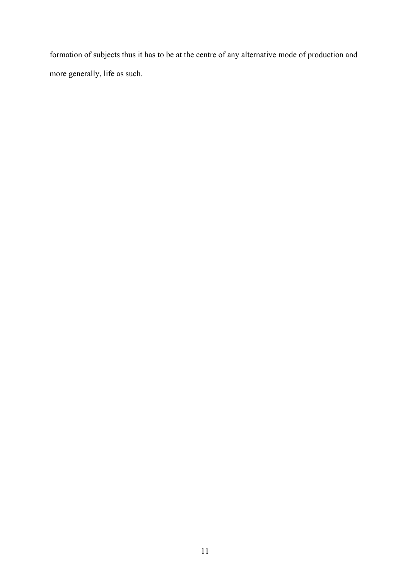formation of subjects thus it has to be at the centre of any alternative mode of production and more generally, life as such.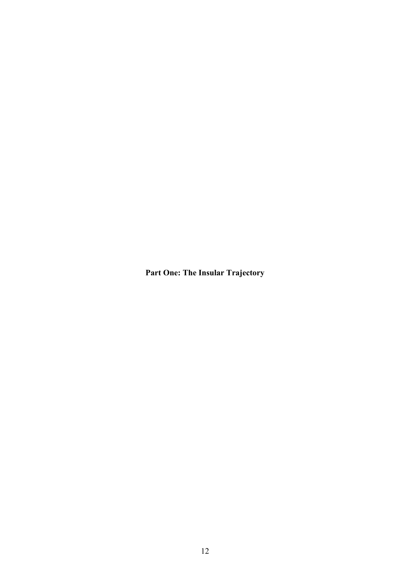**Part One: The Insular Trajectory**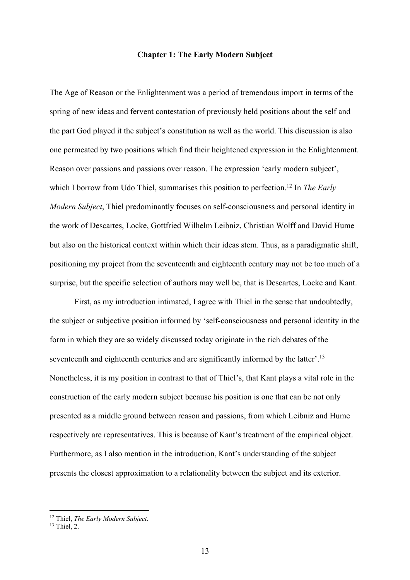#### **Chapter 1: The Early Modern Subject**

The Age of Reason or the Enlightenment was a period of tremendous import in terms of the spring of new ideas and fervent contestation of previously held positions about the self and the part God played it the subject's constitution as well as the world. This discussion is also one permeated by two positions which find their heightened expression in the Enlightenment. Reason over passions and passions over reason. The expression 'early modern subject', which I borrow from Udo Thiel, summarises this position to perfection.<sup>12</sup> In *The Early Modern Subject*, Thiel predominantly focuses on self-consciousness and personal identity in the work of Descartes, Locke, Gottfried Wilhelm Leibniz, Christian Wolff and David Hume but also on the historical context within which their ideas stem. Thus, as a paradigmatic shift, positioning my project from the seventeenth and eighteenth century may not be too much of a surprise, but the specific selection of authors may well be, that is Descartes, Locke and Kant.

First, as my introduction intimated, I agree with Thiel in the sense that undoubtedly, the subject or subjective position informed by 'self-consciousness and personal identity in the form in which they are so widely discussed today originate in the rich debates of the seventeenth and eighteenth centuries and are significantly informed by the latter'.<sup>13</sup> Nonetheless, it is my position in contrast to that of Thiel's, that Kant plays a vital role in the construction of the early modern subject because his position is one that can be not only presented as a middle ground between reason and passions, from which Leibniz and Hume respectively are representatives. This is because of Kant's treatment of the empirical object. Furthermore, as I also mention in the introduction, Kant's understanding of the subject presents the closest approximation to a relationality between the subject and its exterior.

<sup>12</sup> Thiel, *The Early Modern Subject*.

 $13$  Thiel, 2.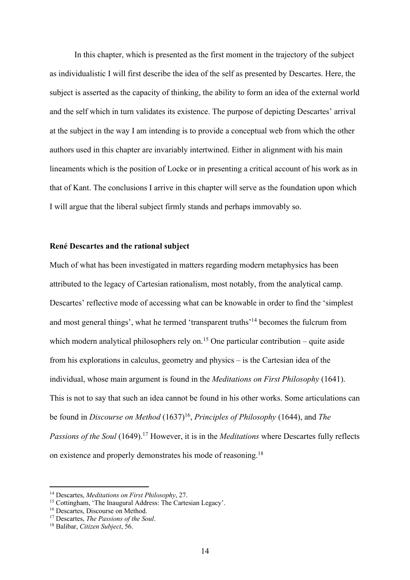In this chapter, which is presented as the first moment in the trajectory of the subject as individualistic I will first describe the idea of the self as presented by Descartes. Here, the subject is asserted as the capacity of thinking, the ability to form an idea of the external world and the self which in turn validates its existence. The purpose of depicting Descartes' arrival at the subject in the way I am intending is to provide a conceptual web from which the other authors used in this chapter are invariably intertwined. Either in alignment with his main lineaments which is the position of Locke or in presenting a critical account of his work as in that of Kant. The conclusions I arrive in this chapter will serve as the foundation upon which I will argue that the liberal subject firmly stands and perhaps immovably so.

#### **René Descartes and the rational subject**

Much of what has been investigated in matters regarding modern metaphysics has been attributed to the legacy of Cartesian rationalism, most notably, from the analytical camp. Descartes' reflective mode of accessing what can be knowable in order to find the 'simplest and most general things', what he termed 'transparent truths'<sup>14</sup> becomes the fulcrum from which modern analytical philosophers rely on.<sup>15</sup> One particular contribution – quite aside from his explorations in calculus, geometry and physics – is the Cartesian idea of the individual, whose main argument is found in the *Meditations on First Philosophy* (1641). This is not to say that such an idea cannot be found in his other works. Some articulations can be found in *Discourse on Method* (1637)<sup>16</sup>, *Principles of Philosophy* (1644), and *The Passions of the Soul* (1649). <sup>17</sup> However, it is in the *Meditations* where Descartes fully reflects on existence and properly demonstrates his mode of reasoning.18

<sup>14</sup> Descartes, *Meditations on First Philosophy*, 27.

<sup>&</sup>lt;sup>15</sup> Cottingham, 'The Inaugural Address: The Cartesian Legacy'.

<sup>&</sup>lt;sup>16</sup> Descartes, Discourse on Method.

<sup>17</sup> Descartes, *The Passions of the Soul*.

<sup>18</sup> Balibar, *Citizen Subject*, 56.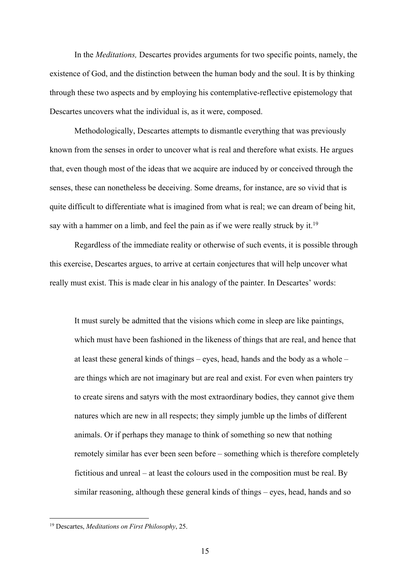In the *Meditations,* Descartes provides arguments for two specific points, namely, the existence of God, and the distinction between the human body and the soul. It is by thinking through these two aspects and by employing his contemplative-reflective epistemology that Descartes uncovers what the individual is, as it were, composed.

Methodologically, Descartes attempts to dismantle everything that was previously known from the senses in order to uncover what is real and therefore what exists. He argues that, even though most of the ideas that we acquire are induced by or conceived through the senses, these can nonetheless be deceiving. Some dreams, for instance, are so vivid that is quite difficult to differentiate what is imagined from what is real; we can dream of being hit, say with a hammer on a limb, and feel the pain as if we were really struck by it.<sup>19</sup>

Regardless of the immediate reality or otherwise of such events, it is possible through this exercise, Descartes argues, to arrive at certain conjectures that will help uncover what really must exist. This is made clear in his analogy of the painter. In Descartes' words:

It must surely be admitted that the visions which come in sleep are like paintings, which must have been fashioned in the likeness of things that are real, and hence that at least these general kinds of things – eyes, head, hands and the body as a whole – are things which are not imaginary but are real and exist. For even when painters try to create sirens and satyrs with the most extraordinary bodies, they cannot give them natures which are new in all respects; they simply jumble up the limbs of different animals. Or if perhaps they manage to think of something so new that nothing remotely similar has ever been seen before – something which is therefore completely fictitious and unreal – at least the colours used in the composition must be real. By similar reasoning, although these general kinds of things – eyes, head, hands and so

<sup>19</sup> Descartes, *Meditations on First Philosophy*, 25.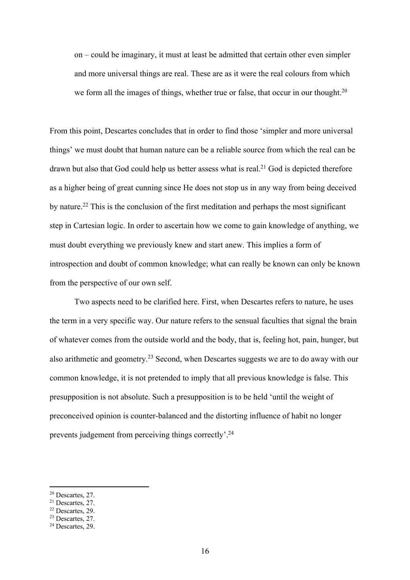on – could be imaginary, it must at least be admitted that certain other even simpler and more universal things are real. These are as it were the real colours from which we form all the images of things, whether true or false, that occur in our thought.<sup>20</sup>

From this point, Descartes concludes that in order to find those 'simpler and more universal things' we must doubt that human nature can be a reliable source from which the real can be drawn but also that God could help us better assess what is real.<sup>21</sup> God is depicted therefore as a higher being of great cunning since He does not stop us in any way from being deceived by nature.22 This is the conclusion of the first meditation and perhaps the most significant step in Cartesian logic. In order to ascertain how we come to gain knowledge of anything, we must doubt everything we previously knew and start anew. This implies a form of introspection and doubt of common knowledge; what can really be known can only be known from the perspective of our own self.

Two aspects need to be clarified here. First, when Descartes refers to nature, he uses the term in a very specific way. Our nature refers to the sensual faculties that signal the brain of whatever comes from the outside world and the body, that is, feeling hot, pain, hunger, but also arithmetic and geometry.23 Second, when Descartes suggests we are to do away with our common knowledge, it is not pretended to imply that all previous knowledge is false. This presupposition is not absolute. Such a presupposition is to be held 'until the weight of preconceived opinion is counter-balanced and the distorting influence of habit no longer prevents judgement from perceiving things correctly'.<sup>24</sup>

<sup>20</sup> Descartes, 27.

<sup>21</sup> Descartes, 27.

<sup>22</sup> Descartes, 29.

<sup>23</sup> Descartes, 27.

<sup>&</sup>lt;sup>24</sup> Descartes, 29.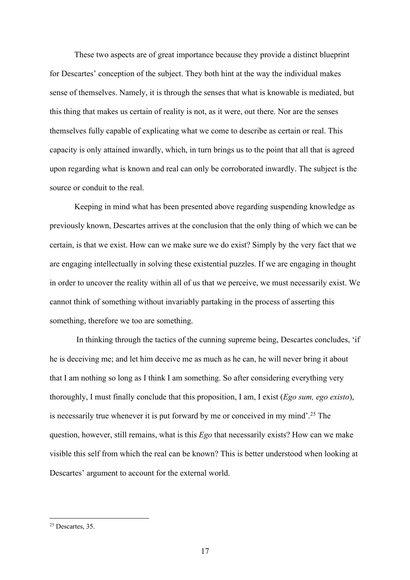These two aspects are of great importance because they provide a distinct blueprint for Descartes' conception of the subject. They both hint at the way the individual makes sense of themselves. Namely, it is through the senses that what is knowable is mediated, but this thing that makes us certain of reality is not, as it were, out there. Nor are the senses themselves fully capable of explicating what we come to describe as certain or real. This capacity is only attained inwardly, which, in turn brings us to the point that all that is agreed upon regarding what is known and real can only be corroborated inwardly. The subject is the source or conduit to the real.

Keeping in mind what has been presented above regarding suspending knowledge as previously known, Descartes arrives at the conclusion that the only thing of which we can be certain, is that we exist. How can we make sure we do exist? Simply by the very fact that we are engaging intellectually in solving these existential puzzles. If we are engaging in thought in order to uncover the reality within all of us that we perceive, we must necessarily exist. We cannot think of something without invariably partaking in the process of asserting this something, therefore we too are something.

In thinking through the tactics of the cunning supreme being, Descartes concludes, 'if he is deceiving me; and let him deceive me as much as he can, he will never bring it about that I am nothing so long as I think I am something. So after considering everything very thoroughly, I must finally conclude that this proposition, I am, I exist (*Ego sum, ego existo*), is necessarily true whenever it is put forward by me or conceived in my mind'. <sup>25</sup> The question, however, still remains, what is this *Ego* that necessarily exists? How can we make visible this self from which the real can be known? This is better understood when looking at Descartes' argument to account for the external world.

<sup>&</sup>lt;sup>25</sup> Descartes, 35.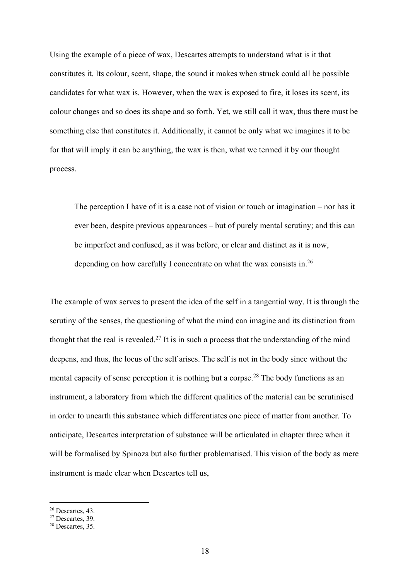Using the example of a piece of wax, Descartes attempts to understand what is it that constitutes it. Its colour, scent, shape, the sound it makes when struck could all be possible candidates for what wax is. However, when the wax is exposed to fire, it loses its scent, its colour changes and so does its shape and so forth. Yet, we still call it wax, thus there must be something else that constitutes it. Additionally, it cannot be only what we imagines it to be for that will imply it can be anything, the wax is then, what we termed it by our thought process.

The perception I have of it is a case not of vision or touch or imagination – nor has it ever been, despite previous appearances – but of purely mental scrutiny; and this can be imperfect and confused, as it was before, or clear and distinct as it is now, depending on how carefully I concentrate on what the wax consists in.<sup>26</sup>

The example of wax serves to present the idea of the self in a tangential way. It is through the scrutiny of the senses, the questioning of what the mind can imagine and its distinction from thought that the real is revealed.<sup>27</sup> It is in such a process that the understanding of the mind deepens, and thus, the locus of the self arises. The self is not in the body since without the mental capacity of sense perception it is nothing but a corpse.<sup>28</sup> The body functions as an instrument, a laboratory from which the different qualities of the material can be scrutinised in order to unearth this substance which differentiates one piece of matter from another. To anticipate, Descartes interpretation of substance will be articulated in chapter three when it will be formalised by Spinoza but also further problematised. This vision of the body as mere instrument is made clear when Descartes tell us,

<sup>26</sup> Descartes, 43.

 $27$  Descartes, 39.

<sup>28</sup> Descartes, 35.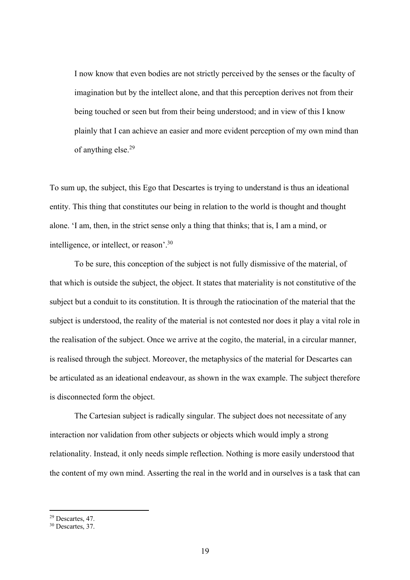I now know that even bodies are not strictly perceived by the senses or the faculty of imagination but by the intellect alone, and that this perception derives not from their being touched or seen but from their being understood; and in view of this I know plainly that I can achieve an easier and more evident perception of my own mind than of anything else.29

To sum up, the subject, this Ego that Descartes is trying to understand is thus an ideational entity. This thing that constitutes our being in relation to the world is thought and thought alone. 'I am, then, in the strict sense only a thing that thinks; that is, I am a mind, or intelligence, or intellect, or reason'. 30

To be sure, this conception of the subject is not fully dismissive of the material, of that which is outside the subject, the object. It states that materiality is not constitutive of the subject but a conduit to its constitution. It is through the ratiocination of the material that the subject is understood, the reality of the material is not contested nor does it play a vital role in the realisation of the subject. Once we arrive at the cogito, the material, in a circular manner, is realised through the subject. Moreover, the metaphysics of the material for Descartes can be articulated as an ideational endeavour, as shown in the wax example. The subject therefore is disconnected form the object.

The Cartesian subject is radically singular. The subject does not necessitate of any interaction nor validation from other subjects or objects which would imply a strong relationality. Instead, it only needs simple reflection. Nothing is more easily understood that the content of my own mind. Asserting the real in the world and in ourselves is a task that can

<sup>29</sup> Descartes, 47.

<sup>&</sup>lt;sup>30</sup> Descartes, 37.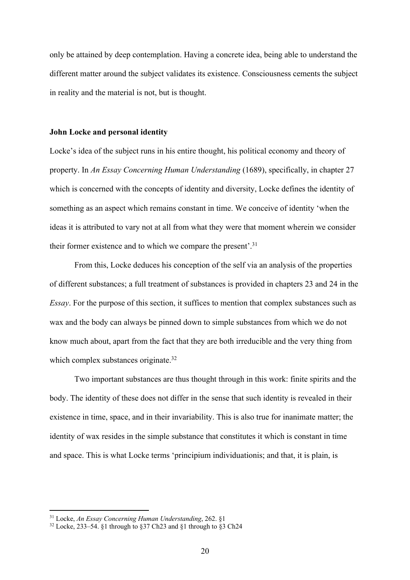only be attained by deep contemplation. Having a concrete idea, being able to understand the different matter around the subject validates its existence. Consciousness cements the subject in reality and the material is not, but is thought.

#### **John Locke and personal identity**

Locke's idea of the subject runs in his entire thought, his political economy and theory of property. In *An Essay Concerning Human Understanding* (1689), specifically, in chapter 27 which is concerned with the concepts of identity and diversity, Locke defines the identity of something as an aspect which remains constant in time. We conceive of identity 'when the ideas it is attributed to vary not at all from what they were that moment wherein we consider their former existence and to which we compare the present'.<sup>31</sup>

From this, Locke deduces his conception of the self via an analysis of the properties of different substances; a full treatment of substances is provided in chapters 23 and 24 in the *Essay*. For the purpose of this section, it suffices to mention that complex substances such as wax and the body can always be pinned down to simple substances from which we do not know much about, apart from the fact that they are both irreducible and the very thing from which complex substances originate.<sup>32</sup>

Two important substances are thus thought through in this work: finite spirits and the body. The identity of these does not differ in the sense that such identity is revealed in their existence in time, space, and in their invariability. This is also true for inanimate matter; the identity of wax resides in the simple substance that constitutes it which is constant in time and space. This is what Locke terms 'principium individuationis; and that, it is plain, is

<sup>31</sup> Locke, *An Essay Concerning Human Understanding*, 262. §1

 $32$  Locke, 233–54. §1 through to §37 Ch23 and §1 through to §3 Ch24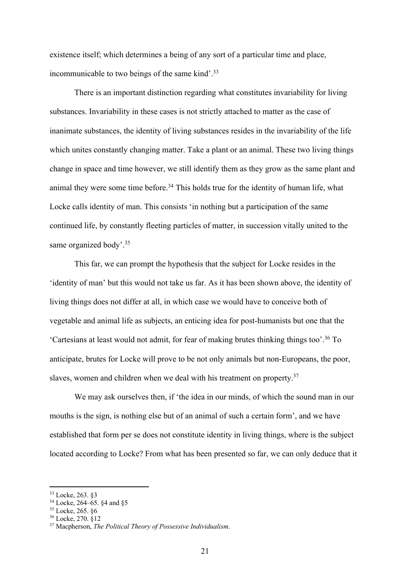existence itself; which determines a being of any sort of a particular time and place, incommunicable to two beings of the same kind'.<sup>33</sup>

There is an important distinction regarding what constitutes invariability for living substances. Invariability in these cases is not strictly attached to matter as the case of inanimate substances, the identity of living substances resides in the invariability of the life which unites constantly changing matter. Take a plant or an animal. These two living things change in space and time however, we still identify them as they grow as the same plant and animal they were some time before.<sup>34</sup> This holds true for the identity of human life, what Locke calls identity of man. This consists 'in nothing but a participation of the same continued life, by constantly fleeting particles of matter, in succession vitally united to the same organized body'.<sup>35</sup>

This far, we can prompt the hypothesis that the subject for Locke resides in the 'identity of man' but this would not take us far. As it has been shown above, the identity of living things does not differ at all, in which case we would have to conceive both of vegetable and animal life as subjects, an enticing idea for post-humanists but one that the 'Cartesians at least would not admit, for fear of making brutes thinking things too'. <sup>36</sup> To anticipate, brutes for Locke will prove to be not only animals but non-Europeans, the poor, slaves, women and children when we deal with his treatment on property.<sup>37</sup>

We may ask ourselves then, if 'the idea in our minds, of which the sound man in our mouths is the sign, is nothing else but of an animal of such a certain form', and we have established that form per se does not constitute identity in living things, where is the subject located according to Locke? From what has been presented so far, we can only deduce that it

<sup>33</sup> Locke, 263. §3

<sup>34</sup> Locke, 264–65. §4 and §5

<sup>35</sup> Locke, 265. §6

<sup>36</sup> Locke, 270. §12

<sup>37</sup> Macpherson, *The Political Theory of Possessive Individualism*.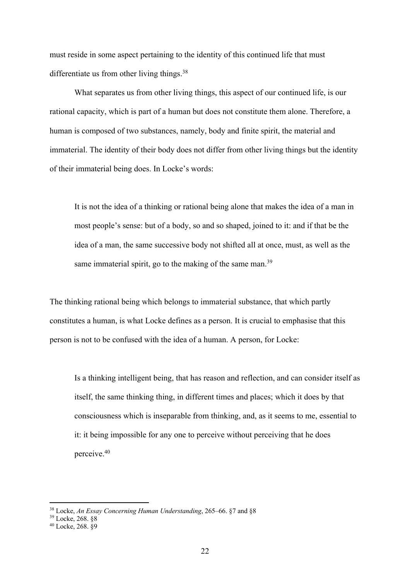must reside in some aspect pertaining to the identity of this continued life that must differentiate us from other living things.<sup>38</sup>

What separates us from other living things, this aspect of our continued life, is our rational capacity, which is part of a human but does not constitute them alone. Therefore, a human is composed of two substances, namely, body and finite spirit, the material and immaterial. The identity of their body does not differ from other living things but the identity of their immaterial being does. In Locke's words:

It is not the idea of a thinking or rational being alone that makes the idea of a man in most people's sense: but of a body, so and so shaped, joined to it: and if that be the idea of a man, the same successive body not shifted all at once, must, as well as the same immaterial spirit, go to the making of the same man.<sup>39</sup>

The thinking rational being which belongs to immaterial substance, that which partly constitutes a human, is what Locke defines as a person. It is crucial to emphasise that this person is not to be confused with the idea of a human. A person, for Locke:

Is a thinking intelligent being, that has reason and reflection, and can consider itself as itself, the same thinking thing, in different times and places; which it does by that consciousness which is inseparable from thinking, and, as it seems to me, essential to it: it being impossible for any one to perceive without perceiving that he does perceive.40

<sup>38</sup> Locke, *An Essay Concerning Human Understanding*, 265–66. §7 and §8

<sup>39</sup> Locke, 268. §8

<sup>40</sup> Locke, 268. §9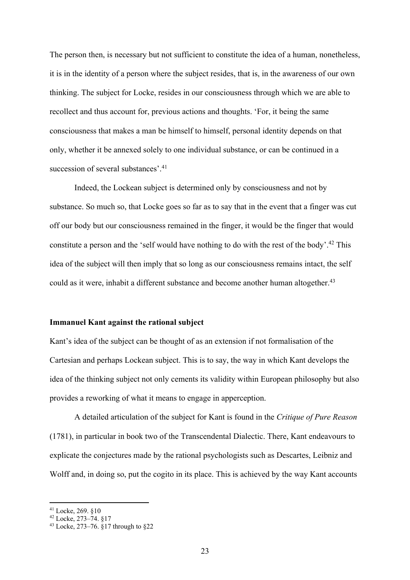The person then, is necessary but not sufficient to constitute the idea of a human, nonetheless, it is in the identity of a person where the subject resides, that is, in the awareness of our own thinking. The subject for Locke, resides in our consciousness through which we are able to recollect and thus account for, previous actions and thoughts. 'For, it being the same consciousness that makes a man be himself to himself, personal identity depends on that only, whether it be annexed solely to one individual substance, or can be continued in a succession of several substances'.<sup>41</sup>

Indeed, the Lockean subject is determined only by consciousness and not by substance. So much so, that Locke goes so far as to say that in the event that a finger was cut off our body but our consciousness remained in the finger, it would be the finger that would constitute a person and the 'self would have nothing to do with the rest of the body'.<sup>42</sup> This idea of the subject will then imply that so long as our consciousness remains intact, the self could as it were, inhabit a different substance and become another human altogether.<sup>43</sup>

#### **Immanuel Kant against the rational subject**

Kant's idea of the subject can be thought of as an extension if not formalisation of the Cartesian and perhaps Lockean subject. This is to say, the way in which Kant develops the idea of the thinking subject not only cements its validity within European philosophy but also provides a reworking of what it means to engage in apperception.

A detailed articulation of the subject for Kant is found in the *Critique of Pure Reason* (1781), in particular in book two of the Transcendental Dialectic. There, Kant endeavours to explicate the conjectures made by the rational psychologists such as Descartes, Leibniz and Wolff and, in doing so, put the cogito in its place. This is achieved by the way Kant accounts

<sup>41</sup> Locke, 269. §10

 $^{42}$  Locke, 273–74. §17

<sup>43</sup> Locke, 273–76. §17 through to §22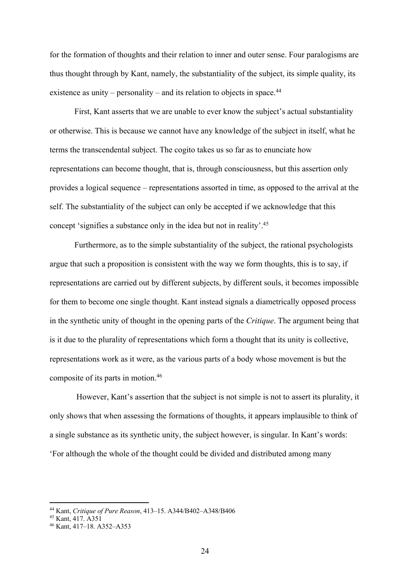for the formation of thoughts and their relation to inner and outer sense. Four paralogisms are thus thought through by Kant, namely, the substantiality of the subject, its simple quality, its existence as unity – personality – and its relation to objects in space.<sup>44</sup>

First, Kant asserts that we are unable to ever know the subject's actual substantiality or otherwise. This is because we cannot have any knowledge of the subject in itself, what he terms the transcendental subject. The cogito takes us so far as to enunciate how representations can become thought, that is, through consciousness, but this assertion only provides a logical sequence – representations assorted in time, as opposed to the arrival at the self. The substantiality of the subject can only be accepted if we acknowledge that this concept 'signifies a substance only in the idea but not in reality'. 45

Furthermore, as to the simple substantiality of the subject, the rational psychologists argue that such a proposition is consistent with the way we form thoughts, this is to say, if representations are carried out by different subjects, by different souls, it becomes impossible for them to become one single thought. Kant instead signals a diametrically opposed process in the synthetic unity of thought in the opening parts of the *Critique*. The argument being that is it due to the plurality of representations which form a thought that its unity is collective, representations work as it were, as the various parts of a body whose movement is but the composite of its parts in motion.46

However, Kant's assertion that the subject is not simple is not to assert its plurality, it only shows that when assessing the formations of thoughts, it appears implausible to think of a single substance as its synthetic unity, the subject however, is singular. In Kant's words: 'For although the whole of the thought could be divided and distributed among many

<sup>44</sup> Kant, *Critique of Pure Reason*, 413–15. A344/B402–A348/B406

<sup>45</sup> Kant, 417. A351

<sup>46</sup> Kant, 417–18. A352–A353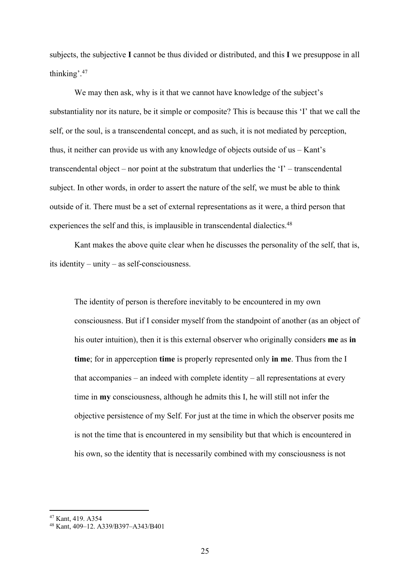subjects, the subjective **I** cannot be thus divided or distributed, and this **I** we presuppose in all thinking'. 47

We may then ask, why is it that we cannot have knowledge of the subject's substantiality nor its nature, be it simple or composite? This is because this 'I' that we call the self, or the soul, is a transcendental concept, and as such, it is not mediated by perception, thus, it neither can provide us with any knowledge of objects outside of us – Kant's transcendental object – nor point at the substratum that underlies the 'I' – transcendental subject. In other words, in order to assert the nature of the self, we must be able to think outside of it. There must be a set of external representations as it were, a third person that experiences the self and this, is implausible in transcendental dialectics.<sup>48</sup>

Kant makes the above quite clear when he discusses the personality of the self, that is, its identity – unity – as self-consciousness.

The identity of person is therefore inevitably to be encountered in my own consciousness. But if I consider myself from the standpoint of another (as an object of his outer intuition), then it is this external observer who originally considers **me** as **in time**; for in apperception **time** is properly represented only **in me**. Thus from the I that accompanies – an indeed with complete identity – all representations at every time in **my** consciousness, although he admits this I, he will still not infer the objective persistence of my Self. For just at the time in which the observer posits me is not the time that is encountered in my sensibility but that which is encountered in his own, so the identity that is necessarily combined with my consciousness is not

<sup>47</sup> Kant, 419. A354

<sup>48</sup> Kant, 409–12. A339/B397–A343/B401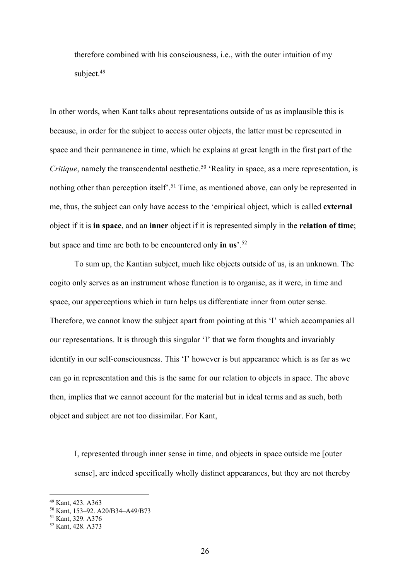therefore combined with his consciousness, i.e., with the outer intuition of my subject.<sup>49</sup>

In other words, when Kant talks about representations outside of us as implausible this is because, in order for the subject to access outer objects, the latter must be represented in space and their permanence in time, which he explains at great length in the first part of the *Critique*, namely the transcendental aesthetic. <sup>50</sup> 'Reality in space, as a mere representation, is nothing other than perception itself'. <sup>51</sup> Time, as mentioned above, can only be represented in me, thus, the subject can only have access to the 'empirical object, which is called **external** object if it is **in space**, and an **inner** object if it is represented simply in the **relation of time**; but space and time are both to be encountered only **in us**'. 52

To sum up, the Kantian subject, much like objects outside of us, is an unknown. The cogito only serves as an instrument whose function is to organise, as it were, in time and space, our apperceptions which in turn helps us differentiate inner from outer sense. Therefore, we cannot know the subject apart from pointing at this 'I' which accompanies all our representations. It is through this singular 'I' that we form thoughts and invariably identify in our self-consciousness. This 'I' however is but appearance which is as far as we can go in representation and this is the same for our relation to objects in space. The above then, implies that we cannot account for the material but in ideal terms and as such, both object and subject are not too dissimilar. For Kant,

I, represented through inner sense in time, and objects in space outside me [outer sense], are indeed specifically wholly distinct appearances, but they are not thereby

<sup>49</sup> Kant, 423. A363

<sup>50</sup> Kant, 153–92. A20/B34–A49/B73

<sup>51</sup> Kant, 329. A376

<sup>52</sup> Kant, 428. A373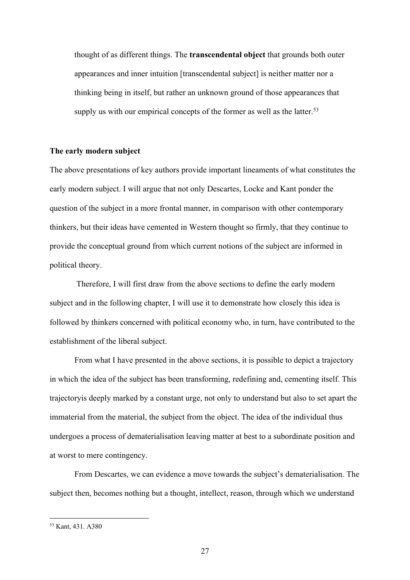thought of as different things. The **transcendental object** that grounds both outer appearances and inner intuition [transcendental subject] is neither matter nor a thinking being in itself, but rather an unknown ground of those appearances that supply us with our empirical concepts of the former as well as the latter.<sup>53</sup>

#### **The early modern subject**

The above presentations of key authors provide important lineaments of what constitutes the early modern subject. I will argue that not only Descartes, Locke and Kant ponder the question of the subject in a more frontal manner, in comparison with other contemporary thinkers, but their ideas have cemented in Western thought so firmly, that they continue to provide the conceptual ground from which current notions of the subject are informed in political theory.

Therefore, I will first draw from the above sections to define the early modern subject and in the following chapter, I will use it to demonstrate how closely this idea is followed by thinkers concerned with political economy who, in turn, have contributed to the establishment of the liberal subject.

From what I have presented in the above sections, it is possible to depict a trajectory in which the idea of the subject has been transforming, redefining and, cementing itself. This trajectoryis deeply marked by a constant urge, not only to understand but also to set apart the immaterial from the material, the subject from the object. The idea of the individual thus undergoes a process of dematerialisation leaving matter at best to a subordinate position and at worst to mere contingency.

From Descartes, we can evidence a move towards the subject's dematerialisation. The subject then, becomes nothing but a thought, intellect, reason, through which we understand

<sup>53</sup> Kant, 431. A380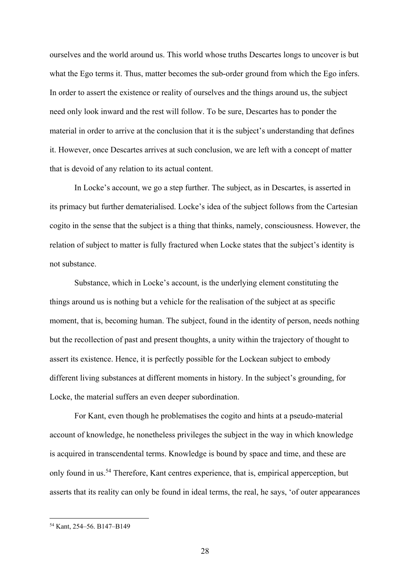ourselves and the world around us. This world whose truths Descartes longs to uncover is but what the Ego terms it. Thus, matter becomes the sub-order ground from which the Ego infers. In order to assert the existence or reality of ourselves and the things around us, the subject need only look inward and the rest will follow. To be sure, Descartes has to ponder the material in order to arrive at the conclusion that it is the subject's understanding that defines it. However, once Descartes arrives at such conclusion, we are left with a concept of matter that is devoid of any relation to its actual content.

In Locke's account, we go a step further. The subject, as in Descartes, is asserted in its primacy but further dematerialised. Locke's idea of the subject follows from the Cartesian cogito in the sense that the subject is a thing that thinks, namely, consciousness. However, the relation of subject to matter is fully fractured when Locke states that the subject's identity is not substance.

Substance, which in Locke's account, is the underlying element constituting the things around us is nothing but a vehicle for the realisation of the subject at as specific moment, that is, becoming human. The subject, found in the identity of person, needs nothing but the recollection of past and present thoughts, a unity within the trajectory of thought to assert its existence. Hence, it is perfectly possible for the Lockean subject to embody different living substances at different moments in history. In the subject's grounding, for Locke, the material suffers an even deeper subordination.

For Kant, even though he problematises the cogito and hints at a pseudo-material account of knowledge, he nonetheless privileges the subject in the way in which knowledge is acquired in transcendental terms. Knowledge is bound by space and time, and these are only found in us.<sup>54</sup> Therefore, Kant centres experience, that is, empirical apperception, but asserts that its reality can only be found in ideal terms, the real, he says, 'of outer appearances

<sup>54</sup> Kant, 254–56. B147–B149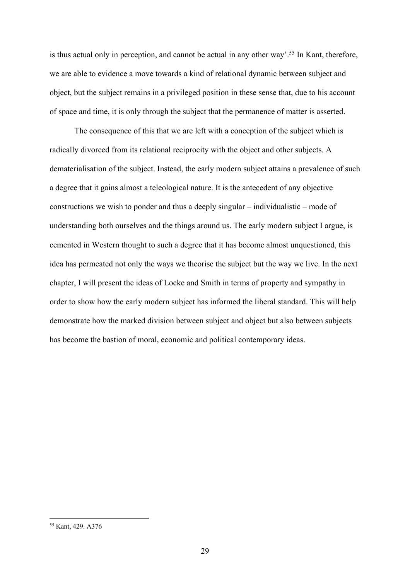is thus actual only in perception, and cannot be actual in any other way'.<sup>55</sup> In Kant, therefore, we are able to evidence a move towards a kind of relational dynamic between subject and object, but the subject remains in a privileged position in these sense that, due to his account of space and time, it is only through the subject that the permanence of matter is asserted.

The consequence of this that we are left with a conception of the subject which is radically divorced from its relational reciprocity with the object and other subjects. A dematerialisation of the subject. Instead, the early modern subject attains a prevalence of such a degree that it gains almost a teleological nature. It is the antecedent of any objective constructions we wish to ponder and thus a deeply singular – individualistic – mode of understanding both ourselves and the things around us. The early modern subject I argue, is cemented in Western thought to such a degree that it has become almost unquestioned, this idea has permeated not only the ways we theorise the subject but the way we live. In the next chapter, I will present the ideas of Locke and Smith in terms of property and sympathy in order to show how the early modern subject has informed the liberal standard. This will help demonstrate how the marked division between subject and object but also between subjects has become the bastion of moral, economic and political contemporary ideas.

<sup>55</sup> Kant, 429. A376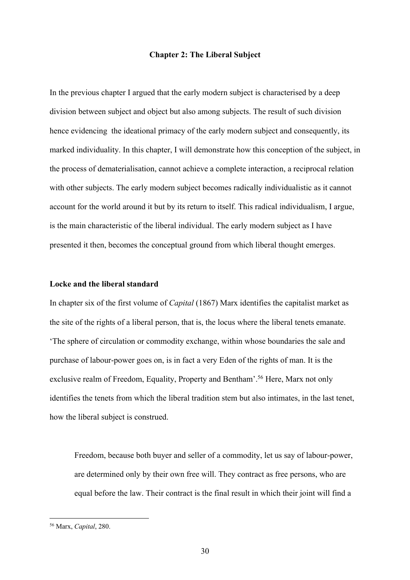#### **Chapter 2: The Liberal Subject**

In the previous chapter I argued that the early modern subject is characterised by a deep division between subject and object but also among subjects. The result of such division hence evidencing the ideational primacy of the early modern subject and consequently, its marked individuality. In this chapter, I will demonstrate how this conception of the subject, in the process of dematerialisation, cannot achieve a complete interaction, a reciprocal relation with other subjects. The early modern subject becomes radically individualistic as it cannot account for the world around it but by its return to itself. This radical individualism, I argue, is the main characteristic of the liberal individual. The early modern subject as I have presented it then, becomes the conceptual ground from which liberal thought emerges.

#### **Locke and the liberal standard**

In chapter six of the first volume of *Capital* (1867) Marx identifies the capitalist market as the site of the rights of a liberal person, that is, the locus where the liberal tenets emanate. 'The sphere of circulation or commodity exchange, within whose boundaries the sale and purchase of labour-power goes on, is in fact a very Eden of the rights of man. It is the exclusive realm of Freedom, Equality, Property and Bentham'.<sup>56</sup> Here, Marx not only identifies the tenets from which the liberal tradition stem but also intimates, in the last tenet, how the liberal subject is construed.

Freedom, because both buyer and seller of a commodity, let us say of labour-power, are determined only by their own free will. They contract as free persons, who are equal before the law. Their contract is the final result in which their joint will find a

<sup>56</sup> Marx, *Capital*, 280.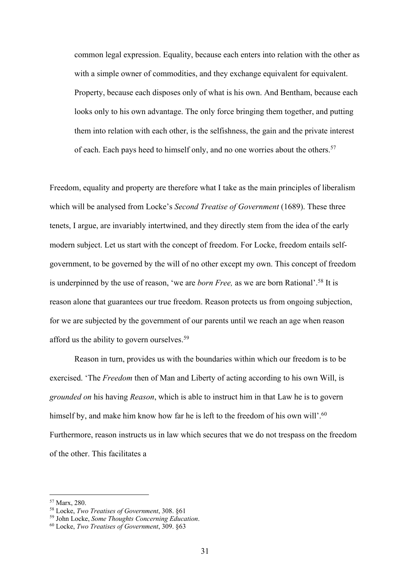common legal expression. Equality, because each enters into relation with the other as with a simple owner of commodities, and they exchange equivalent for equivalent. Property, because each disposes only of what is his own. And Bentham, because each looks only to his own advantage. The only force bringing them together, and putting them into relation with each other, is the selfishness, the gain and the private interest of each. Each pays heed to himself only, and no one worries about the others.<sup>57</sup>

Freedom, equality and property are therefore what I take as the main principles of liberalism which will be analysed from Locke's *Second Treatise of Government* (1689). These three tenets, I argue, are invariably intertwined, and they directly stem from the idea of the early modern subject. Let us start with the concept of freedom. For Locke, freedom entails selfgovernment, to be governed by the will of no other except my own. This concept of freedom is underpinned by the use of reason, 'we are *born Free,* as we are born Rational'. <sup>58</sup> It is reason alone that guarantees our true freedom. Reason protects us from ongoing subjection, for we are subjected by the government of our parents until we reach an age when reason afford us the ability to govern ourselves.59

Reason in turn, provides us with the boundaries within which our freedom is to be exercised. 'The *Freedom* then of Man and Liberty of acting according to his own Will, is *grounded on* his having *Reason*, which is able to instruct him in that Law he is to govern himself by, and make him know how far he is left to the freedom of his own will'.<sup>60</sup> Furthermore, reason instructs us in law which secures that we do not trespass on the freedom of the other. This facilitates a

<sup>57</sup> Marx, 280.

<sup>58</sup> Locke, *Two Treatises of Government*, 308. §61

<sup>59</sup> John Locke, *Some Thoughts Concerning Education*.

<sup>60</sup> Locke, *Two Treatises of Government*, 309. §63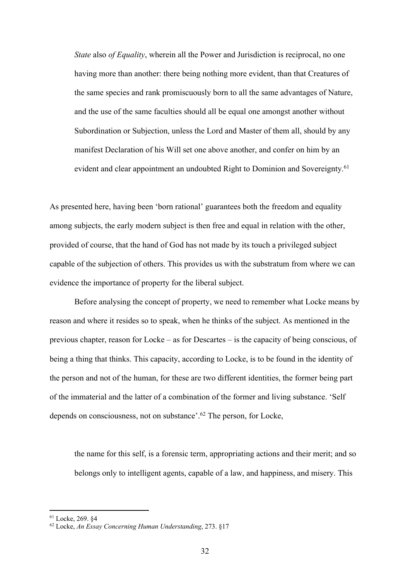*State* also *of Equality*, wherein all the Power and Jurisdiction is reciprocal, no one having more than another: there being nothing more evident, than that Creatures of the same species and rank promiscuously born to all the same advantages of Nature, and the use of the same faculties should all be equal one amongst another without Subordination or Subjection, unless the Lord and Master of them all, should by any manifest Declaration of his Will set one above another, and confer on him by an evident and clear appointment an undoubted Right to Dominion and Sovereignty.<sup>61</sup>

As presented here, having been 'born rational' guarantees both the freedom and equality among subjects, the early modern subject is then free and equal in relation with the other, provided of course, that the hand of God has not made by its touch a privileged subject capable of the subjection of others. This provides us with the substratum from where we can evidence the importance of property for the liberal subject.

Before analysing the concept of property, we need to remember what Locke means by reason and where it resides so to speak, when he thinks of the subject. As mentioned in the previous chapter, reason for Locke – as for Descartes – is the capacity of being conscious, of being a thing that thinks. This capacity, according to Locke, is to be found in the identity of the person and not of the human, for these are two different identities, the former being part of the immaterial and the latter of a combination of the former and living substance. 'Self depends on consciousness, not on substance'.<sup>62</sup> The person, for Locke,

the name for this self, is a forensic term, appropriating actions and their merit; and so belongs only to intelligent agents, capable of a law, and happiness, and misery. This

<sup>61</sup> Locke, 269. §4

<sup>62</sup> Locke, *An Essay Concerning Human Understanding*, 273. §17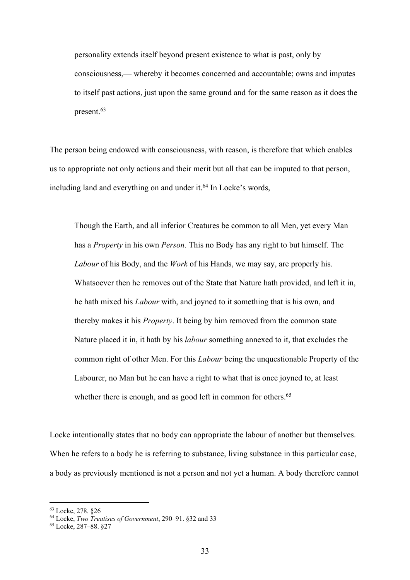personality extends itself beyond present existence to what is past, only by consciousness,— whereby it becomes concerned and accountable; owns and imputes to itself past actions, just upon the same ground and for the same reason as it does the present.63

The person being endowed with consciousness, with reason, is therefore that which enables us to appropriate not only actions and their merit but all that can be imputed to that person, including land and everything on and under it.<sup>64</sup> In Locke's words,

Though the Earth, and all inferior Creatures be common to all Men, yet every Man has a *Property* in his own *Person*. This no Body has any right to but himself. The *Labour* of his Body, and the *Work* of his Hands, we may say, are properly his. Whatsoever then he removes out of the State that Nature hath provided, and left it in, he hath mixed his *Labour* with, and joyned to it something that is his own, and thereby makes it his *Property*. It being by him removed from the common state Nature placed it in, it hath by his *labour* something annexed to it, that excludes the common right of other Men. For this *Labour* being the unquestionable Property of the Labourer, no Man but he can have a right to what that is once joyned to, at least whether there is enough, and as good left in common for others.<sup>65</sup>

Locke intentionally states that no body can appropriate the labour of another but themselves. When he refers to a body he is referring to substance, living substance in this particular case, a body as previously mentioned is not a person and not yet a human. A body therefore cannot

<sup>63</sup> Locke, 278. §26

<sup>64</sup> Locke, *Two Treatises of Government*, 290–91. §32 and 33

<sup>65</sup> Locke, 287–88. §27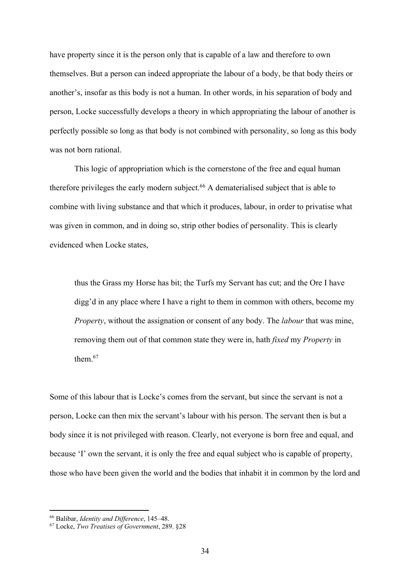have property since it is the person only that is capable of a law and therefore to own themselves. But a person can indeed appropriate the labour of a body, be that body theirs or another's, insofar as this body is not a human. In other words, in his separation of body and person, Locke successfully develops a theory in which appropriating the labour of another is perfectly possible so long as that body is not combined with personality, so long as this body was not born rational.

This logic of appropriation which is the cornerstone of the free and equal human therefore privileges the early modern subject. <sup>66</sup> A dematerialised subject that is able to combine with living substance and that which it produces, labour, in order to privatise what was given in common, and in doing so, strip other bodies of personality. This is clearly evidenced when Locke states,

thus the Grass my Horse has bit; the Turfs my Servant has cut; and the Ore I have digg'd in any place where I have a right to them in common with others, become my *Property*, without the assignation or consent of any body. The *labour* that was mine, removing them out of that common state they were in, hath *fixed* my *Property* in them.67

Some of this labour that is Locke's comes from the servant, but since the servant is not a person, Locke can then mix the servant's labour with his person. The servant then is but a body since it is not privileged with reason. Clearly, not everyone is born free and equal, and because 'I' own the servant, it is only the free and equal subject who is capable of property, those who have been given the world and the bodies that inhabit it in common by the lord and

<sup>66</sup> Balibar, *Identity and Difference*, 145–48.

<sup>67</sup> Locke, *Two Treatises of Government*, 289. §28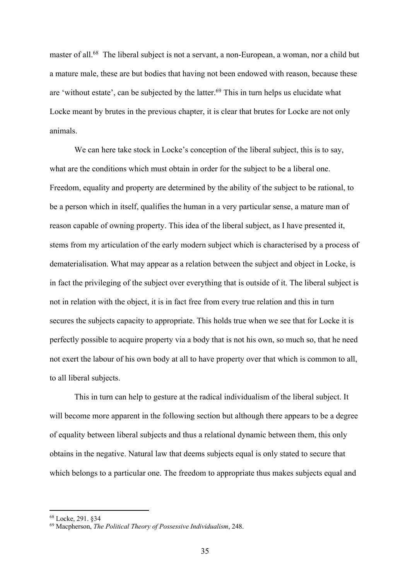master of all.<sup>68</sup> The liberal subject is not a servant, a non-European, a woman, nor a child but a mature male, these are but bodies that having not been endowed with reason, because these are 'without estate', can be subjected by the latter.<sup>69</sup> This in turn helps us elucidate what Locke meant by brutes in the previous chapter, it is clear that brutes for Locke are not only animals.

We can here take stock in Locke's conception of the liberal subject, this is to say, what are the conditions which must obtain in order for the subject to be a liberal one. Freedom, equality and property are determined by the ability of the subject to be rational, to be a person which in itself, qualifies the human in a very particular sense, a mature man of reason capable of owning property. This idea of the liberal subject, as I have presented it, stems from my articulation of the early modern subject which is characterised by a process of dematerialisation. What may appear as a relation between the subject and object in Locke, is in fact the privileging of the subject over everything that is outside of it. The liberal subject is not in relation with the object, it is in fact free from every true relation and this in turn secures the subjects capacity to appropriate. This holds true when we see that for Locke it is perfectly possible to acquire property via a body that is not his own, so much so, that he need not exert the labour of his own body at all to have property over that which is common to all, to all liberal subjects.

This in turn can help to gesture at the radical individualism of the liberal subject. It will become more apparent in the following section but although there appears to be a degree of equality between liberal subjects and thus a relational dynamic between them, this only obtains in the negative. Natural law that deems subjects equal is only stated to secure that which belongs to a particular one. The freedom to appropriate thus makes subjects equal and

<sup>68</sup> Locke, 291. §34

<sup>69</sup> Macpherson, *The Political Theory of Possessive Individualism*, 248.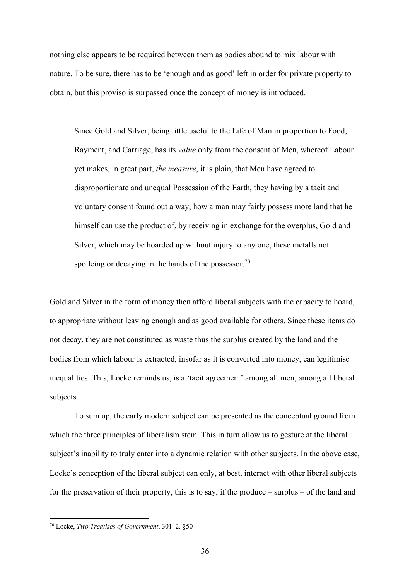nothing else appears to be required between them as bodies abound to mix labour with nature. To be sure, there has to be 'enough and as good' left in order for private property to obtain, but this proviso is surpassed once the concept of money is introduced.

Since Gold and Silver, being little useful to the Life of Man in proportion to Food, Rayment, and Carriage, has its *value* only from the consent of Men, whereof Labour yet makes, in great part, *the measure*, it is plain, that Men have agreed to disproportionate and unequal Possession of the Earth, they having by a tacit and voluntary consent found out a way, how a man may fairly possess more land that he himself can use the product of, by receiving in exchange for the overplus, Gold and Silver, which may be hoarded up without injury to any one, these metalls not spoileing or decaying in the hands of the possessor.<sup>70</sup>

Gold and Silver in the form of money then afford liberal subjects with the capacity to hoard, to appropriate without leaving enough and as good available for others. Since these items do not decay, they are not constituted as waste thus the surplus created by the land and the bodies from which labour is extracted, insofar as it is converted into money, can legitimise inequalities. This, Locke reminds us, is a 'tacit agreement' among all men, among all liberal subjects.

To sum up, the early modern subject can be presented as the conceptual ground from which the three principles of liberalism stem. This in turn allow us to gesture at the liberal subject's inability to truly enter into a dynamic relation with other subjects. In the above case, Locke's conception of the liberal subject can only, at best, interact with other liberal subjects for the preservation of their property, this is to say, if the produce – surplus – of the land and

<sup>70</sup> Locke, *Two Treatises of Government*, 301–2. §50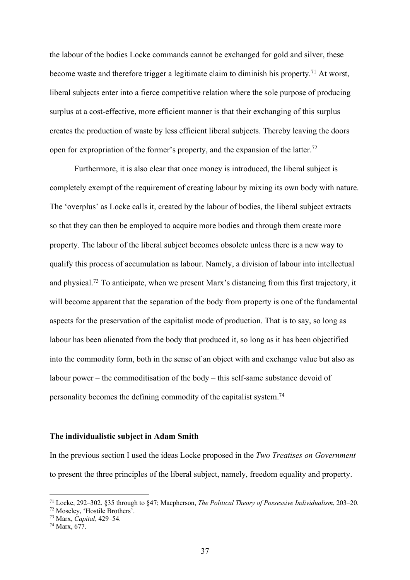the labour of the bodies Locke commands cannot be exchanged for gold and silver, these become waste and therefore trigger a legitimate claim to diminish his property.71 At worst, liberal subjects enter into a fierce competitive relation where the sole purpose of producing surplus at a cost-effective, more efficient manner is that their exchanging of this surplus creates the production of waste by less efficient liberal subjects. Thereby leaving the doors open for expropriation of the former's property, and the expansion of the latter.<sup>72</sup>

Furthermore, it is also clear that once money is introduced, the liberal subject is completely exempt of the requirement of creating labour by mixing its own body with nature. The 'overplus' as Locke calls it, created by the labour of bodies, the liberal subject extracts so that they can then be employed to acquire more bodies and through them create more property. The labour of the liberal subject becomes obsolete unless there is a new way to qualify this process of accumulation as labour. Namely, a division of labour into intellectual and physical.73 To anticipate, when we present Marx's distancing from this first trajectory, it will become apparent that the separation of the body from property is one of the fundamental aspects for the preservation of the capitalist mode of production. That is to say, so long as labour has been alienated from the body that produced it, so long as it has been objectified into the commodity form, both in the sense of an object with and exchange value but also as labour power – the commoditisation of the body – this self-same substance devoid of personality becomes the defining commodity of the capitalist system.74

### **The individualistic subject in Adam Smith**

In the previous section I used the ideas Locke proposed in the *Two Treatises on Government*  to present the three principles of the liberal subject, namely, freedom equality and property.

<sup>71</sup> Locke, 292–302. §35 through to §47; Macpherson, *The Political Theory of Possessive Individualism*, 203–20.

<sup>72</sup> Moseley, 'Hostile Brothers'.

<sup>73</sup> Marx, *Capital*, 429–54.

<sup>74</sup> Marx, 677.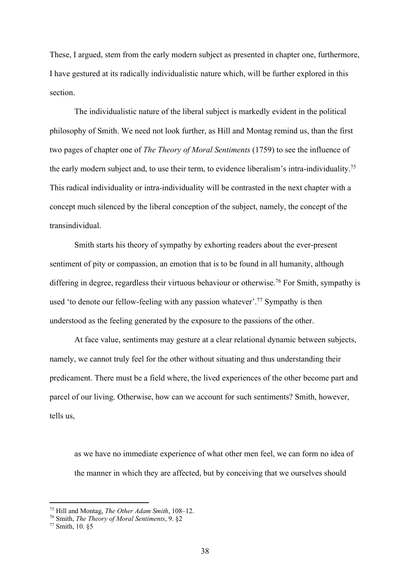These, I argued, stem from the early modern subject as presented in chapter one, furthermore, I have gestured at its radically individualistic nature which, will be further explored in this section.

The individualistic nature of the liberal subject is markedly evident in the political philosophy of Smith. We need not look further, as Hill and Montag remind us, than the first two pages of chapter one of *The Theory of Moral Sentiments* (1759) to see the influence of the early modern subject and, to use their term, to evidence liberalism's intra-individuality.75 This radical individuality or intra-individuality will be contrasted in the next chapter with a concept much silenced by the liberal conception of the subject, namely, the concept of the transindividual.

Smith starts his theory of sympathy by exhorting readers about the ever-present sentiment of pity or compassion, an emotion that is to be found in all humanity, although differing in degree, regardless their virtuous behaviour or otherwise.<sup>76</sup> For Smith, sympathy is used 'to denote our fellow-feeling with any passion whatever'. <sup>77</sup> Sympathy is then understood as the feeling generated by the exposure to the passions of the other.

At face value, sentiments may gesture at a clear relational dynamic between subjects, namely, we cannot truly feel for the other without situating and thus understanding their predicament. There must be a field where, the lived experiences of the other become part and parcel of our living. Otherwise, how can we account for such sentiments? Smith, however, tells us,

as we have no immediate experience of what other men feel, we can form no idea of the manner in which they are affected, but by conceiving that we ourselves should

<sup>75</sup> Hill and Montag, *The Other Adam Smith*, 108–12.

<sup>76</sup> Smith, *The Theory of Moral Sentiments*, 9. §2

<sup>77</sup> Smith, 10. §5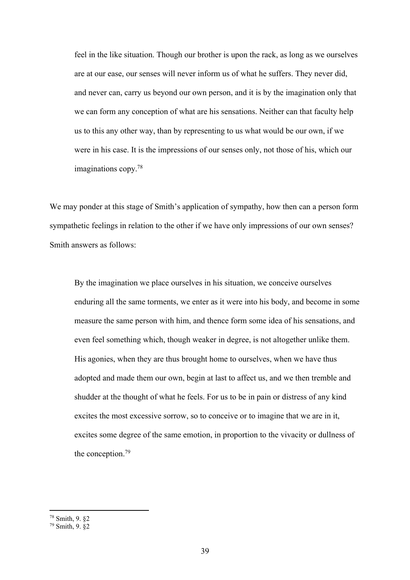feel in the like situation. Though our brother is upon the rack, as long as we ourselves are at our ease, our senses will never inform us of what he suffers. They never did, and never can, carry us beyond our own person, and it is by the imagination only that we can form any conception of what are his sensations. Neither can that faculty help us to this any other way, than by representing to us what would be our own, if we were in his case. It is the impressions of our senses only, not those of his, which our imaginations copy.78

We may ponder at this stage of Smith's application of sympathy, how then can a person form sympathetic feelings in relation to the other if we have only impressions of our own senses? Smith answers as follows:

By the imagination we place ourselves in his situation, we conceive ourselves enduring all the same torments, we enter as it were into his body, and become in some measure the same person with him, and thence form some idea of his sensations, and even feel something which, though weaker in degree, is not altogether unlike them. His agonies, when they are thus brought home to ourselves, when we have thus adopted and made them our own, begin at last to affect us, and we then tremble and shudder at the thought of what he feels. For us to be in pain or distress of any kind excites the most excessive sorrow, so to conceive or to imagine that we are in it, excites some degree of the same emotion, in proportion to the vivacity or dullness of the conception.79

<sup>78</sup> Smith, 9. §2

<sup>79</sup> Smith, 9. §2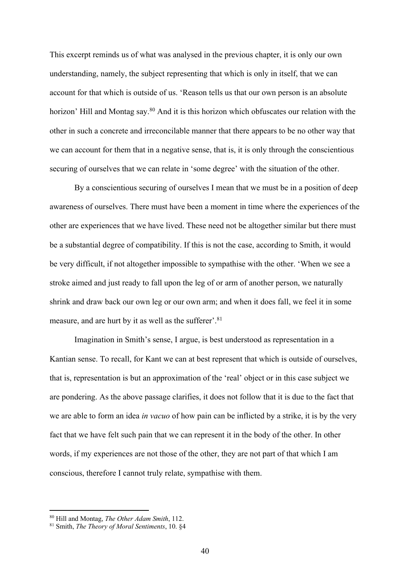This excerpt reminds us of what was analysed in the previous chapter, it is only our own understanding, namely, the subject representing that which is only in itself, that we can account for that which is outside of us. 'Reason tells us that our own person is an absolute horizon' Hill and Montag say.<sup>80</sup> And it is this horizon which obfuscates our relation with the other in such a concrete and irreconcilable manner that there appears to be no other way that we can account for them that in a negative sense, that is, it is only through the conscientious securing of ourselves that we can relate in 'some degree' with the situation of the other.

By a conscientious securing of ourselves I mean that we must be in a position of deep awareness of ourselves. There must have been a moment in time where the experiences of the other are experiences that we have lived. These need not be altogether similar but there must be a substantial degree of compatibility. If this is not the case, according to Smith, it would be very difficult, if not altogether impossible to sympathise with the other. 'When we see a stroke aimed and just ready to fall upon the leg of or arm of another person, we naturally shrink and draw back our own leg or our own arm; and when it does fall, we feel it in some measure, and are hurt by it as well as the sufferer'.<sup>81</sup>

Imagination in Smith's sense, I argue, is best understood as representation in a Kantian sense. To recall, for Kant we can at best represent that which is outside of ourselves, that is, representation is but an approximation of the 'real' object or in this case subject we are pondering. As the above passage clarifies, it does not follow that it is due to the fact that we are able to form an idea *in vacuo* of how pain can be inflicted by a strike, it is by the very fact that we have felt such pain that we can represent it in the body of the other. In other words, if my experiences are not those of the other, they are not part of that which I am conscious, therefore I cannot truly relate, sympathise with them.

<sup>80</sup> Hill and Montag, *The Other Adam Smith*, 112.

<sup>81</sup> Smith, *The Theory of Moral Sentiments*, 10. §4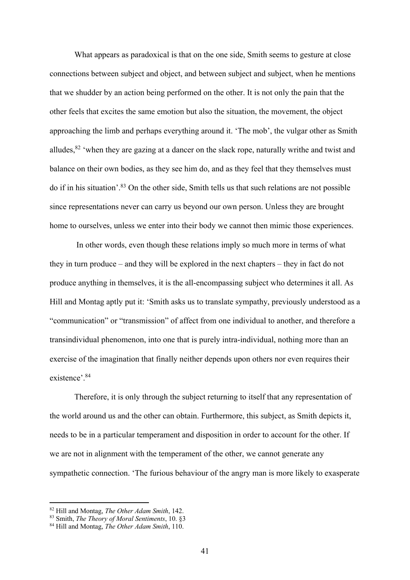What appears as paradoxical is that on the one side, Smith seems to gesture at close connections between subject and object, and between subject and subject, when he mentions that we shudder by an action being performed on the other. It is not only the pain that the other feels that excites the same emotion but also the situation, the movement, the object approaching the limb and perhaps everything around it. 'The mob', the vulgar other as Smith alludes, $82$  'when they are gazing at a dancer on the slack rope, naturally writhe and twist and balance on their own bodies, as they see him do, and as they feel that they themselves must do if in his situation'. <sup>83</sup> On the other side, Smith tells us that such relations are not possible since representations never can carry us beyond our own person. Unless they are brought home to ourselves, unless we enter into their body we cannot then mimic those experiences.

In other words, even though these relations imply so much more in terms of what they in turn produce – and they will be explored in the next chapters – they in fact do not produce anything in themselves, it is the all-encompassing subject who determines it all. As Hill and Montag aptly put it: 'Smith asks us to translate sympathy, previously understood as a "communication" or "transmission" of affect from one individual to another, and therefore a transindividual phenomenon, into one that is purely intra-individual, nothing more than an exercise of the imagination that finally neither depends upon others nor even requires their existence'. 84

Therefore, it is only through the subject returning to itself that any representation of the world around us and the other can obtain. Furthermore, this subject, as Smith depicts it, needs to be in a particular temperament and disposition in order to account for the other. If we are not in alignment with the temperament of the other, we cannot generate any sympathetic connection. 'The furious behaviour of the angry man is more likely to exasperate

<sup>82</sup> Hill and Montag, *The Other Adam Smith*, 142.

<sup>83</sup> Smith, *The Theory of Moral Sentiments*, 10. §3

<sup>84</sup> Hill and Montag, *The Other Adam Smith*, 110.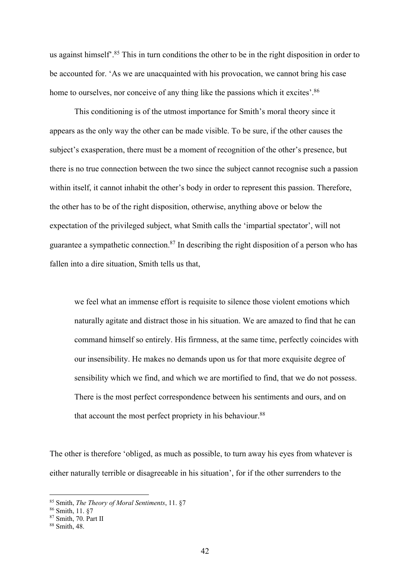us against himself<sup>2</sup>.<sup>85</sup> This in turn conditions the other to be in the right disposition in order to be accounted for. 'As we are unacquainted with his provocation, we cannot bring his case home to ourselves, nor conceive of any thing like the passions which it excites'.<sup>86</sup>

This conditioning is of the utmost importance for Smith's moral theory since it appears as the only way the other can be made visible. To be sure, if the other causes the subject's exasperation, there must be a moment of recognition of the other's presence, but there is no true connection between the two since the subject cannot recognise such a passion within itself, it cannot inhabit the other's body in order to represent this passion. Therefore, the other has to be of the right disposition, otherwise, anything above or below the expectation of the privileged subject, what Smith calls the 'impartial spectator', will not guarantee a sympathetic connection. $87$  In describing the right disposition of a person who has fallen into a dire situation, Smith tells us that,

we feel what an immense effort is requisite to silence those violent emotions which naturally agitate and distract those in his situation. We are amazed to find that he can command himself so entirely. His firmness, at the same time, perfectly coincides with our insensibility. He makes no demands upon us for that more exquisite degree of sensibility which we find, and which we are mortified to find, that we do not possess. There is the most perfect correspondence between his sentiments and ours, and on that account the most perfect propriety in his behaviour.<sup>88</sup>

The other is therefore 'obliged, as much as possible, to turn away his eyes from whatever is either naturally terrible or disagreeable in his situation', for if the other surrenders to the

<sup>85</sup> Smith, *The Theory of Moral Sentiments*, 11. §7

<sup>86</sup> Smith, 11. §7

 $87$  Smith, 70. Part II<br> $88$  Smith, 48.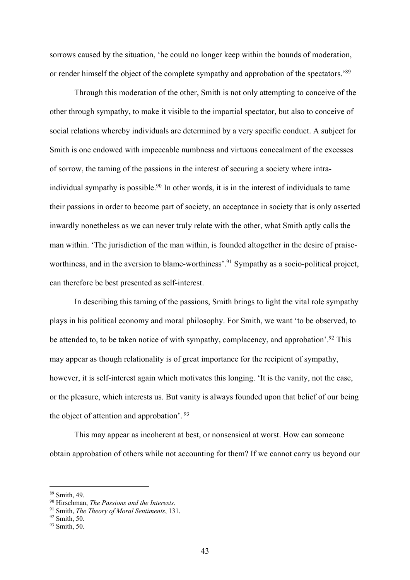sorrows caused by the situation, 'he could no longer keep within the bounds of moderation, or render himself the object of the complete sympathy and approbation of the spectators.'89

Through this moderation of the other, Smith is not only attempting to conceive of the other through sympathy, to make it visible to the impartial spectator, but also to conceive of social relations whereby individuals are determined by a very specific conduct. A subject for Smith is one endowed with impeccable numbness and virtuous concealment of the excesses of sorrow, the taming of the passions in the interest of securing a society where intraindividual sympathy is possible.<sup>90</sup> In other words, it is in the interest of individuals to tame their passions in order to become part of society, an acceptance in society that is only asserted inwardly nonetheless as we can never truly relate with the other, what Smith aptly calls the man within. 'The jurisdiction of the man within, is founded altogether in the desire of praiseworthiness, and in the aversion to blame-worthiness'.<sup>91</sup> Sympathy as a socio-political project, can therefore be best presented as self-interest.

In describing this taming of the passions, Smith brings to light the vital role sympathy plays in his political economy and moral philosophy. For Smith, we want 'to be observed, to be attended to, to be taken notice of with sympathy, complacency, and approbation'.<sup>92</sup> This may appear as though relationality is of great importance for the recipient of sympathy, however, it is self-interest again which motivates this longing. 'It is the vanity, not the ease, or the pleasure, which interests us. But vanity is always founded upon that belief of our being the object of attention and approbation'. <sup>93</sup>

This may appear as incoherent at best, or nonsensical at worst. How can someone obtain approbation of others while not accounting for them? If we cannot carry us beyond our

<sup>89</sup> Smith, 49.

<sup>90</sup> Hirschman, *The Passions and the Interests*.

<sup>91</sup> Smith, *The Theory of Moral Sentiments*, 131.

<sup>92</sup> Smith, 50.

<sup>93</sup> Smith, 50.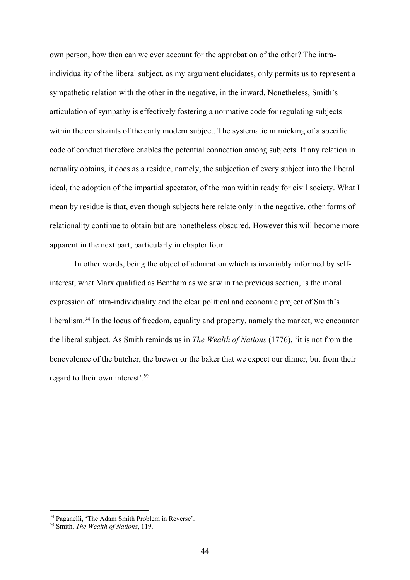own person, how then can we ever account for the approbation of the other? The intraindividuality of the liberal subject, as my argument elucidates, only permits us to represent a sympathetic relation with the other in the negative, in the inward. Nonetheless, Smith's articulation of sympathy is effectively fostering a normative code for regulating subjects within the constraints of the early modern subject. The systematic mimicking of a specific code of conduct therefore enables the potential connection among subjects. If any relation in actuality obtains, it does as a residue, namely, the subjection of every subject into the liberal ideal, the adoption of the impartial spectator, of the man within ready for civil society. What I mean by residue is that, even though subjects here relate only in the negative, other forms of relationality continue to obtain but are nonetheless obscured. However this will become more apparent in the next part, particularly in chapter four.

In other words, being the object of admiration which is invariably informed by selfinterest, what Marx qualified as Bentham as we saw in the previous section, is the moral expression of intra-individuality and the clear political and economic project of Smith's liberalism.<sup>94</sup> In the locus of freedom, equality and property, namely the market, we encounter the liberal subject. As Smith reminds us in *The Wealth of Nations* (1776), 'it is not from the benevolence of the butcher, the brewer or the baker that we expect our dinner, but from their regard to their own interest'. 95

<sup>94</sup> Paganelli, 'The Adam Smith Problem in Reverse'.

<sup>95</sup> Smith, *The Wealth of Nations*, 119.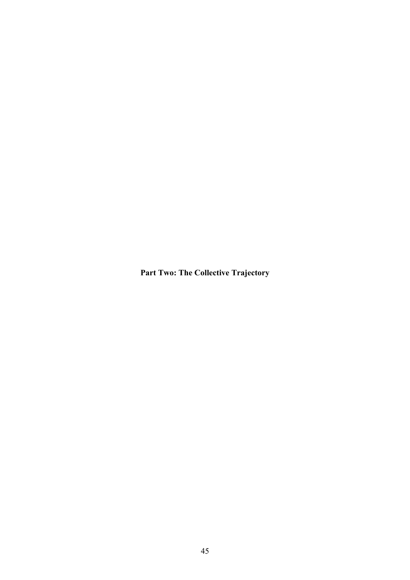**Part Two: The Collective Trajectory**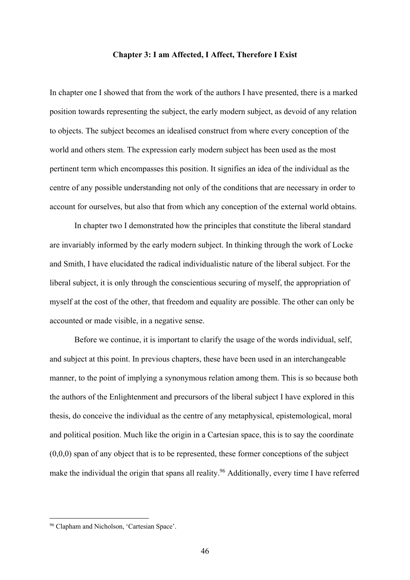### **Chapter 3: I am Affected, I Affect, Therefore I Exist**

In chapter one I showed that from the work of the authors I have presented, there is a marked position towards representing the subject, the early modern subject, as devoid of any relation to objects. The subject becomes an idealised construct from where every conception of the world and others stem. The expression early modern subject has been used as the most pertinent term which encompasses this position. It signifies an idea of the individual as the centre of any possible understanding not only of the conditions that are necessary in order to account for ourselves, but also that from which any conception of the external world obtains.

In chapter two I demonstrated how the principles that constitute the liberal standard are invariably informed by the early modern subject. In thinking through the work of Locke and Smith, I have elucidated the radical individualistic nature of the liberal subject. For the liberal subject, it is only through the conscientious securing of myself, the appropriation of myself at the cost of the other, that freedom and equality are possible. The other can only be accounted or made visible, in a negative sense.

Before we continue, it is important to clarify the usage of the words individual, self, and subject at this point. In previous chapters, these have been used in an interchangeable manner, to the point of implying a synonymous relation among them. This is so because both the authors of the Enlightenment and precursors of the liberal subject I have explored in this thesis, do conceive the individual as the centre of any metaphysical, epistemological, moral and political position. Much like the origin in a Cartesian space, this is to say the coordinate  $(0,0,0)$  span of any object that is to be represented, these former conceptions of the subject make the individual the origin that spans all reality.<sup>96</sup> Additionally, every time I have referred

<sup>&</sup>lt;sup>96</sup> Clapham and Nicholson, 'Cartesian Space'.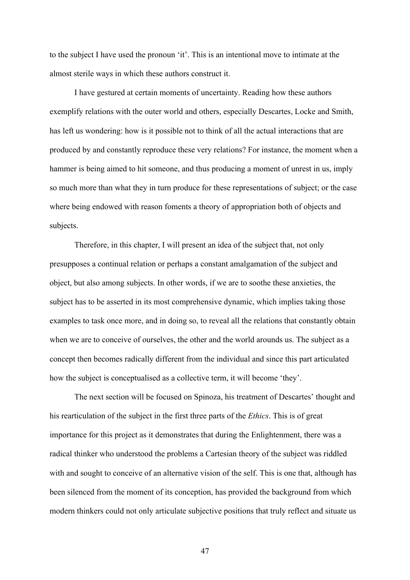to the subject I have used the pronoun 'it'. This is an intentional move to intimate at the almost sterile ways in which these authors construct it.

I have gestured at certain moments of uncertainty. Reading how these authors exemplify relations with the outer world and others, especially Descartes, Locke and Smith, has left us wondering: how is it possible not to think of all the actual interactions that are produced by and constantly reproduce these very relations? For instance, the moment when a hammer is being aimed to hit someone, and thus producing a moment of unrest in us, imply so much more than what they in turn produce for these representations of subject; or the case where being endowed with reason foments a theory of appropriation both of objects and subjects.

Therefore, in this chapter, I will present an idea of the subject that, not only presupposes a continual relation or perhaps a constant amalgamation of the subject and object, but also among subjects. In other words, if we are to soothe these anxieties, the subject has to be asserted in its most comprehensive dynamic, which implies taking those examples to task once more, and in doing so, to reveal all the relations that constantly obtain when we are to conceive of ourselves, the other and the world arounds us. The subject as a concept then becomes radically different from the individual and since this part articulated how the subject is conceptualised as a collective term, it will become 'they'.

The next section will be focused on Spinoza, his treatment of Descartes' thought and his rearticulation of the subject in the first three parts of the *Ethics*. This is of great importance for this project as it demonstrates that during the Enlightenment, there was a radical thinker who understood the problems a Cartesian theory of the subject was riddled with and sought to conceive of an alternative vision of the self. This is one that, although has been silenced from the moment of its conception, has provided the background from which modern thinkers could not only articulate subjective positions that truly reflect and situate us

47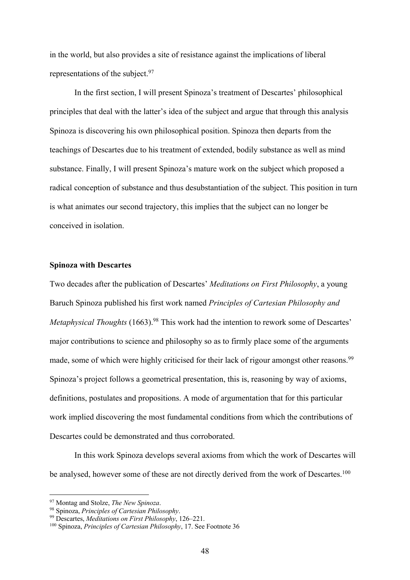in the world, but also provides a site of resistance against the implications of liberal representations of the subject.<sup>97</sup>

In the first section, I will present Spinoza's treatment of Descartes' philosophical principles that deal with the latter's idea of the subject and argue that through this analysis Spinoza is discovering his own philosophical position. Spinoza then departs from the teachings of Descartes due to his treatment of extended, bodily substance as well as mind substance. Finally, I will present Spinoza's mature work on the subject which proposed a radical conception of substance and thus desubstantiation of the subject. This position in turn is what animates our second trajectory, this implies that the subject can no longer be conceived in isolation.

# **Spinoza with Descartes**

Two decades after the publication of Descartes' *Meditations on First Philosophy*, a young Baruch Spinoza published his first work named *Principles of Cartesian Philosophy and*  Metaphysical Thoughts (1663).<sup>98</sup> This work had the intention to rework some of Descartes' major contributions to science and philosophy so as to firmly place some of the arguments made, some of which were highly criticised for their lack of rigour amongst other reasons.<sup>99</sup> Spinoza's project follows a geometrical presentation, this is, reasoning by way of axioms, definitions, postulates and propositions. A mode of argumentation that for this particular work implied discovering the most fundamental conditions from which the contributions of Descartes could be demonstrated and thus corroborated.

In this work Spinoza develops several axioms from which the work of Descartes will be analysed, however some of these are not directly derived from the work of Descartes.<sup>100</sup>

<sup>97</sup> Montag and Stolze, *The New Spinoza*.

<sup>98</sup> Spinoza, *Principles of Cartesian Philosophy*.

<sup>99</sup> Descartes, *Meditations on First Philosophy*, 126–221.

<sup>100</sup> Spinoza, *Principles of Cartesian Philosophy*, 17. See Footnote 36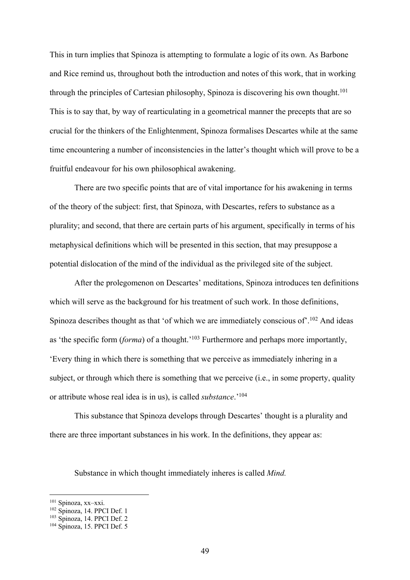This in turn implies that Spinoza is attempting to formulate a logic of its own. As Barbone and Rice remind us, throughout both the introduction and notes of this work, that in working through the principles of Cartesian philosophy, Spinoza is discovering his own thought.<sup>101</sup> This is to say that, by way of rearticulating in a geometrical manner the precepts that are so crucial for the thinkers of the Enlightenment, Spinoza formalises Descartes while at the same time encountering a number of inconsistencies in the latter's thought which will prove to be a fruitful endeavour for his own philosophical awakening.

There are two specific points that are of vital importance for his awakening in terms of the theory of the subject: first, that Spinoza, with Descartes, refers to substance as a plurality; and second, that there are certain parts of his argument, specifically in terms of his metaphysical definitions which will be presented in this section, that may presuppose a potential dislocation of the mind of the individual as the privileged site of the subject.

After the prolegomenon on Descartes' meditations, Spinoza introduces ten definitions which will serve as the background for his treatment of such work. In those definitions, Spinoza describes thought as that 'of which we are immediately conscious of'.<sup>102</sup> And ideas as 'the specific form (*forma*) of a thought.' <sup>103</sup> Furthermore and perhaps more importantly, 'Every thing in which there is something that we perceive as immediately inhering in a subject, or through which there is something that we perceive (i.e., in some property, quality or attribute whose real idea is in us), is called *substance*.'104

This substance that Spinoza develops through Descartes' thought is a plurality and there are three important substances in his work. In the definitions, they appear as:

Substance in which thought immediately inheres is called *Mind.*

<sup>101</sup> Spinoza, xx–xxi.

<sup>102</sup> Spinoza, 14. PPCI Def. 1

<sup>&</sup>lt;sup>103</sup> Spinoza, 14. PPCI Def. 2

<sup>104</sup> Spinoza, 15. PPCI Def. 5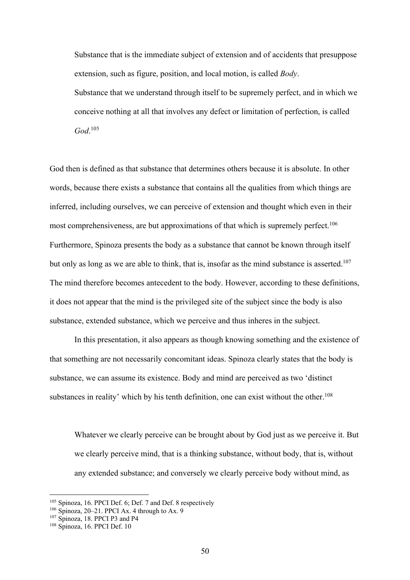Substance that is the immediate subject of extension and of accidents that presuppose extension, such as figure, position, and local motion, is called *Body*. Substance that we understand through itself to be supremely perfect, and in which we conceive nothing at all that involves any defect or limitation of perfection, is called

*God*. 105

God then is defined as that substance that determines others because it is absolute. In other words, because there exists a substance that contains all the qualities from which things are inferred, including ourselves, we can perceive of extension and thought which even in their most comprehensiveness, are but approximations of that which is supremely perfect.<sup>106</sup> Furthermore, Spinoza presents the body as a substance that cannot be known through itself but only as long as we are able to think, that is, insofar as the mind substance is asserted.<sup>107</sup> The mind therefore becomes antecedent to the body. However, according to these definitions, it does not appear that the mind is the privileged site of the subject since the body is also substance, extended substance, which we perceive and thus inheres in the subject.

In this presentation, it also appears as though knowing something and the existence of that something are not necessarily concomitant ideas. Spinoza clearly states that the body is substance, we can assume its existence. Body and mind are perceived as two 'distinct substances in reality' which by his tenth definition, one can exist without the other. $108$ 

Whatever we clearly perceive can be brought about by God just as we perceive it. But we clearly perceive mind, that is a thinking substance, without body, that is, without any extended substance; and conversely we clearly perceive body without mind, as

<sup>105</sup> Spinoza, 16. PPCI Def. 6; Def. 7 and Def. 8 respectively

<sup>106</sup> Spinoza, 20–21. PPCI Ax. 4 through to Ax. 9

<sup>&</sup>lt;sup>107</sup> Spinoza, 18. PPCI P3 and P4

<sup>108</sup> Spinoza, 16. PPCI Def. 10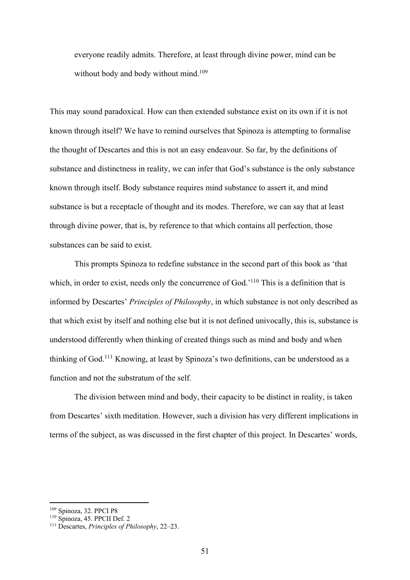everyone readily admits. Therefore, at least through divine power, mind can be without body and body without mind.<sup>109</sup>

This may sound paradoxical. How can then extended substance exist on its own if it is not known through itself? We have to remind ourselves that Spinoza is attempting to formalise the thought of Descartes and this is not an easy endeavour. So far, by the definitions of substance and distinctness in reality, we can infer that God's substance is the only substance known through itself. Body substance requires mind substance to assert it, and mind substance is but a receptacle of thought and its modes. Therefore, we can say that at least through divine power, that is, by reference to that which contains all perfection, those substances can be said to exist.

This prompts Spinoza to redefine substance in the second part of this book as 'that which, in order to exist, needs only the concurrence of God.<sup>'110</sup> This is a definition that is informed by Descartes' *Principles of Philosophy*, in which substance is not only described as that which exist by itself and nothing else but it is not defined univocally, this is, substance is understood differently when thinking of created things such as mind and body and when thinking of God.<sup>111</sup> Knowing, at least by Spinoza's two definitions, can be understood as a function and not the substratum of the self.

The division between mind and body, their capacity to be distinct in reality, is taken from Descartes' sixth meditation. However, such a division has very different implications in terms of the subject, as was discussed in the first chapter of this project. In Descartes' words,

<sup>109</sup> Spinoza, 32. PPCI P8

<sup>110</sup> Spinoza, 45. PPCII Def. 2

<sup>111</sup> Descartes, *Principles of Philosophy*, 22–23.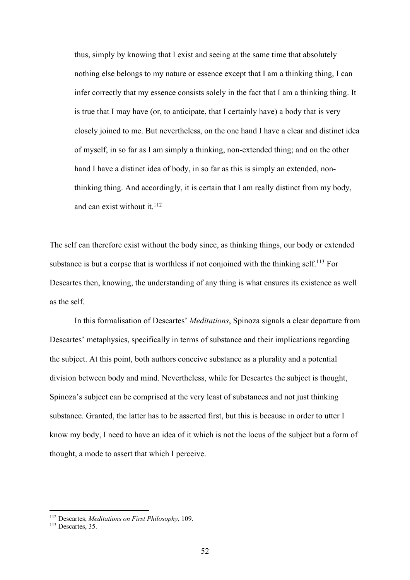thus, simply by knowing that I exist and seeing at the same time that absolutely nothing else belongs to my nature or essence except that I am a thinking thing, I can infer correctly that my essence consists solely in the fact that I am a thinking thing. It is true that I may have (or, to anticipate, that I certainly have) a body that is very closely joined to me. But nevertheless, on the one hand I have a clear and distinct idea of myself, in so far as I am simply a thinking, non-extended thing; and on the other hand I have a distinct idea of body, in so far as this is simply an extended, nonthinking thing. And accordingly, it is certain that I am really distinct from my body, and can exist without it. $112$ 

The self can therefore exist without the body since, as thinking things, our body or extended substance is but a corpse that is worthless if not conjoined with the thinking self.<sup>113</sup> For Descartes then, knowing, the understanding of any thing is what ensures its existence as well as the self.

In this formalisation of Descartes' *Meditations*, Spinoza signals a clear departure from Descartes' metaphysics, specifically in terms of substance and their implications regarding the subject. At this point, both authors conceive substance as a plurality and a potential division between body and mind. Nevertheless, while for Descartes the subject is thought, Spinoza's subject can be comprised at the very least of substances and not just thinking substance. Granted, the latter has to be asserted first, but this is because in order to utter I know my body, I need to have an idea of it which is not the locus of the subject but a form of thought, a mode to assert that which I perceive.

<sup>112</sup> Descartes, *Meditations on First Philosophy*, 109.

<sup>&</sup>lt;sup>113</sup> Descartes, 35.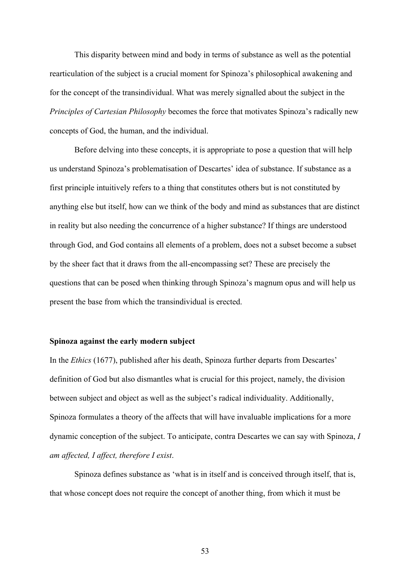This disparity between mind and body in terms of substance as well as the potential rearticulation of the subject is a crucial moment for Spinoza's philosophical awakening and for the concept of the transindividual. What was merely signalled about the subject in the *Principles of Cartesian Philosophy* becomes the force that motivates Spinoza's radically new concepts of God, the human, and the individual.

Before delving into these concepts, it is appropriate to pose a question that will help us understand Spinoza's problematisation of Descartes' idea of substance. If substance as a first principle intuitively refers to a thing that constitutes others but is not constituted by anything else but itself, how can we think of the body and mind as substances that are distinct in reality but also needing the concurrence of a higher substance? If things are understood through God, and God contains all elements of a problem, does not a subset become a subset by the sheer fact that it draws from the all-encompassing set? These are precisely the questions that can be posed when thinking through Spinoza's magnum opus and will help us present the base from which the transindividual is erected.

## **Spinoza against the early modern subject**

In the *Ethics* (1677), published after his death, Spinoza further departs from Descartes' definition of God but also dismantles what is crucial for this project, namely, the division between subject and object as well as the subject's radical individuality. Additionally, Spinoza formulates a theory of the affects that will have invaluable implications for a more dynamic conception of the subject. To anticipate, contra Descartes we can say with Spinoza, *I am affected, I affect, therefore I exist*.

Spinoza defines substance as 'what is in itself and is conceived through itself, that is, that whose concept does not require the concept of another thing, from which it must be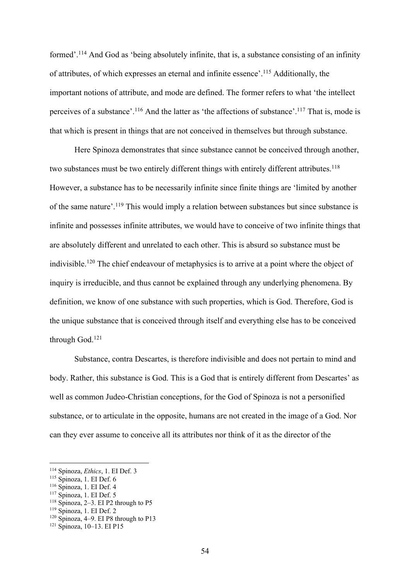formed'.<sup>114</sup> And God as 'being absolutely infinite, that is, a substance consisting of an infinity of attributes, of which expresses an eternal and infinite essence'. <sup>115</sup> Additionally, the important notions of attribute, and mode are defined. The former refers to what 'the intellect perceives of a substance'.<sup>116</sup> And the latter as 'the affections of substance'.<sup>117</sup> That is, mode is that which is present in things that are not conceived in themselves but through substance.

Here Spinoza demonstrates that since substance cannot be conceived through another, two substances must be two entirely different things with entirely different attributes.<sup>118</sup> However, a substance has to be necessarily infinite since finite things are 'limited by another of the same nature'.<sup>119</sup> This would imply a relation between substances but since substance is infinite and possesses infinite attributes, we would have to conceive of two infinite things that are absolutely different and unrelated to each other. This is absurd so substance must be indivisible.<sup>120</sup> The chief endeavour of metaphysics is to arrive at a point where the object of inquiry is irreducible, and thus cannot be explained through any underlying phenomena. By definition, we know of one substance with such properties, which is God. Therefore, God is the unique substance that is conceived through itself and everything else has to be conceived through God.121

Substance, contra Descartes, is therefore indivisible and does not pertain to mind and body. Rather, this substance is God. This is a God that is entirely different from Descartes' as well as common Judeo-Christian conceptions, for the God of Spinoza is not a personified substance, or to articulate in the opposite, humans are not created in the image of a God. Nor can they ever assume to conceive all its attributes nor think of it as the director of the

<sup>114</sup> Spinoza, *Ethics*, 1. EI Def. 3

<sup>115</sup> Spinoza, 1. EI Def. 6

<sup>116</sup> Spinoza, 1. EI Def. 4

 $117$  Spinoza, 1. EI Def. 5

<sup>118</sup> Spinoza, 2–3. EI P2 through to P5

<sup>119</sup> Spinoza, 1. EI Def. 2

<sup>120</sup> Spinoza, 4–9. EI P8 through to P13

<sup>121</sup> Spinoza, 10–13. EI P15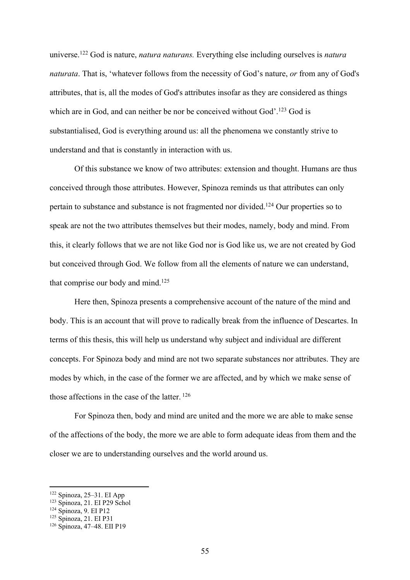universe.122 God is nature, *natura naturans.* Everything else including ourselves is *natura naturata*. That is, 'whatever follows from the necessity of God's nature, *or* from any of God's attributes, that is, all the modes of God's attributes insofar as they are considered as things which are in God, and can neither be nor be conceived without God'.<sup>123</sup> God is substantialised, God is everything around us: all the phenomena we constantly strive to understand and that is constantly in interaction with us.

Of this substance we know of two attributes: extension and thought. Humans are thus conceived through those attributes. However, Spinoza reminds us that attributes can only pertain to substance and substance is not fragmented nor divided.124 Our properties so to speak are not the two attributes themselves but their modes, namely, body and mind. From this, it clearly follows that we are not like God nor is God like us, we are not created by God but conceived through God. We follow from all the elements of nature we can understand, that comprise our body and mind. $125$ 

Here then, Spinoza presents a comprehensive account of the nature of the mind and body. This is an account that will prove to radically break from the influence of Descartes. In terms of this thesis, this will help us understand why subject and individual are different concepts. For Spinoza body and mind are not two separate substances nor attributes. They are modes by which, in the case of the former we are affected, and by which we make sense of those affections in the case of the latter. <sup>126</sup>

For Spinoza then, body and mind are united and the more we are able to make sense of the affections of the body, the more we are able to form adequate ideas from them and the closer we are to understanding ourselves and the world around us.

<sup>122</sup> Spinoza, 25–31. EI App

<sup>123</sup> Spinoza, 21. EI P29 Schol

<sup>124</sup> Spinoza, 9. EI P12

<sup>125</sup> Spinoza, 21. EI P31

<sup>126</sup> Spinoza, 47–48. EII P19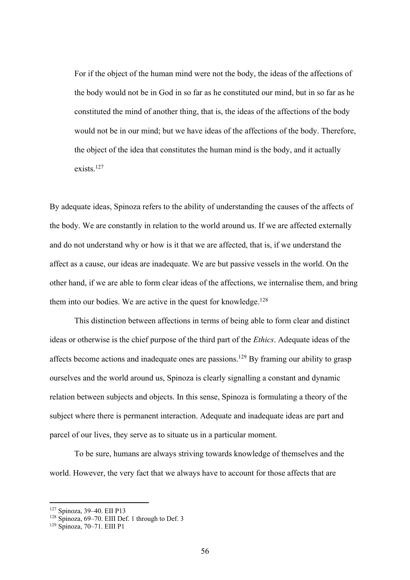For if the object of the human mind were not the body, the ideas of the affections of the body would not be in God in so far as he constituted our mind, but in so far as he constituted the mind of another thing, that is, the ideas of the affections of the body would not be in our mind; but we have ideas of the affections of the body. Therefore, the object of the idea that constitutes the human mind is the body, and it actually exists. 127

By adequate ideas, Spinoza refers to the ability of understanding the causes of the affects of the body. We are constantly in relation to the world around us. If we are affected externally and do not understand why or how is it that we are affected, that is, if we understand the affect as a cause, our ideas are inadequate. We are but passive vessels in the world. On the other hand, if we are able to form clear ideas of the affections, we internalise them, and bring them into our bodies. We are active in the quest for knowledge.<sup>128</sup>

This distinction between affections in terms of being able to form clear and distinct ideas or otherwise is the chief purpose of the third part of the *Ethics*. Adequate ideas of the affects become actions and inadequate ones are passions.129 By framing our ability to grasp ourselves and the world around us, Spinoza is clearly signalling a constant and dynamic relation between subjects and objects. In this sense, Spinoza is formulating a theory of the subject where there is permanent interaction. Adequate and inadequate ideas are part and parcel of our lives, they serve as to situate us in a particular moment.

To be sure, humans are always striving towards knowledge of themselves and the world. However, the very fact that we always have to account for those affects that are

<sup>127</sup> Spinoza, 39–40. EII P13

<sup>128</sup> Spinoza, 69-70. EIII Def. 1 through to Def. 3

<sup>129</sup> Spinoza, 70–71. EIII P1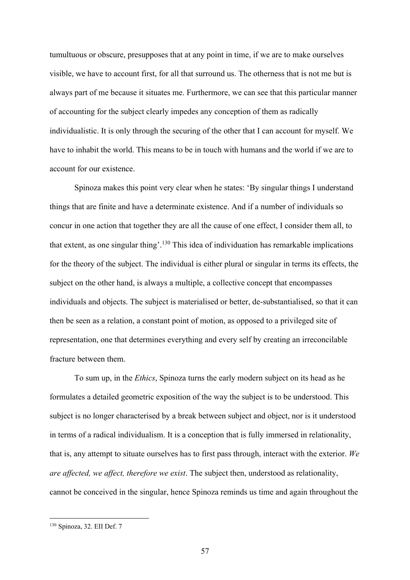tumultuous or obscure, presupposes that at any point in time, if we are to make ourselves visible, we have to account first, for all that surround us. The otherness that is not me but is always part of me because it situates me. Furthermore, we can see that this particular manner of accounting for the subject clearly impedes any conception of them as radically individualistic. It is only through the securing of the other that I can account for myself. We have to inhabit the world. This means to be in touch with humans and the world if we are to account for our existence.

Spinoza makes this point very clear when he states: 'By singular things I understand things that are finite and have a determinate existence. And if a number of individuals so concur in one action that together they are all the cause of one effect, I consider them all, to that extent, as one singular thing'.<sup>130</sup> This idea of individuation has remarkable implications for the theory of the subject. The individual is either plural or singular in terms its effects, the subject on the other hand, is always a multiple, a collective concept that encompasses individuals and objects. The subject is materialised or better, de-substantialised, so that it can then be seen as a relation, a constant point of motion, as opposed to a privileged site of representation, one that determines everything and every self by creating an irreconcilable fracture between them.

To sum up, in the *Ethics*, Spinoza turns the early modern subject on its head as he formulates a detailed geometric exposition of the way the subject is to be understood. This subject is no longer characterised by a break between subject and object, nor is it understood in terms of a radical individualism. It is a conception that is fully immersed in relationality, that is, any attempt to situate ourselves has to first pass through, interact with the exterior. *We are affected, we affect, therefore we exist*. The subject then, understood as relationality, cannot be conceived in the singular, hence Spinoza reminds us time and again throughout the

<sup>130</sup> Spinoza, 32. EII Def. 7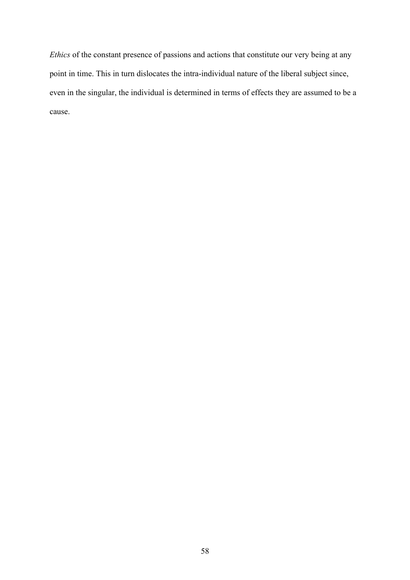*Ethics* of the constant presence of passions and actions that constitute our very being at any point in time. This in turn dislocates the intra-individual nature of the liberal subject since, even in the singular, the individual is determined in terms of effects they are assumed to be a cause.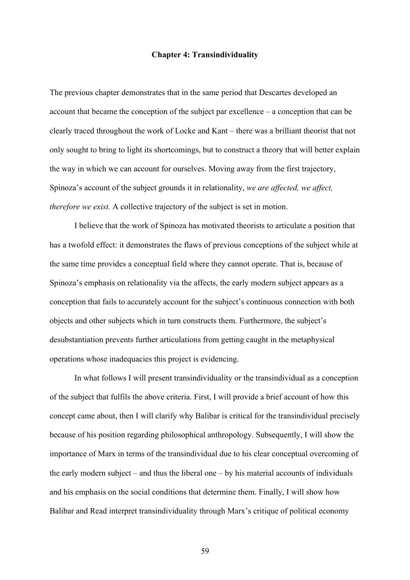### **Chapter 4: Transindividuality**

The previous chapter demonstrates that in the same period that Descartes developed an account that became the conception of the subject par excellence – a conception that can be clearly traced throughout the work of Locke and Kant – there was a brilliant theorist that not only sought to bring to light its shortcomings, but to construct a theory that will better explain the way in which we can account for ourselves. Moving away from the first trajectory, Spinoza's account of the subject grounds it in relationality, *we are affected, we affect, therefore we exist.* A collective trajectory of the subject is set in motion.

I believe that the work of Spinoza has motivated theorists to articulate a position that has a twofold effect: it demonstrates the flaws of previous conceptions of the subject while at the same time provides a conceptual field where they cannot operate. That is, because of Spinoza's emphasis on relationality via the affects, the early modern subject appears as a conception that fails to accurately account for the subject's continuous connection with both objects and other subjects which in turn constructs them. Furthermore, the subject's desubstantiation prevents further articulations from getting caught in the metaphysical operations whose inadequacies this project is evidencing.

In what follows I will present transindividuality or the transindividual as a conception of the subject that fulfils the above criteria. First, I will provide a brief account of how this concept came about, then I will clarify why Balibar is critical for the transindividual precisely because of his position regarding philosophical anthropology. Subsequently, I will show the importance of Marx in terms of the transindividual due to his clear conceptual overcoming of the early modern subject – and thus the liberal one – by his material accounts of individuals and his emphasis on the social conditions that determine them. Finally, I will show how Balibar and Read interpret transindividuality through Marx's critique of political economy

59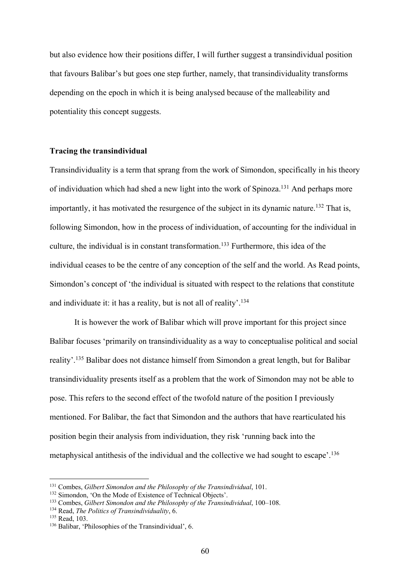but also evidence how their positions differ, I will further suggest a transindividual position that favours Balibar's but goes one step further, namely, that transindividuality transforms depending on the epoch in which it is being analysed because of the malleability and potentiality this concept suggests.

## **Tracing the transindividual**

Transindividuality is a term that sprang from the work of Simondon, specifically in his theory of individuation which had shed a new light into the work of Spinoza.<sup>131</sup> And perhaps more importantly, it has motivated the resurgence of the subject in its dynamic nature.<sup>132</sup> That is, following Simondon, how in the process of individuation, of accounting for the individual in culture, the individual is in constant transformation.133 Furthermore, this idea of the individual ceases to be the centre of any conception of the self and the world. As Read points, Simondon's concept of 'the individual is situated with respect to the relations that constitute and individuate it: it has a reality, but is not all of reality'.<sup>134</sup>

It is however the work of Balibar which will prove important for this project since Balibar focuses 'primarily on transindividuality as a way to conceptualise political and social reality'.<sup>135</sup> Balibar does not distance himself from Simondon a great length, but for Balibar transindividuality presents itself as a problem that the work of Simondon may not be able to pose. This refers to the second effect of the twofold nature of the position I previously mentioned. For Balibar, the fact that Simondon and the authors that have rearticulated his position begin their analysis from individuation, they risk 'running back into the metaphysical antithesis of the individual and the collective we had sought to escape'. 136

<sup>131</sup> Combes, *Gilbert Simondon and the Philosophy of the Transindividual*, 101.

<sup>&</sup>lt;sup>132</sup> Simondon, 'On the Mode of Existence of Technical Objects'.

<sup>133</sup> Combes, *Gilbert Simondon and the Philosophy of the Transindividual*, 100–108.

<sup>134</sup> Read, *The Politics of Transindividuality*, 6.

<sup>135</sup> Read, 103.

<sup>136</sup> Balibar, 'Philosophies of the Transindividual', 6.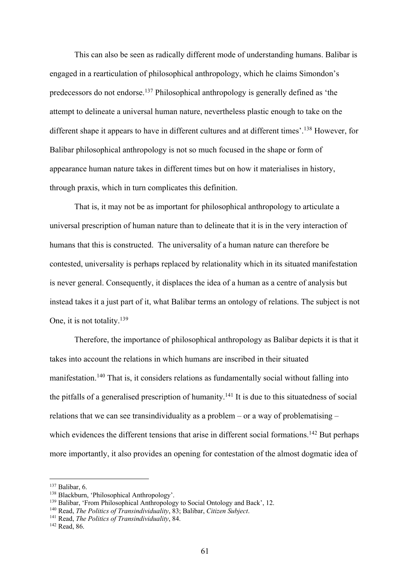This can also be seen as radically different mode of understanding humans. Balibar is engaged in a rearticulation of philosophical anthropology, which he claims Simondon's predecessors do not endorse.137 Philosophical anthropology is generally defined as 'the attempt to delineate a universal human nature, nevertheless plastic enough to take on the different shape it appears to have in different cultures and at different times'.138 However, for Balibar philosophical anthropology is not so much focused in the shape or form of appearance human nature takes in different times but on how it materialises in history, through praxis, which in turn complicates this definition.

That is, it may not be as important for philosophical anthropology to articulate a universal prescription of human nature than to delineate that it is in the very interaction of humans that this is constructed. The universality of a human nature can therefore be contested, universality is perhaps replaced by relationality which in its situated manifestation is never general. Consequently, it displaces the idea of a human as a centre of analysis but instead takes it a just part of it, what Balibar terms an ontology of relations. The subject is not One, it is not totality.<sup>139</sup>

Therefore, the importance of philosophical anthropology as Balibar depicts it is that it takes into account the relations in which humans are inscribed in their situated manifestation.140 That is, it considers relations as fundamentally social without falling into the pitfalls of a generalised prescription of humanity.<sup>141</sup> It is due to this situatedness of social relations that we can see transindividuality as a problem – or a way of problematising – which evidences the different tensions that arise in different social formations.<sup>142</sup> But perhaps more importantly, it also provides an opening for contestation of the almost dogmatic idea of

<sup>137</sup> Balibar, 6.

<sup>138</sup> Blackburn, 'Philosophical Anthropology'.

<sup>139</sup> Balibar, 'From Philosophical Anthropology to Social Ontology and Back', 12.

<sup>140</sup> Read, *The Politics of Transindividuality*, 83; Balibar, *Citizen Subject*.

<sup>141</sup> Read, *The Politics of Transindividuality*, 84.

<sup>142</sup> Read, 86.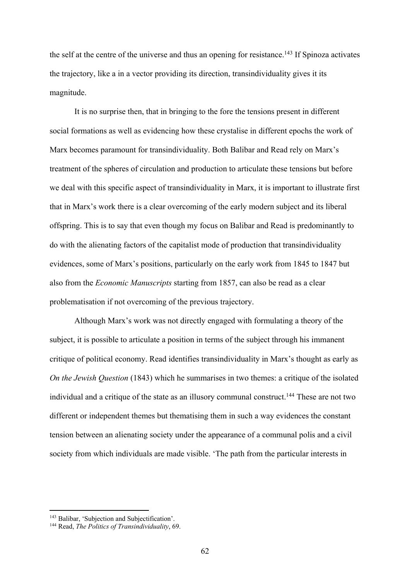the self at the centre of the universe and thus an opening for resistance.<sup>143</sup> If Spinoza activates the trajectory, like a in a vector providing its direction, transindividuality gives it its magnitude.

It is no surprise then, that in bringing to the fore the tensions present in different social formations as well as evidencing how these crystalise in different epochs the work of Marx becomes paramount for transindividuality. Both Balibar and Read rely on Marx's treatment of the spheres of circulation and production to articulate these tensions but before we deal with this specific aspect of transindividuality in Marx, it is important to illustrate first that in Marx's work there is a clear overcoming of the early modern subject and its liberal offspring. This is to say that even though my focus on Balibar and Read is predominantly to do with the alienating factors of the capitalist mode of production that transindividuality evidences, some of Marx's positions, particularly on the early work from 1845 to 1847 but also from the *Economic Manuscripts* starting from 1857, can also be read as a clear problematisation if not overcoming of the previous trajectory.

Although Marx's work was not directly engaged with formulating a theory of the subject, it is possible to articulate a position in terms of the subject through his immanent critique of political economy. Read identifies transindividuality in Marx's thought as early as *On the Jewish Question* (1843) which he summarises in two themes: a critique of the isolated individual and a critique of the state as an illusory communal construct.<sup>144</sup> These are not two different or independent themes but thematising them in such a way evidences the constant tension between an alienating society under the appearance of a communal polis and a civil society from which individuals are made visible. 'The path from the particular interests in

<sup>143</sup> Balibar, 'Subjection and Subjectification'.

<sup>144</sup> Read, *The Politics of Transindividuality*, 69.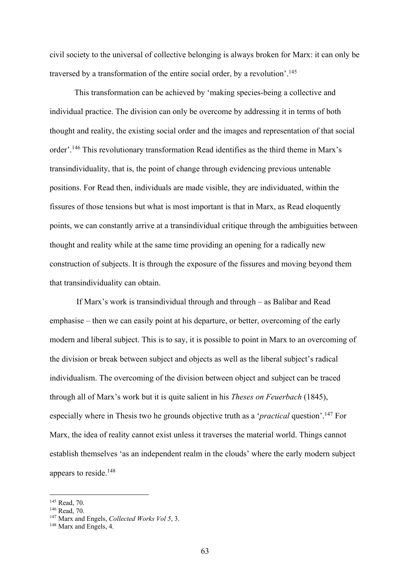civil society to the universal of collective belonging is always broken for Marx: it can only be traversed by a transformation of the entire social order, by a revolution'.<sup>145</sup>

This transformation can be achieved by 'making species-being a collective and individual practice. The division can only be overcome by addressing it in terms of both thought and reality, the existing social order and the images and representation of that social order'.<sup>146</sup> This revolutionary transformation Read identifies as the third theme in Marx's transindividuality, that is, the point of change through evidencing previous untenable positions. For Read then, individuals are made visible, they are individuated, within the fissures of those tensions but what is most important is that in Marx, as Read eloquently points, we can constantly arrive at a transindividual critique through the ambiguities between thought and reality while at the same time providing an opening for a radically new construction of subjects. It is through the exposure of the fissures and moving beyond them that transindividuality can obtain.

If Marx's work is transindividual through and through – as Balibar and Read emphasise – then we can easily point at his departure, or better, overcoming of the early modern and liberal subject. This is to say, it is possible to point in Marx to an overcoming of the division or break between subject and objects as well as the liberal subject's radical individualism. The overcoming of the division between object and subject can be traced through all of Marx's work but it is quite salient in his *Theses on Feuerbach* (1845), especially where in Thesis two he grounds objective truth as a '*practical* question'.147 For Marx, the idea of reality cannot exist unless it traverses the material world. Things cannot establish themselves 'as an independent realm in the clouds' where the early modern subject appears to reside.148

<sup>145</sup> Read, 70.

<sup>146</sup> Read, 70.

<sup>147</sup> Marx and Engels, *Collected Works Vol 5*, 3.

<sup>&</sup>lt;sup>148</sup> Marx and Engels, 4.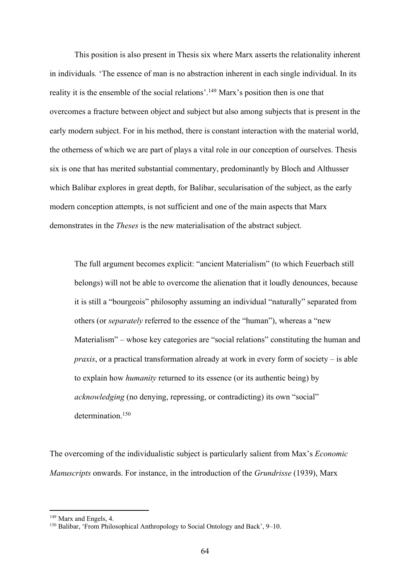This position is also present in Thesis six where Marx asserts the relationality inherent in individuals*.* 'The essence of man is no abstraction inherent in each single individual. In its reality it is the ensemble of the social relations'.<sup>149</sup> Marx's position then is one that overcomes a fracture between object and subject but also among subjects that is present in the early modern subject. For in his method, there is constant interaction with the material world, the otherness of which we are part of plays a vital role in our conception of ourselves. Thesis six is one that has merited substantial commentary, predominantly by Bloch and Althusser which Balibar explores in great depth, for Balibar, secularisation of the subject, as the early modern conception attempts, is not sufficient and one of the main aspects that Marx demonstrates in the *Theses* is the new materialisation of the abstract subject.

The full argument becomes explicit: "ancient Materialism" (to which Feuerbach still belongs) will not be able to overcome the alienation that it loudly denounces, because it is still a "bourgeois" philosophy assuming an individual "naturally" separated from others (or *separately* referred to the essence of the "human"), whereas a "new Materialism" – whose key categories are "social relations" constituting the human and *praxis*, or a practical transformation already at work in every form of society – is able to explain how *humanity* returned to its essence (or its authentic being) by *acknowledging* (no denying, repressing, or contradicting) its own "social" determination.<sup>150</sup>

The overcoming of the individualistic subject is particularly salient from Max's *Economic Manuscripts* onwards. For instance, in the introduction of the *Grundrisse* (1939), Marx

<sup>&</sup>lt;sup>149</sup> Marx and Engels, 4.

<sup>150</sup> Balibar, 'From Philosophical Anthropology to Social Ontology and Back', 9–10.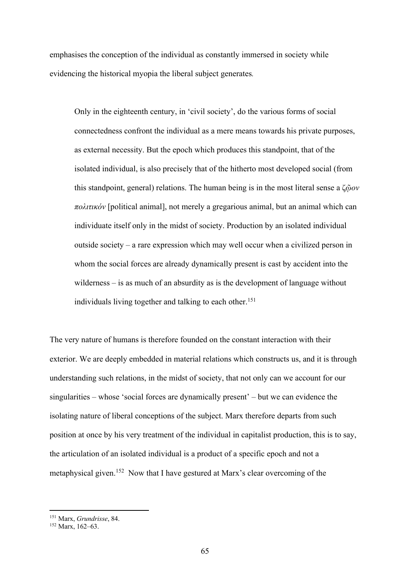emphasises the conception of the individual as constantly immersed in society while evidencing the historical myopia the liberal subject generates*.*

Only in the eighteenth century, in 'civil society', do the various forms of social connectedness confront the individual as a mere means towards his private purposes, as external necessity. But the epoch which produces this standpoint, that of the isolated individual, is also precisely that of the hitherto most developed social (from this standpoint, general) relations. The human being is in the most literal sense a ζ*ῷον πoλιτικόν* [political animal], not merely a gregarious animal, but an animal which can individuate itself only in the midst of society. Production by an isolated individual outside society – a rare expression which may well occur when a civilized person in whom the social forces are already dynamically present is cast by accident into the wilderness – is as much of an absurdity as is the development of language without individuals living together and talking to each other. 151

The very nature of humans is therefore founded on the constant interaction with their exterior. We are deeply embedded in material relations which constructs us, and it is through understanding such relations, in the midst of society, that not only can we account for our singularities – whose 'social forces are dynamically present' – but we can evidence the isolating nature of liberal conceptions of the subject. Marx therefore departs from such position at once by his very treatment of the individual in capitalist production, this is to say, the articulation of an isolated individual is a product of a specific epoch and not a metaphysical given.152 Now that I have gestured at Marx's clear overcoming of the

<sup>151</sup> Marx, *Grundrisse*, 84.

 $152$  Marx, 162-63.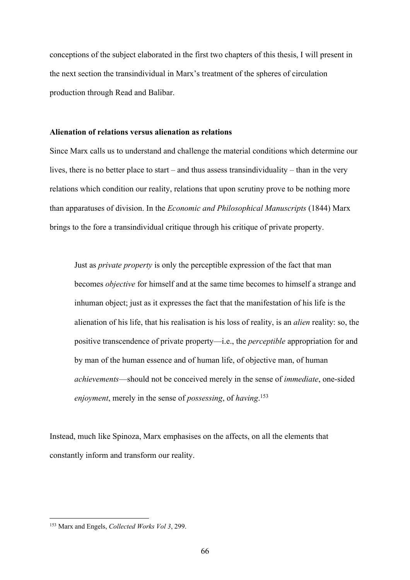conceptions of the subject elaborated in the first two chapters of this thesis, I will present in the next section the transindividual in Marx's treatment of the spheres of circulation production through Read and Balibar.

# **Alienation of relations versus alienation as relations**

Since Marx calls us to understand and challenge the material conditions which determine our lives, there is no better place to start – and thus assess transindividuality – than in the very relations which condition our reality, relations that upon scrutiny prove to be nothing more than apparatuses of division. In the *Economic and Philosophical Manuscripts* (1844) Marx brings to the fore a transindividual critique through his critique of private property.

Just as *private property* is only the perceptible expression of the fact that man becomes *objective* for himself and at the same time becomes to himself a strange and inhuman object; just as it expresses the fact that the manifestation of his life is the alienation of his life, that his realisation is his loss of reality, is an *alien* reality: so, the positive transcendence of private property—i.e., the *perceptible* appropriation for and by man of the human essence and of human life, of objective man, of human *achievements*—should not be conceived merely in the sense of *immediate*, one-sided *enjoyment*, merely in the sense of *possessing*, of *having*. 153

Instead, much like Spinoza, Marx emphasises on the affects, on all the elements that constantly inform and transform our reality.

<sup>153</sup> Marx and Engels, *Collected Works Vol 3*, 299.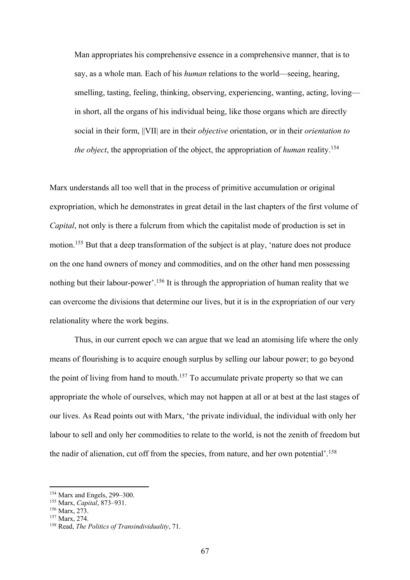Man appropriates his comprehensive essence in a comprehensive manner, that is to say, as a whole man. Each of his *human* relations to the world—seeing, hearing, smelling, tasting, feeling, thinking, observing, experiencing, wanting, acting, loving in short, all the organs of his individual being, like those organs which are directly social in their form, ||VII| are in their *objective* orientation, or in their *orientation to the object*, the appropriation of the object, the appropriation of *human* reality.<sup>154</sup>

Marx understands all too well that in the process of primitive accumulation or original expropriation, which he demonstrates in great detail in the last chapters of the first volume of *Capital*, not only is there a fulcrum from which the capitalist mode of production is set in motion.<sup>155</sup> But that a deep transformation of the subject is at play, 'nature does not produce on the one hand owners of money and commodities, and on the other hand men possessing nothing but their labour-power'.<sup>156</sup> It is through the appropriation of human reality that we can overcome the divisions that determine our lives, but it is in the expropriation of our very relationality where the work begins.

Thus, in our current epoch we can argue that we lead an atomising life where the only means of flourishing is to acquire enough surplus by selling our labour power; to go beyond the point of living from hand to mouth.<sup>157</sup> To accumulate private property so that we can appropriate the whole of ourselves, which may not happen at all or at best at the last stages of our lives. As Read points out with Marx, 'the private individual, the individual with only her labour to sell and only her commodities to relate to the world, is not the zenith of freedom but the nadir of alienation, cut off from the species, from nature, and her own potential'. 158

<sup>154</sup> Marx and Engels, 299–300.

<sup>155</sup> Marx, *Capital*, 873–931.

<sup>156</sup> Marx, 273.

<sup>157</sup> Marx, 274.

<sup>158</sup> Read, *The Politics of Transindividuality*, 71.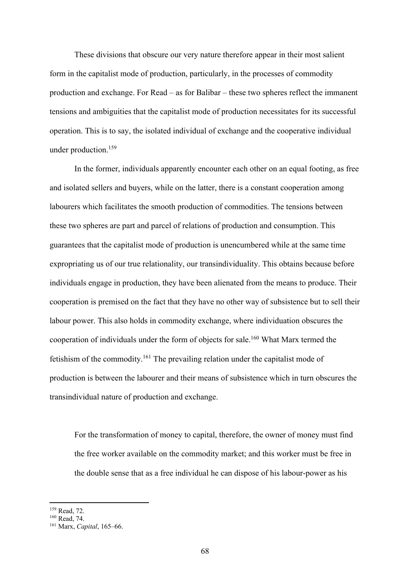These divisions that obscure our very nature therefore appear in their most salient form in the capitalist mode of production, particularly, in the processes of commodity production and exchange. For Read – as for Balibar – these two spheres reflect the immanent tensions and ambiguities that the capitalist mode of production necessitates for its successful operation. This is to say, the isolated individual of exchange and the cooperative individual under production.159

In the former, individuals apparently encounter each other on an equal footing, as free and isolated sellers and buyers, while on the latter, there is a constant cooperation among labourers which facilitates the smooth production of commodities. The tensions between these two spheres are part and parcel of relations of production and consumption. This guarantees that the capitalist mode of production is unencumbered while at the same time expropriating us of our true relationality, our transindividuality. This obtains because before individuals engage in production, they have been alienated from the means to produce. Their cooperation is premised on the fact that they have no other way of subsistence but to sell their labour power. This also holds in commodity exchange, where individuation obscures the cooperation of individuals under the form of objects for sale.160 What Marx termed the fetishism of the commodity.<sup>161</sup> The prevailing relation under the capitalist mode of production is between the labourer and their means of subsistence which in turn obscures the transindividual nature of production and exchange.

For the transformation of money to capital, therefore, the owner of money must find the free worker available on the commodity market; and this worker must be free in the double sense that as a free individual he can dispose of his labour-power as his

<sup>159</sup> Read, 72.

<sup>&</sup>lt;sup>160</sup> Read, 74.

<sup>161</sup> Marx, *Capital*, 165–66.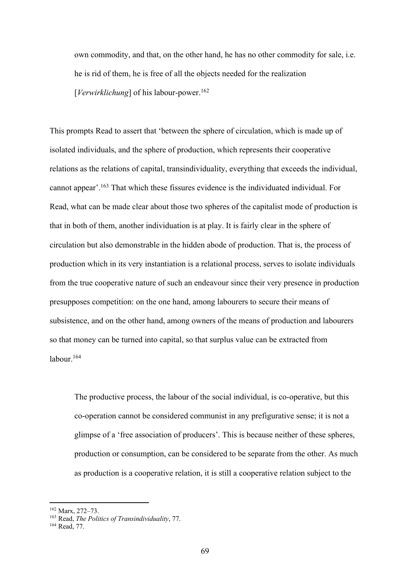own commodity, and that, on the other hand, he has no other commodity for sale, i.e. he is rid of them, he is free of all the objects needed for the realization [*Verwirklichung*] of his labour-power.<sup>162</sup>

This prompts Read to assert that 'between the sphere of circulation, which is made up of isolated individuals, and the sphere of production, which represents their cooperative relations as the relations of capital, transindividuality, everything that exceeds the individual, cannot appear'. <sup>163</sup> That which these fissures evidence is the individuated individual. For Read, what can be made clear about those two spheres of the capitalist mode of production is that in both of them, another individuation is at play. It is fairly clear in the sphere of circulation but also demonstrable in the hidden abode of production. That is, the process of production which in its very instantiation is a relational process, serves to isolate individuals from the true cooperative nature of such an endeavour since their very presence in production presupposes competition: on the one hand, among labourers to secure their means of subsistence, and on the other hand, among owners of the means of production and labourers so that money can be turned into capital, so that surplus value can be extracted from labour.<sup>164</sup>

The productive process, the labour of the social individual, is co-operative, but this co-operation cannot be considered communist in any prefigurative sense; it is not a glimpse of a 'free association of producers'. This is because neither of these spheres, production or consumption, can be considered to be separate from the other. As much as production is a cooperative relation, it is still a cooperative relation subject to the

<sup>162</sup> Marx, 272–73.

<sup>163</sup> Read, *The Politics of Transindividuality*, 77.

<sup>164</sup> Read, 77.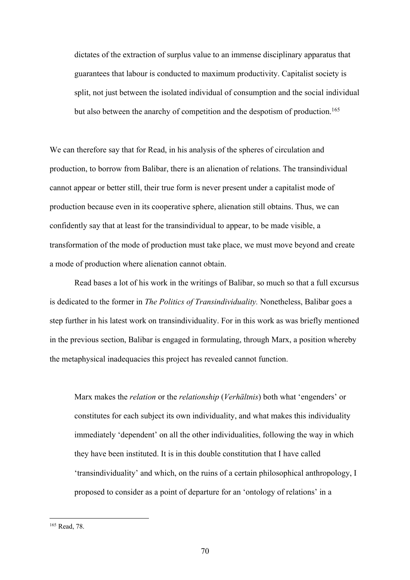dictates of the extraction of surplus value to an immense disciplinary apparatus that guarantees that labour is conducted to maximum productivity. Capitalist society is split, not just between the isolated individual of consumption and the social individual but also between the anarchy of competition and the despotism of production.<sup>165</sup>

We can therefore say that for Read, in his analysis of the spheres of circulation and production, to borrow from Balibar, there is an alienation of relations. The transindividual cannot appear or better still, their true form is never present under a capitalist mode of production because even in its cooperative sphere, alienation still obtains. Thus, we can confidently say that at least for the transindividual to appear, to be made visible, a transformation of the mode of production must take place, we must move beyond and create a mode of production where alienation cannot obtain.

Read bases a lot of his work in the writings of Balibar, so much so that a full excursus is dedicated to the former in *The Politics of Transindividuality.* Nonetheless, Balibar goes a step further in his latest work on transindividuality. For in this work as was briefly mentioned in the previous section, Balibar is engaged in formulating, through Marx, a position whereby the metaphysical inadequacies this project has revealed cannot function.

Marx makes the *relation* or the *relationship* (*Verhältnis*) both what 'engenders' or constitutes for each subject its own individuality, and what makes this individuality immediately 'dependent' on all the other individualities, following the way in which they have been instituted. It is in this double constitution that I have called 'transindividuality' and which, on the ruins of a certain philosophical anthropology, I proposed to consider as a point of departure for an 'ontology of relations' in a

<sup>165</sup> Read, 78.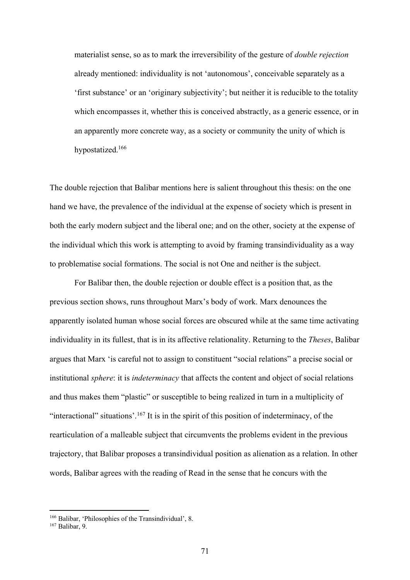materialist sense, so as to mark the irreversibility of the gesture of *double rejection* already mentioned: individuality is not 'autonomous', conceivable separately as a 'first substance' or an 'originary subjectivity'; but neither it is reducible to the totality which encompasses it, whether this is conceived abstractly, as a generic essence, or in an apparently more concrete way, as a society or community the unity of which is hypostatized.166

The double rejection that Balibar mentions here is salient throughout this thesis: on the one hand we have, the prevalence of the individual at the expense of society which is present in both the early modern subject and the liberal one; and on the other, society at the expense of the individual which this work is attempting to avoid by framing transindividuality as a way to problematise social formations. The social is not One and neither is the subject.

For Balibar then, the double rejection or double effect is a position that, as the previous section shows, runs throughout Marx's body of work. Marx denounces the apparently isolated human whose social forces are obscured while at the same time activating individuality in its fullest, that is in its affective relationality. Returning to the *Theses*, Balibar argues that Marx 'is careful not to assign to constituent "social relations" a precise social or institutional *sphere*: it is *indeterminacy* that affects the content and object of social relations and thus makes them "plastic" or susceptible to being realized in turn in a multiplicity of "interactional" situations'.<sup>167</sup> It is in the spirit of this position of indeterminacy, of the rearticulation of a malleable subject that circumvents the problems evident in the previous trajectory, that Balibar proposes a transindividual position as alienation as a relation. In other words, Balibar agrees with the reading of Read in the sense that he concurs with the

<sup>&</sup>lt;sup>166</sup> Balibar, 'Philosophies of the Transindividual', 8.

<sup>167</sup> Balibar, 9.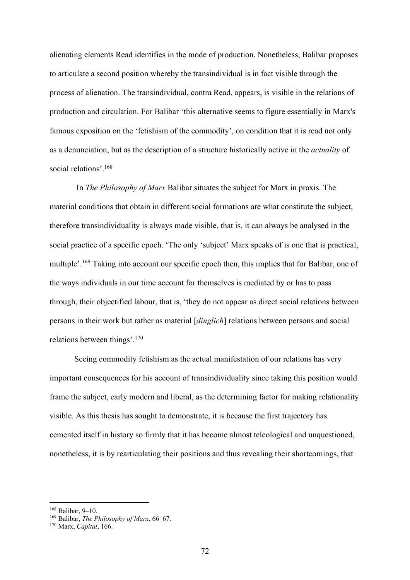alienating elements Read identifies in the mode of production. Nonetheless, Balibar proposes to articulate a second position whereby the transindividual is in fact visible through the process of alienation. The transindividual, contra Read, appears, is visible in the relations of production and circulation. For Balibar 'this alternative seems to figure essentially in Marx's famous exposition on the 'fetishism of the commodity', on condition that it is read not only as a denunciation, but as the description of a structure historically active in the *actuality* of social relations'. 168

In *The Philosophy of Marx* Balibar situates the subject for Marx in praxis. The material conditions that obtain in different social formations are what constitute the subject, therefore transindividuality is always made visible, that is, it can always be analysed in the social practice of a specific epoch. 'The only 'subject' Marx speaks of is one that is practical, multiple'.<sup>169</sup> Taking into account our specific epoch then, this implies that for Balibar, one of the ways individuals in our time account for themselves is mediated by or has to pass through, their objectified labour, that is, 'they do not appear as direct social relations between persons in their work but rather as material [*dinglich*] relations between persons and social relations between things'.<sup>170</sup>

Seeing commodity fetishism as the actual manifestation of our relations has very important consequences for his account of transindividuality since taking this position would frame the subject, early modern and liberal, as the determining factor for making relationality visible. As this thesis has sought to demonstrate, it is because the first trajectory has cemented itself in history so firmly that it has become almost teleological and unquestioned, nonetheless, it is by rearticulating their positions and thus revealing their shortcomings, that

<sup>168</sup> Balibar, 9–10.

<sup>169</sup> Balibar, *The Philosophy of Marx*, 66–67.

<sup>170</sup> Marx, *Capital*, 166.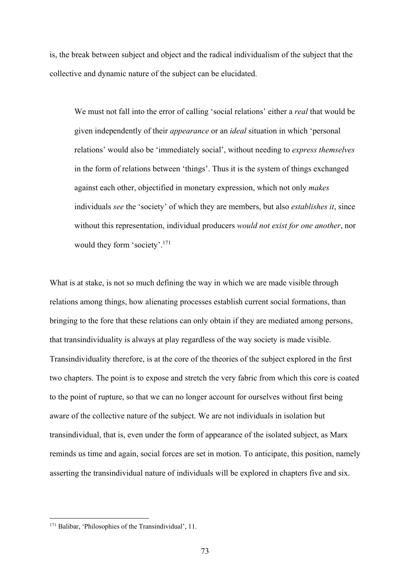is, the break between subject and object and the radical individualism of the subject that the collective and dynamic nature of the subject can be elucidated.

We must not fall into the error of calling 'social relations' either a *real* that would be given independently of their *appearance* or an *ideal* situation in which 'personal relations' would also be 'immediately social', without needing to *express themselves* in the form of relations between 'things'. Thus it is the system of things exchanged against each other, objectified in monetary expression, which not only *makes* individuals *see* the 'society' of which they are members, but also *establishes it*, since without this representation, individual producers *would not exist for one another*, nor would they form 'society'.171

What is at stake, is not so much defining the way in which we are made visible through relations among things, how alienating processes establish current social formations, than bringing to the fore that these relations can only obtain if they are mediated among persons, that transindividuality is always at play regardless of the way society is made visible. Transindividuality therefore, is at the core of the theories of the subject explored in the first two chapters. The point is to expose and stretch the very fabric from which this core is coated to the point of rupture, so that we can no longer account for ourselves without first being aware of the collective nature of the subject. We are not individuals in isolation but transindividual, that is, even under the form of appearance of the isolated subject, as Marx reminds us time and again, social forces are set in motion. To anticipate, this position, namely asserting the transindividual nature of individuals will be explored in chapters five and six.

<sup>&</sup>lt;sup>171</sup> Balibar, 'Philosophies of the Transindividual', 11.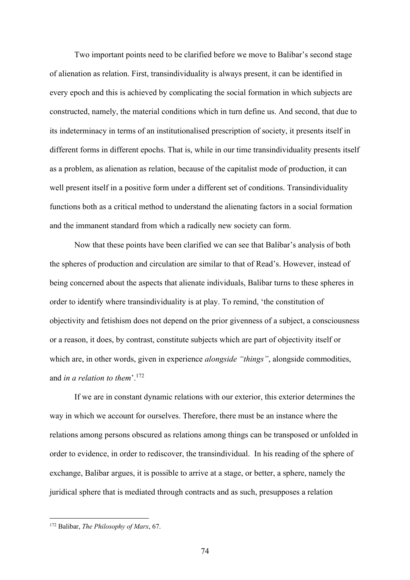Two important points need to be clarified before we move to Balibar's second stage of alienation as relation. First, transindividuality is always present, it can be identified in every epoch and this is achieved by complicating the social formation in which subjects are constructed, namely, the material conditions which in turn define us. And second, that due to its indeterminacy in terms of an institutionalised prescription of society, it presents itself in different forms in different epochs. That is, while in our time transindividuality presents itself as a problem, as alienation as relation, because of the capitalist mode of production, it can well present itself in a positive form under a different set of conditions. Transindividuality functions both as a critical method to understand the alienating factors in a social formation and the immanent standard from which a radically new society can form.

 Now that these points have been clarified we can see that Balibar's analysis of both the spheres of production and circulation are similar to that of Read's. However, instead of being concerned about the aspects that alienate individuals, Balibar turns to these spheres in order to identify where transindividuality is at play. To remind, 'the constitution of objectivity and fetishism does not depend on the prior givenness of a subject, a consciousness or a reason, it does, by contrast, constitute subjects which are part of objectivity itself or which are, in other words, given in experience *alongside "things"*, alongside commodities, and *in a relation to them*'. 172

If we are in constant dynamic relations with our exterior, this exterior determines the way in which we account for ourselves. Therefore, there must be an instance where the relations among persons obscured as relations among things can be transposed or unfolded in order to evidence, in order to rediscover, the transindividual. In his reading of the sphere of exchange, Balibar argues, it is possible to arrive at a stage, or better, a sphere, namely the juridical sphere that is mediated through contracts and as such, presupposes a relation

<sup>172</sup> Balibar, *The Philosophy of Marx*, 67.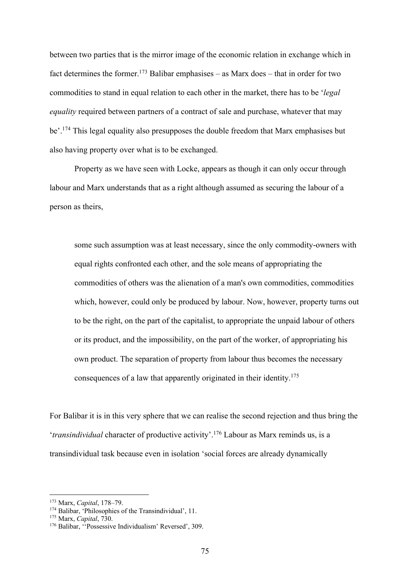between two parties that is the mirror image of the economic relation in exchange which in fact determines the former.<sup>173</sup> Balibar emphasises – as Marx does – that in order for two commodities to stand in equal relation to each other in the market, there has to be '*legal equality* required between partners of a contract of sale and purchase, whatever that may be'. <sup>174</sup> This legal equality also presupposes the double freedom that Marx emphasises but also having property over what is to be exchanged.

Property as we have seen with Locke, appears as though it can only occur through labour and Marx understands that as a right although assumed as securing the labour of a person as theirs,

some such assumption was at least necessary, since the only commodity-owners with equal rights confronted each other, and the sole means of appropriating the commodities of others was the alienation of a man's own commodities, commodities which, however, could only be produced by labour. Now, however, property turns out to be the right, on the part of the capitalist, to appropriate the unpaid labour of others or its product, and the impossibility, on the part of the worker, of appropriating his own product. The separation of property from labour thus becomes the necessary consequences of a law that apparently originated in their identity. 175

For Balibar it is in this very sphere that we can realise the second rejection and thus bring the '*transindividual* character of productive activity'.176 Labour as Marx reminds us, is a transindividual task because even in isolation 'social forces are already dynamically

<sup>173</sup> Marx, *Capital*, 178–79.

<sup>174</sup> Balibar, 'Philosophies of the Transindividual', 11.

<sup>175</sup> Marx, *Capital*, 730.

<sup>176</sup> Balibar, ''Possessive Individualism' Reversed', 309.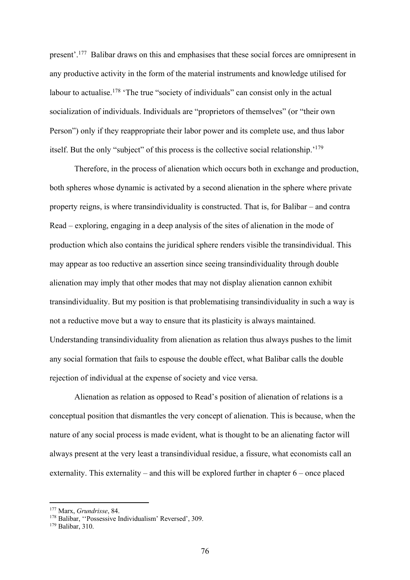present'.<sup>177</sup> Balibar draws on this and emphasises that these social forces are omnipresent in any productive activity in the form of the material instruments and knowledge utilised for labour to actualise.<sup>178</sup> 'The true "society of individuals" can consist only in the actual socialization of individuals. Individuals are "proprietors of themselves" (or "their own Person") only if they reappropriate their labor power and its complete use, and thus labor itself. But the only "subject" of this process is the collective social relationship.<sup>'179</sup>

Therefore, in the process of alienation which occurs both in exchange and production, both spheres whose dynamic is activated by a second alienation in the sphere where private property reigns, is where transindividuality is constructed. That is, for Balibar – and contra Read – exploring, engaging in a deep analysis of the sites of alienation in the mode of production which also contains the juridical sphere renders visible the transindividual. This may appear as too reductive an assertion since seeing transindividuality through double alienation may imply that other modes that may not display alienation cannon exhibit transindividuality. But my position is that problematising transindividuality in such a way is not a reductive move but a way to ensure that its plasticity is always maintained. Understanding transindividuality from alienation as relation thus always pushes to the limit any social formation that fails to espouse the double effect, what Balibar calls the double rejection of individual at the expense of society and vice versa.

Alienation as relation as opposed to Read's position of alienation of relations is a conceptual position that dismantles the very concept of alienation. This is because, when the nature of any social process is made evident, what is thought to be an alienating factor will always present at the very least a transindividual residue, a fissure, what economists call an externality. This externality – and this will be explored further in chapter 6 – once placed

<sup>177</sup> Marx, *Grundrisse*, 84.

<sup>178</sup> Balibar, "Possessive Individualism' Reversed', 309.

<sup>179</sup> Balibar, 310.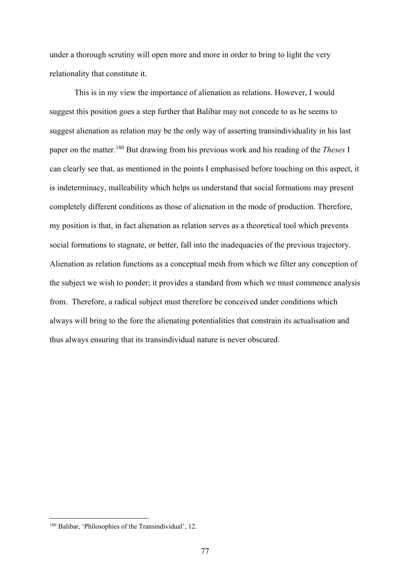under a thorough scrutiny will open more and more in order to bring to light the very relationality that constitute it.

This is in my view the importance of alienation as relations. However, I would suggest this position goes a step further that Balibar may not concede to as he seems to suggest alienation as relation may be the only way of asserting transindividuality in his last paper on the matter. <sup>180</sup> But drawing from his previous work and his reading of the *Theses* I can clearly see that, as mentioned in the points I emphasised before touching on this aspect, it is indeterminacy, malleability which helps us understand that social formations may present completely different conditions as those of alienation in the mode of production. Therefore, my position is that, in fact alienation as relation serves as a theoretical tool which prevents social formations to stagnate, or better, fall into the inadequacies of the previous trajectory. Alienation as relation functions as a conceptual mesh from which we filter any conception of the subject we wish to ponder; it provides a standard from which we must commence analysis from. Therefore, a radical subject must therefore be conceived under conditions which always will bring to the fore the alienating potentialities that constrain its actualisation and thus always ensuring that its transindividual nature is never obscured.

<sup>180</sup> Balibar, 'Philosophies of the Transindividual', 12.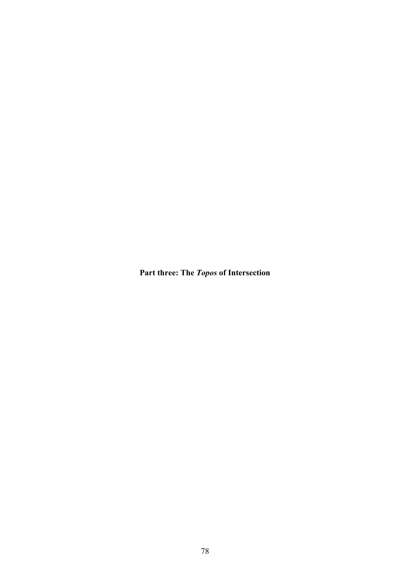**Part three: The** *Topos* **of Intersection**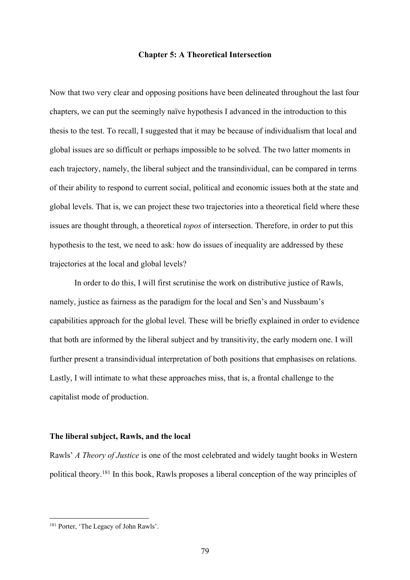## **Chapter 5: A Theoretical Intersection**

Now that two very clear and opposing positions have been delineated throughout the last four chapters, we can put the seemingly naïve hypothesis I advanced in the introduction to this thesis to the test. To recall, I suggested that it may be because of individualism that local and global issues are so difficult or perhaps impossible to be solved. The two latter moments in each trajectory, namely, the liberal subject and the transindividual, can be compared in terms of their ability to respond to current social, political and economic issues both at the state and global levels. That is, we can project these two trajectories into a theoretical field where these issues are thought through, a theoretical *topos* of intersection. Therefore, in order to put this hypothesis to the test, we need to ask: how do issues of inequality are addressed by these trajectories at the local and global levels?

In order to do this, I will first scrutinise the work on distributive justice of Rawls, namely, justice as fairness as the paradigm for the local and Sen's and Nussbaum's capabilities approach for the global level. These will be briefly explained in order to evidence that both are informed by the liberal subject and by transitivity, the early modern one. I will further present a transindividual interpretation of both positions that emphasises on relations. Lastly, I will intimate to what these approaches miss, that is, a frontal challenge to the capitalist mode of production.

#### **The liberal subject, Rawls, and the local**

Rawls' *A Theory of Justice* is one of the most celebrated and widely taught books in Western political theory.<sup>181</sup> In this book, Rawls proposes a liberal conception of the way principles of

<sup>&</sup>lt;sup>181</sup> Porter, 'The Legacy of John Rawls'.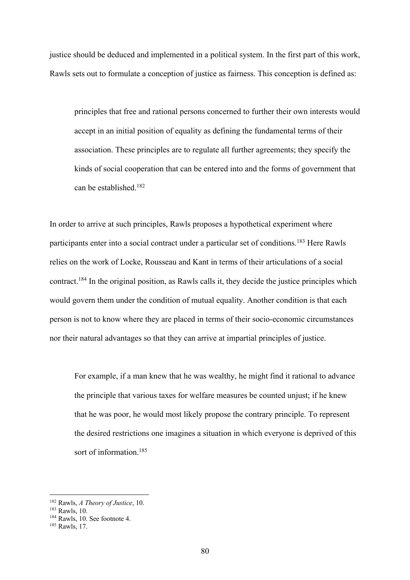justice should be deduced and implemented in a political system. In the first part of this work, Rawls sets out to formulate a conception of justice as fairness. This conception is defined as:

principles that free and rational persons concerned to further their own interests would accept in an initial position of equality as defining the fundamental terms of their association. These principles are to regulate all further agreements; they specify the kinds of social cooperation that can be entered into and the forms of government that can be established.182

In order to arrive at such principles, Rawls proposes a hypothetical experiment where participants enter into a social contract under a particular set of conditions.<sup>183</sup> Here Rawls relies on the work of Locke, Rousseau and Kant in terms of their articulations of a social contract.184 In the original position, as Rawls calls it, they decide the justice principles which would govern them under the condition of mutual equality. Another condition is that each person is not to know where they are placed in terms of their socio-economic circumstances nor their natural advantages so that they can arrive at impartial principles of justice.

For example, if a man knew that he was wealthy, he might find it rational to advance the principle that various taxes for welfare measures be counted unjust; if he knew that he was poor, he would most likely propose the contrary principle. To represent the desired restrictions one imagines a situation in which everyone is deprived of this sort of information.<sup>185</sup>

<sup>182</sup> Rawls, *A Theory of Justice*, 10.

<sup>183</sup> Rawls, 10.

<sup>184</sup> Rawls, 10. See footnote 4.

<sup>185</sup> Rawls, 17.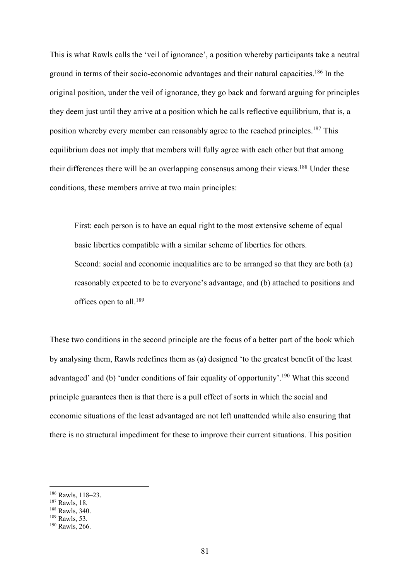This is what Rawls calls the 'veil of ignorance', a position whereby participants take a neutral ground in terms of their socio-economic advantages and their natural capacities.186 In the original position, under the veil of ignorance, they go back and forward arguing for principles they deem just until they arrive at a position which he calls reflective equilibrium, that is, a position whereby every member can reasonably agree to the reached principles.<sup>187</sup> This equilibrium does not imply that members will fully agree with each other but that among their differences there will be an overlapping consensus among their views.<sup>188</sup> Under these conditions, these members arrive at two main principles:

First: each person is to have an equal right to the most extensive scheme of equal basic liberties compatible with a similar scheme of liberties for others. Second: social and economic inequalities are to be arranged so that they are both (a) reasonably expected to be to everyone's advantage, and (b) attached to positions and offices open to all.189

These two conditions in the second principle are the focus of a better part of the book which by analysing them, Rawls redefines them as (a) designed 'to the greatest benefit of the least advantaged' and (b) 'under conditions of fair equality of opportunity'.<sup>190</sup> What this second principle guarantees then is that there is a pull effect of sorts in which the social and economic situations of the least advantaged are not left unattended while also ensuring that there is no structural impediment for these to improve their current situations. This position

<sup>186</sup> Rawls, 118–23.

<sup>187</sup> Rawls, 18.

<sup>188</sup> Rawls, 340.

<sup>189</sup> Rawls, 53.

<sup>190</sup> Rawls, 266.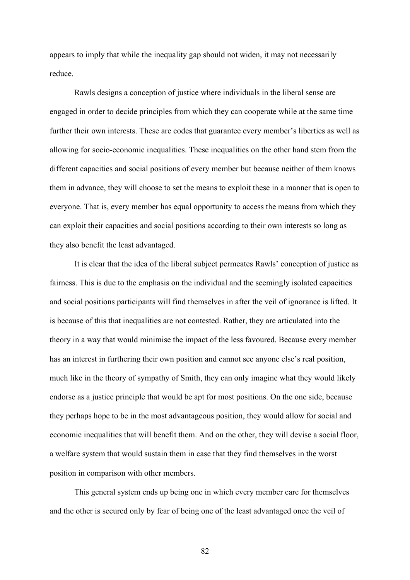appears to imply that while the inequality gap should not widen, it may not necessarily reduce.

Rawls designs a conception of justice where individuals in the liberal sense are engaged in order to decide principles from which they can cooperate while at the same time further their own interests. These are codes that guarantee every member's liberties as well as allowing for socio-economic inequalities. These inequalities on the other hand stem from the different capacities and social positions of every member but because neither of them knows them in advance, they will choose to set the means to exploit these in a manner that is open to everyone. That is, every member has equal opportunity to access the means from which they can exploit their capacities and social positions according to their own interests so long as they also benefit the least advantaged.

It is clear that the idea of the liberal subject permeates Rawls' conception of justice as fairness. This is due to the emphasis on the individual and the seemingly isolated capacities and social positions participants will find themselves in after the veil of ignorance is lifted. It is because of this that inequalities are not contested. Rather, they are articulated into the theory in a way that would minimise the impact of the less favoured. Because every member has an interest in furthering their own position and cannot see anyone else's real position, much like in the theory of sympathy of Smith, they can only imagine what they would likely endorse as a justice principle that would be apt for most positions. On the one side, because they perhaps hope to be in the most advantageous position, they would allow for social and economic inequalities that will benefit them. And on the other, they will devise a social floor, a welfare system that would sustain them in case that they find themselves in the worst position in comparison with other members.

This general system ends up being one in which every member care for themselves and the other is secured only by fear of being one of the least advantaged once the veil of

82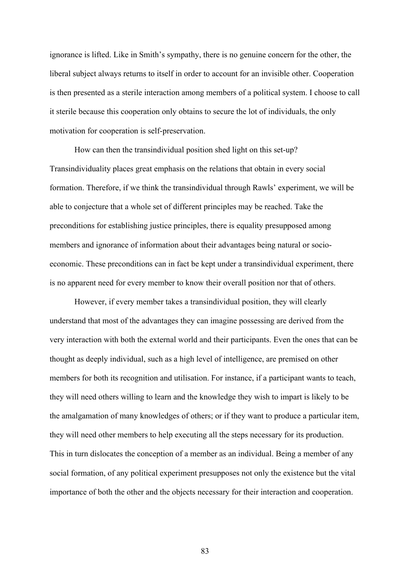ignorance is lifted. Like in Smith's sympathy, there is no genuine concern for the other, the liberal subject always returns to itself in order to account for an invisible other. Cooperation is then presented as a sterile interaction among members of a political system. I choose to call it sterile because this cooperation only obtains to secure the lot of individuals, the only motivation for cooperation is self-preservation.

How can then the transindividual position shed light on this set-up? Transindividuality places great emphasis on the relations that obtain in every social formation. Therefore, if we think the transindividual through Rawls' experiment, we will be able to conjecture that a whole set of different principles may be reached. Take the preconditions for establishing justice principles, there is equality presupposed among members and ignorance of information about their advantages being natural or socioeconomic. These preconditions can in fact be kept under a transindividual experiment, there is no apparent need for every member to know their overall position nor that of others.

However, if every member takes a transindividual position, they will clearly understand that most of the advantages they can imagine possessing are derived from the very interaction with both the external world and their participants. Even the ones that can be thought as deeply individual, such as a high level of intelligence, are premised on other members for both its recognition and utilisation. For instance, if a participant wants to teach, they will need others willing to learn and the knowledge they wish to impart is likely to be the amalgamation of many knowledges of others; or if they want to produce a particular item, they will need other members to help executing all the steps necessary for its production. This in turn dislocates the conception of a member as an individual. Being a member of any social formation, of any political experiment presupposes not only the existence but the vital importance of both the other and the objects necessary for their interaction and cooperation.

83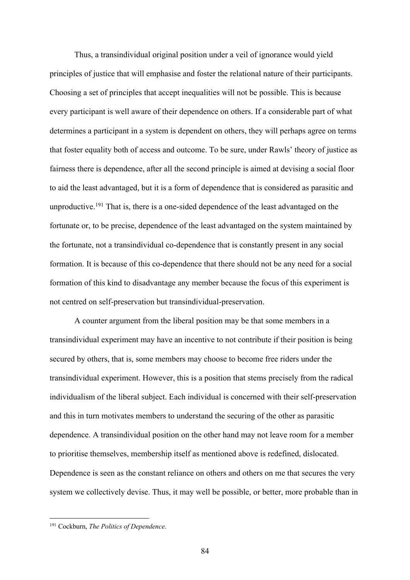Thus, a transindividual original position under a veil of ignorance would yield principles of justice that will emphasise and foster the relational nature of their participants. Choosing a set of principles that accept inequalities will not be possible. This is because every participant is well aware of their dependence on others. If a considerable part of what determines a participant in a system is dependent on others, they will perhaps agree on terms that foster equality both of access and outcome. To be sure, under Rawls' theory of justice as fairness there is dependence, after all the second principle is aimed at devising a social floor to aid the least advantaged, but it is a form of dependence that is considered as parasitic and unproductive.<sup>191</sup> That is, there is a one-sided dependence of the least advantaged on the fortunate or, to be precise, dependence of the least advantaged on the system maintained by the fortunate, not a transindividual co-dependence that is constantly present in any social formation. It is because of this co-dependence that there should not be any need for a social formation of this kind to disadvantage any member because the focus of this experiment is not centred on self-preservation but transindividual-preservation.

A counter argument from the liberal position may be that some members in a transindividual experiment may have an incentive to not contribute if their position is being secured by others, that is, some members may choose to become free riders under the transindividual experiment. However, this is a position that stems precisely from the radical individualism of the liberal subject. Each individual is concerned with their self-preservation and this in turn motivates members to understand the securing of the other as parasitic dependence. A transindividual position on the other hand may not leave room for a member to prioritise themselves, membership itself as mentioned above is redefined, dislocated. Dependence is seen as the constant reliance on others and others on me that secures the very system we collectively devise. Thus, it may well be possible, or better, more probable than in

<sup>191</sup> Cockburn, *The Politics of Dependence*.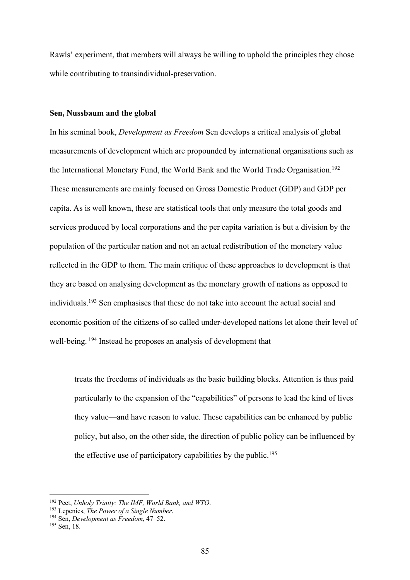Rawls' experiment, that members will always be willing to uphold the principles they chose while contributing to transindividual-preservation.

### **Sen, Nussbaum and the global**

In his seminal book, *Development as Freedom* Sen develops a critical analysis of global measurements of development which are propounded by international organisations such as the International Monetary Fund, the World Bank and the World Trade Organisation. 192 These measurements are mainly focused on Gross Domestic Product (GDP) and GDP per capita. As is well known, these are statistical tools that only measure the total goods and services produced by local corporations and the per capita variation is but a division by the population of the particular nation and not an actual redistribution of the monetary value reflected in the GDP to them. The main critique of these approaches to development is that they are based on analysing development as the monetary growth of nations as opposed to individuals.<sup>193</sup> Sen emphasises that these do not take into account the actual social and economic position of the citizens of so called under-developed nations let alone their level of well-being. <sup>194</sup> Instead he proposes an analysis of development that

treats the freedoms of individuals as the basic building blocks. Attention is thus paid particularly to the expansion of the "capabilities" of persons to lead the kind of lives they value—and have reason to value. These capabilities can be enhanced by public policy, but also, on the other side, the direction of public policy can be influenced by the effective use of participatory capabilities by the public.<sup>195</sup>

<sup>192</sup> Peet, *Unholy Trinity: The IMF, World Bank, and WTO*.

<sup>193</sup> Lepenies, *The Power of a Single Number*.

<sup>194</sup> Sen, *Development as Freedom*, 47–52.

<sup>195</sup> Sen, 18.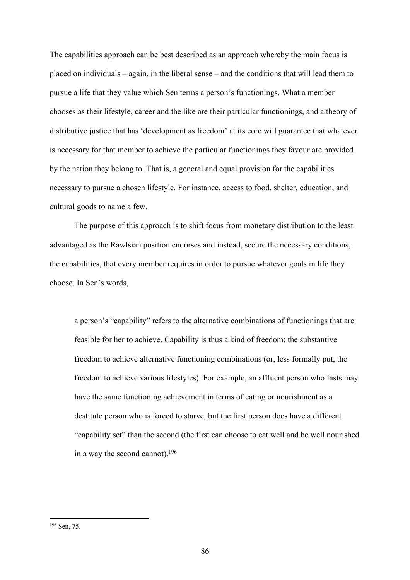The capabilities approach can be best described as an approach whereby the main focus is placed on individuals – again, in the liberal sense – and the conditions that will lead them to pursue a life that they value which Sen terms a person's functionings. What a member chooses as their lifestyle, career and the like are their particular functionings, and a theory of distributive justice that has 'development as freedom' at its core will guarantee that whatever is necessary for that member to achieve the particular functionings they favour are provided by the nation they belong to. That is, a general and equal provision for the capabilities necessary to pursue a chosen lifestyle. For instance, access to food, shelter, education, and cultural goods to name a few.

The purpose of this approach is to shift focus from monetary distribution to the least advantaged as the Rawlsian position endorses and instead, secure the necessary conditions, the capabilities, that every member requires in order to pursue whatever goals in life they choose. In Sen's words,

a person's "capability" refers to the alternative combinations of functionings that are feasible for her to achieve. Capability is thus a kind of freedom: the substantive freedom to achieve alternative functioning combinations (or, less formally put, the freedom to achieve various lifestyles). For example, an affluent person who fasts may have the same functioning achievement in terms of eating or nourishment as a destitute person who is forced to starve, but the first person does have a different "capability set" than the second (the first can choose to eat well and be well nourished in a way the second cannot).196

<sup>196</sup> Sen, 75.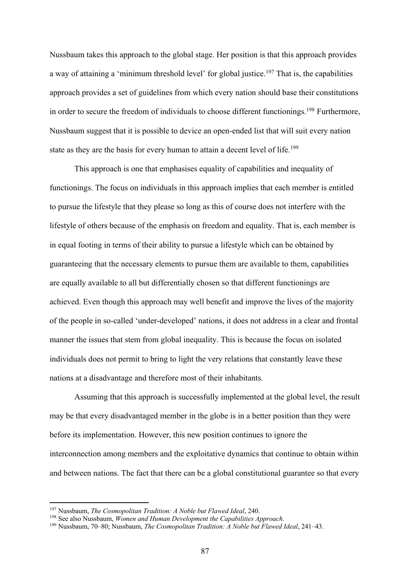Nussbaum takes this approach to the global stage. Her position is that this approach provides a way of attaining a 'minimum threshold level' for global justice.<sup>197</sup> That is, the capabilities approach provides a set of guidelines from which every nation should base their constitutions in order to secure the freedom of individuals to choose different functionings.<sup>198</sup> Furthermore, Nussbaum suggest that it is possible to device an open-ended list that will suit every nation state as they are the basis for every human to attain a decent level of life.<sup>199</sup>

This approach is one that emphasises equality of capabilities and inequality of functionings. The focus on individuals in this approach implies that each member is entitled to pursue the lifestyle that they please so long as this of course does not interfere with the lifestyle of others because of the emphasis on freedom and equality. That is, each member is in equal footing in terms of their ability to pursue a lifestyle which can be obtained by guaranteeing that the necessary elements to pursue them are available to them, capabilities are equally available to all but differentially chosen so that different functionings are achieved. Even though this approach may well benefit and improve the lives of the majority of the people in so-called 'under-developed' nations, it does not address in a clear and frontal manner the issues that stem from global inequality. This is because the focus on isolated individuals does not permit to bring to light the very relations that constantly leave these nations at a disadvantage and therefore most of their inhabitants.

Assuming that this approach is successfully implemented at the global level, the result may be that every disadvantaged member in the globe is in a better position than they were before its implementation. However, this new position continues to ignore the interconnection among members and the exploitative dynamics that continue to obtain within and between nations. The fact that there can be a global constitutional guarantee so that every

<sup>197</sup> Nussbaum, *The Cosmopolitan Tradition: A Noble but Flawed Ideal*, 240.

<sup>198</sup> See also Nussbaum, *Women and Human Development the Capabilities Approach*.

<sup>199</sup> Nussbaum, 70–80; Nussbaum, *The Cosmopolitan Tradition: A Noble but Flawed Ideal*, 241–43.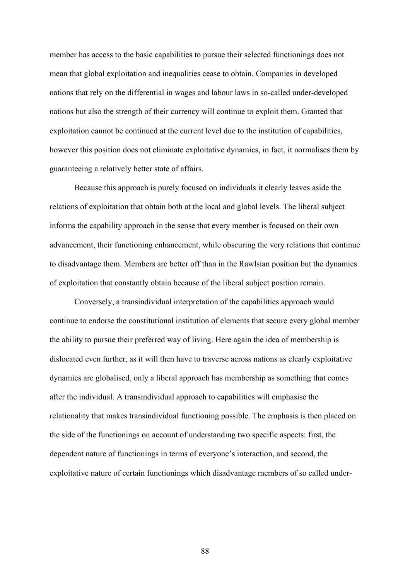member has access to the basic capabilities to pursue their selected functionings does not mean that global exploitation and inequalities cease to obtain. Companies in developed nations that rely on the differential in wages and labour laws in so-called under-developed nations but also the strength of their currency will continue to exploit them. Granted that exploitation cannot be continued at the current level due to the institution of capabilities, however this position does not eliminate exploitative dynamics, in fact, it normalises them by guaranteeing a relatively better state of affairs.

Because this approach is purely focused on individuals it clearly leaves aside the relations of exploitation that obtain both at the local and global levels. The liberal subject informs the capability approach in the sense that every member is focused on their own advancement, their functioning enhancement, while obscuring the very relations that continue to disadvantage them. Members are better off than in the Rawlsian position but the dynamics of exploitation that constantly obtain because of the liberal subject position remain.

Conversely, a transindividual interpretation of the capabilities approach would continue to endorse the constitutional institution of elements that secure every global member the ability to pursue their preferred way of living. Here again the idea of membership is dislocated even further, as it will then have to traverse across nations as clearly exploitative dynamics are globalised, only a liberal approach has membership as something that comes after the individual. A transindividual approach to capabilities will emphasise the relationality that makes transindividual functioning possible. The emphasis is then placed on the side of the functionings on account of understanding two specific aspects: first, the dependent nature of functionings in terms of everyone's interaction, and second, the exploitative nature of certain functionings which disadvantage members of so called under-

88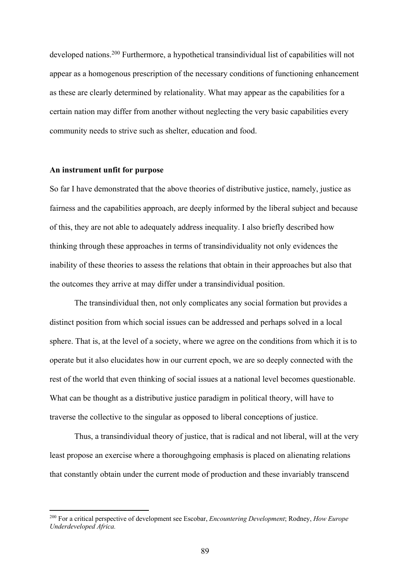developed nations.200 Furthermore, a hypothetical transindividual list of capabilities will not appear as a homogenous prescription of the necessary conditions of functioning enhancement as these are clearly determined by relationality. What may appear as the capabilities for a certain nation may differ from another without neglecting the very basic capabilities every community needs to strive such as shelter, education and food.

## **An instrument unfit for purpose**

So far I have demonstrated that the above theories of distributive justice, namely, justice as fairness and the capabilities approach, are deeply informed by the liberal subject and because of this, they are not able to adequately address inequality. I also briefly described how thinking through these approaches in terms of transindividuality not only evidences the inability of these theories to assess the relations that obtain in their approaches but also that the outcomes they arrive at may differ under a transindividual position.

The transindividual then, not only complicates any social formation but provides a distinct position from which social issues can be addressed and perhaps solved in a local sphere. That is, at the level of a society, where we agree on the conditions from which it is to operate but it also elucidates how in our current epoch, we are so deeply connected with the rest of the world that even thinking of social issues at a national level becomes questionable. What can be thought as a distributive justice paradigm in political theory, will have to traverse the collective to the singular as opposed to liberal conceptions of justice.

Thus, a transindividual theory of justice, that is radical and not liberal, will at the very least propose an exercise where a thoroughgoing emphasis is placed on alienating relations that constantly obtain under the current mode of production and these invariably transcend

<sup>200</sup> For a critical perspective of development see Escobar, *Encountering Development*; Rodney, *How Europe Underdeveloped Africa.*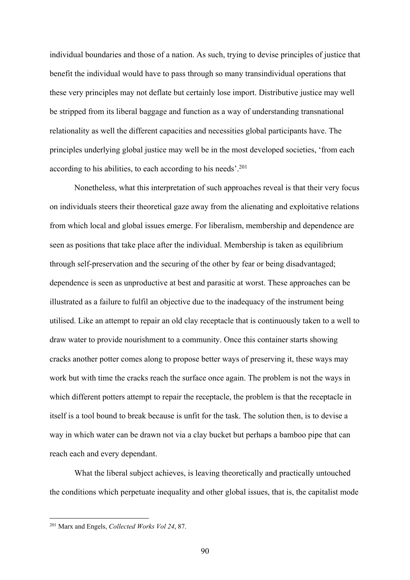individual boundaries and those of a nation. As such, trying to devise principles of justice that benefit the individual would have to pass through so many transindividual operations that these very principles may not deflate but certainly lose import. Distributive justice may well be stripped from its liberal baggage and function as a way of understanding transnational relationality as well the different capacities and necessities global participants have. The principles underlying global justice may well be in the most developed societies, 'from each according to his abilities, to each according to his needs'. 201

Nonetheless, what this interpretation of such approaches reveal is that their very focus on individuals steers their theoretical gaze away from the alienating and exploitative relations from which local and global issues emerge. For liberalism, membership and dependence are seen as positions that take place after the individual. Membership is taken as equilibrium through self-preservation and the securing of the other by fear or being disadvantaged; dependence is seen as unproductive at best and parasitic at worst. These approaches can be illustrated as a failure to fulfil an objective due to the inadequacy of the instrument being utilised. Like an attempt to repair an old clay receptacle that is continuously taken to a well to draw water to provide nourishment to a community. Once this container starts showing cracks another potter comes along to propose better ways of preserving it, these ways may work but with time the cracks reach the surface once again. The problem is not the ways in which different potters attempt to repair the receptacle, the problem is that the receptacle in itself is a tool bound to break because is unfit for the task. The solution then, is to devise a way in which water can be drawn not via a clay bucket but perhaps a bamboo pipe that can reach each and every dependant.

What the liberal subject achieves, is leaving theoretically and practically untouched the conditions which perpetuate inequality and other global issues, that is, the capitalist mode

<sup>201</sup> Marx and Engels, *Collected Works Vol 24*, 87.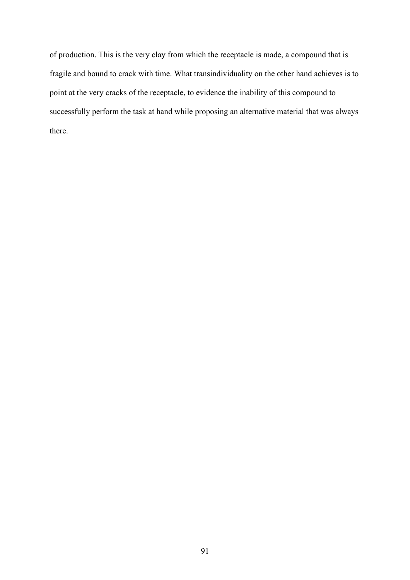of production. This is the very clay from which the receptacle is made, a compound that is fragile and bound to crack with time. What transindividuality on the other hand achieves is to point at the very cracks of the receptacle, to evidence the inability of this compound to successfully perform the task at hand while proposing an alternative material that was always there.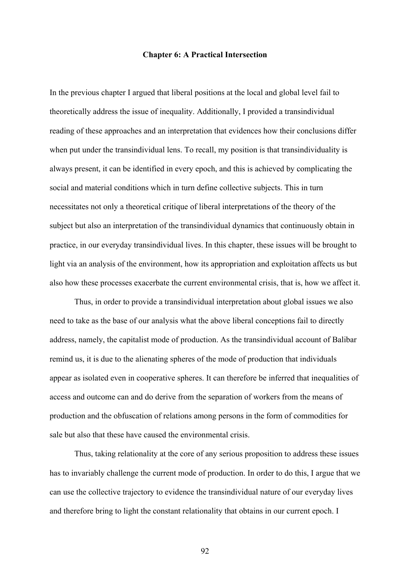#### **Chapter 6: A Practical Intersection**

In the previous chapter I argued that liberal positions at the local and global level fail to theoretically address the issue of inequality. Additionally, I provided a transindividual reading of these approaches and an interpretation that evidences how their conclusions differ when put under the transindividual lens. To recall, my position is that transindividuality is always present, it can be identified in every epoch, and this is achieved by complicating the social and material conditions which in turn define collective subjects. This in turn necessitates not only a theoretical critique of liberal interpretations of the theory of the subject but also an interpretation of the transindividual dynamics that continuously obtain in practice, in our everyday transindividual lives. In this chapter, these issues will be brought to light via an analysis of the environment, how its appropriation and exploitation affects us but also how these processes exacerbate the current environmental crisis, that is, how we affect it.

Thus, in order to provide a transindividual interpretation about global issues we also need to take as the base of our analysis what the above liberal conceptions fail to directly address, namely, the capitalist mode of production. As the transindividual account of Balibar remind us, it is due to the alienating spheres of the mode of production that individuals appear as isolated even in cooperative spheres. It can therefore be inferred that inequalities of access and outcome can and do derive from the separation of workers from the means of production and the obfuscation of relations among persons in the form of commodities for sale but also that these have caused the environmental crisis.

Thus, taking relationality at the core of any serious proposition to address these issues has to invariably challenge the current mode of production. In order to do this, I argue that we can use the collective trajectory to evidence the transindividual nature of our everyday lives and therefore bring to light the constant relationality that obtains in our current epoch. I

92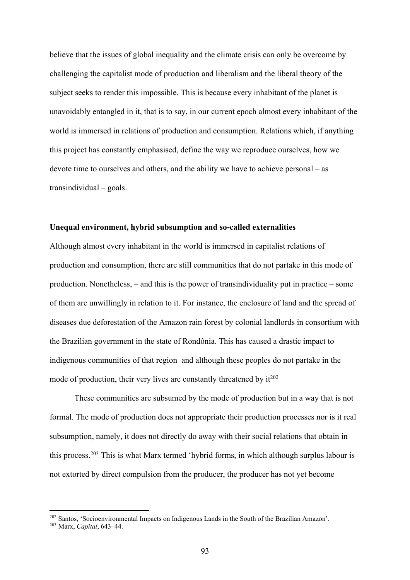believe that the issues of global inequality and the climate crisis can only be overcome by challenging the capitalist mode of production and liberalism and the liberal theory of the subject seeks to render this impossible. This is because every inhabitant of the planet is unavoidably entangled in it, that is to say, in our current epoch almost every inhabitant of the world is immersed in relations of production and consumption. Relations which, if anything this project has constantly emphasised, define the way we reproduce ourselves, how we devote time to ourselves and others, and the ability we have to achieve personal – as transindividual – goals.

#### **Unequal environment, hybrid subsumption and so-called externalities**

Although almost every inhabitant in the world is immersed in capitalist relations of production and consumption, there are still communities that do not partake in this mode of production. Nonetheless, – and this is the power of transindividuality put in practice – some of them are unwillingly in relation to it. For instance, the enclosure of land and the spread of diseases due deforestation of the Amazon rain forest by colonial landlords in consortium with the Brazilian government in the state of Rondônia. This has caused a drastic impact to indigenous communities of that region and although these peoples do not partake in the mode of production, their very lives are constantly threatened by  $it^{202}$ 

These communities are subsumed by the mode of production but in a way that is not formal. The mode of production does not appropriate their production processes nor is it real subsumption, namely, it does not directly do away with their social relations that obtain in this process.203 This is what Marx termed 'hybrid forms, in which although surplus labour is not extorted by direct compulsion from the producer, the producer has not yet become

<sup>202</sup> Santos, 'Socioenvironmental Impacts on Indigenous Lands in the South of the Brazilian Amazon'.

<sup>203</sup> Marx, *Capital*, 643–44.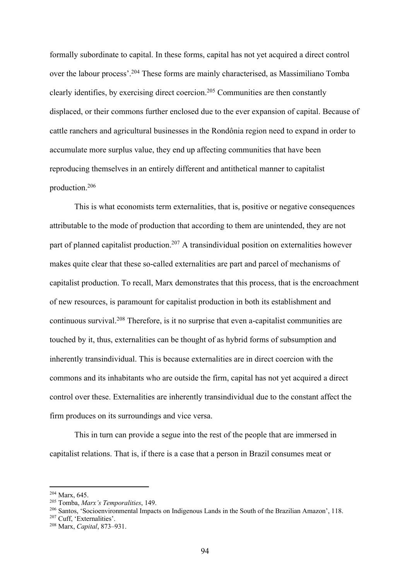formally subordinate to capital. In these forms, capital has not yet acquired a direct control over the labour process'.204 These forms are mainly characterised, as Massimiliano Tomba clearly identifies, by exercising direct coercion.205 Communities are then constantly displaced, or their commons further enclosed due to the ever expansion of capital. Because of cattle ranchers and agricultural businesses in the Rondônia region need to expand in order to accumulate more surplus value, they end up affecting communities that have been reproducing themselves in an entirely different and antithetical manner to capitalist production.206

This is what economists term externalities, that is, positive or negative consequences attributable to the mode of production that according to them are unintended, they are not part of planned capitalist production.<sup>207</sup> A transindividual position on externalities however makes quite clear that these so-called externalities are part and parcel of mechanisms of capitalist production. To recall, Marx demonstrates that this process, that is the encroachment of new resources, is paramount for capitalist production in both its establishment and continuous survival.208 Therefore, is it no surprise that even a-capitalist communities are touched by it, thus, externalities can be thought of as hybrid forms of subsumption and inherently transindividual. This is because externalities are in direct coercion with the commons and its inhabitants who are outside the firm, capital has not yet acquired a direct control over these. Externalities are inherently transindividual due to the constant affect the firm produces on its surroundings and vice versa.

This in turn can provide a segue into the rest of the people that are immersed in capitalist relations. That is, if there is a case that a person in Brazil consumes meat or

<sup>204</sup> Marx, 645.

<sup>205</sup> Tomba, *Marx's Temporalities*, 149.

<sup>206</sup> Santos, 'Socioenvironmental Impacts on Indigenous Lands in the South of the Brazilian Amazon', 118.

<sup>207</sup> Cuff, 'Externalities'.

<sup>208</sup> Marx, *Capital*, 873–931.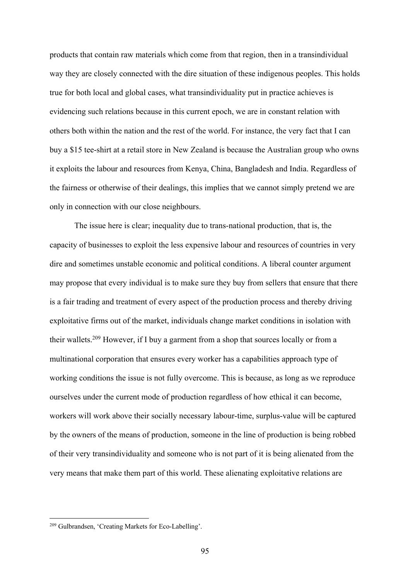products that contain raw materials which come from that region, then in a transindividual way they are closely connected with the dire situation of these indigenous peoples. This holds true for both local and global cases, what transindividuality put in practice achieves is evidencing such relations because in this current epoch, we are in constant relation with others both within the nation and the rest of the world. For instance, the very fact that I can buy a \$15 tee-shirt at a retail store in New Zealand is because the Australian group who owns it exploits the labour and resources from Kenya, China, Bangladesh and India. Regardless of the fairness or otherwise of their dealings, this implies that we cannot simply pretend we are only in connection with our close neighbours.

The issue here is clear; inequality due to trans-national production, that is, the capacity of businesses to exploit the less expensive labour and resources of countries in very dire and sometimes unstable economic and political conditions. A liberal counter argument may propose that every individual is to make sure they buy from sellers that ensure that there is a fair trading and treatment of every aspect of the production process and thereby driving exploitative firms out of the market, individuals change market conditions in isolation with their wallets.209 However, if I buy a garment from a shop that sources locally or from a multinational corporation that ensures every worker has a capabilities approach type of working conditions the issue is not fully overcome. This is because, as long as we reproduce ourselves under the current mode of production regardless of how ethical it can become, workers will work above their socially necessary labour-time, surplus-value will be captured by the owners of the means of production, someone in the line of production is being robbed of their very transindividuality and someone who is not part of it is being alienated from the very means that make them part of this world. These alienating exploitative relations are

<sup>209</sup> Gulbrandsen, 'Creating Markets for Eco-Labelling'.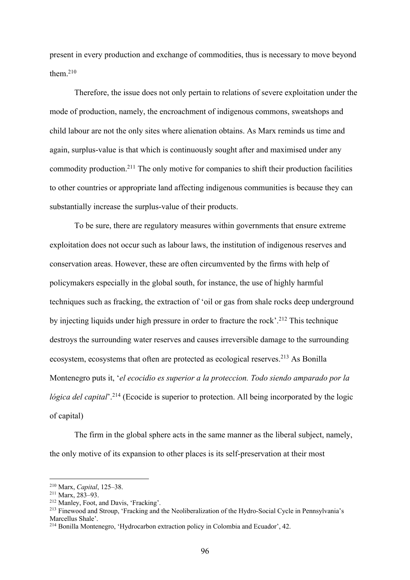present in every production and exchange of commodities, thus is necessary to move beyond them. 210

Therefore, the issue does not only pertain to relations of severe exploitation under the mode of production, namely, the encroachment of indigenous commons, sweatshops and child labour are not the only sites where alienation obtains. As Marx reminds us time and again, surplus-value is that which is continuously sought after and maximised under any commodity production.211 The only motive for companies to shift their production facilities to other countries or appropriate land affecting indigenous communities is because they can substantially increase the surplus-value of their products.

To be sure, there are regulatory measures within governments that ensure extreme exploitation does not occur such as labour laws, the institution of indigenous reserves and conservation areas. However, these are often circumvented by the firms with help of policymakers especially in the global south, for instance, the use of highly harmful techniques such as fracking, the extraction of 'oil or gas from shale rocks deep underground by injecting liquids under high pressure in order to fracture the rock'.<sup>212</sup> This technique destroys the surrounding water reserves and causes irreversible damage to the surrounding ecosystem, ecosystems that often are protected as ecological reserves. <sup>213</sup> As Bonilla Montenegro puts it, '*el ecocidio es superior a la proteccion. Todo siendo amparado por la lógica del capital*<sup>'.214</sup> (Ecocide is superior to protection. All being incorporated by the logic of capital)

The firm in the global sphere acts in the same manner as the liberal subject, namely, the only motive of its expansion to other places is its self-preservation at their most

<sup>210</sup> Marx, *Capital*, 125–38.

<sup>211</sup> Marx, 283–93.

<sup>212</sup> Manley, Foot, and Davis, 'Fracking'.

<sup>213</sup> Finewood and Stroup, 'Fracking and the Neoliberalization of the Hydro-Social Cycle in Pennsylvania's Marcellus Shale'.

<sup>214</sup> Bonilla Montenegro, 'Hydrocarbon extraction policy in Colombia and Ecuador', 42.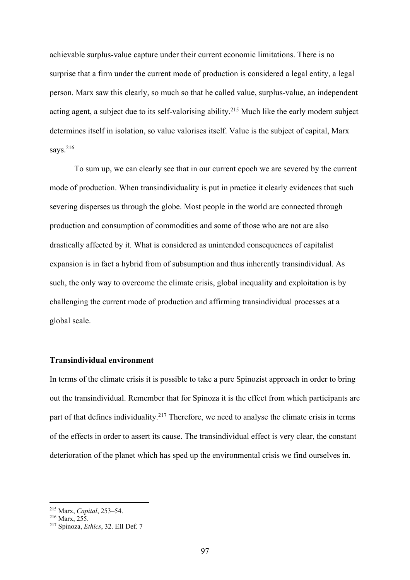achievable surplus-value capture under their current economic limitations. There is no surprise that a firm under the current mode of production is considered a legal entity, a legal person. Marx saw this clearly, so much so that he called value, surplus-value, an independent acting agent, a subject due to its self-valorising ability. <sup>215</sup> Much like the early modern subject determines itself in isolation, so value valorises itself. Value is the subject of capital, Marx says.<sup>216</sup>

To sum up, we can clearly see that in our current epoch we are severed by the current mode of production. When transindividuality is put in practice it clearly evidences that such severing disperses us through the globe. Most people in the world are connected through production and consumption of commodities and some of those who are not are also drastically affected by it. What is considered as unintended consequences of capitalist expansion is in fact a hybrid from of subsumption and thus inherently transindividual. As such, the only way to overcome the climate crisis, global inequality and exploitation is by challenging the current mode of production and affirming transindividual processes at a global scale.

# **Transindividual environment**

In terms of the climate crisis it is possible to take a pure Spinozist approach in order to bring out the transindividual. Remember that for Spinoza it is the effect from which participants are part of that defines individuality.<sup>217</sup> Therefore, we need to analyse the climate crisis in terms of the effects in order to assert its cause. The transindividual effect is very clear, the constant deterioration of the planet which has sped up the environmental crisis we find ourselves in.

<sup>215</sup> Marx, *Capital*, 253–54.

<sup>&</sup>lt;sup>216</sup> Marx, 255.

<sup>217</sup> Spinoza, *Ethics*, 32. EII Def. 7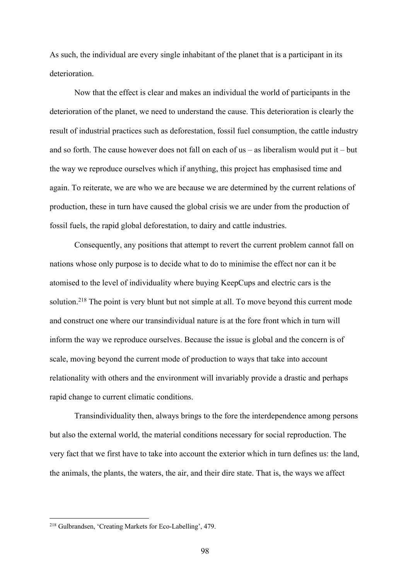As such, the individual are every single inhabitant of the planet that is a participant in its deterioration.

Now that the effect is clear and makes an individual the world of participants in the deterioration of the planet, we need to understand the cause. This deterioration is clearly the result of industrial practices such as deforestation, fossil fuel consumption, the cattle industry and so forth. The cause however does not fall on each of us – as liberalism would put it – but the way we reproduce ourselves which if anything, this project has emphasised time and again. To reiterate, we are who we are because we are determined by the current relations of production, these in turn have caused the global crisis we are under from the production of fossil fuels, the rapid global deforestation, to dairy and cattle industries.

Consequently, any positions that attempt to revert the current problem cannot fall on nations whose only purpose is to decide what to do to minimise the effect nor can it be atomised to the level of individuality where buying KeepCups and electric cars is the solution.<sup>218</sup> The point is very blunt but not simple at all. To move beyond this current mode and construct one where our transindividual nature is at the fore front which in turn will inform the way we reproduce ourselves. Because the issue is global and the concern is of scale, moving beyond the current mode of production to ways that take into account relationality with others and the environment will invariably provide a drastic and perhaps rapid change to current climatic conditions.

Transindividuality then, always brings to the fore the interdependence among persons but also the external world, the material conditions necessary for social reproduction. The very fact that we first have to take into account the exterior which in turn defines us: the land, the animals, the plants, the waters, the air, and their dire state. That is, the ways we affect

<sup>218</sup> Gulbrandsen, 'Creating Markets for Eco-Labelling', 479.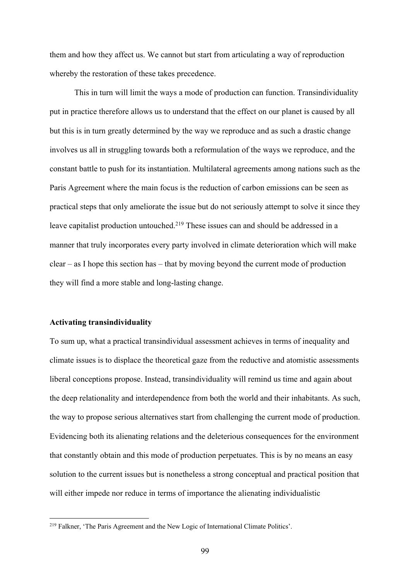them and how they affect us. We cannot but start from articulating a way of reproduction whereby the restoration of these takes precedence.

This in turn will limit the ways a mode of production can function. Transindividuality put in practice therefore allows us to understand that the effect on our planet is caused by all but this is in turn greatly determined by the way we reproduce and as such a drastic change involves us all in struggling towards both a reformulation of the ways we reproduce, and the constant battle to push for its instantiation. Multilateral agreements among nations such as the Paris Agreement where the main focus is the reduction of carbon emissions can be seen as practical steps that only ameliorate the issue but do not seriously attempt to solve it since they leave capitalist production untouched.<sup>219</sup> These issues can and should be addressed in a manner that truly incorporates every party involved in climate deterioration which will make clear – as I hope this section has – that by moving beyond the current mode of production they will find a more stable and long-lasting change.

### **Activating transindividuality**

To sum up, what a practical transindividual assessment achieves in terms of inequality and climate issues is to displace the theoretical gaze from the reductive and atomistic assessments liberal conceptions propose. Instead, transindividuality will remind us time and again about the deep relationality and interdependence from both the world and their inhabitants. As such, the way to propose serious alternatives start from challenging the current mode of production. Evidencing both its alienating relations and the deleterious consequences for the environment that constantly obtain and this mode of production perpetuates. This is by no means an easy solution to the current issues but is nonetheless a strong conceptual and practical position that will either impede nor reduce in terms of importance the alienating individualistic

<sup>219</sup> Falkner, 'The Paris Agreement and the New Logic of International Climate Politics'.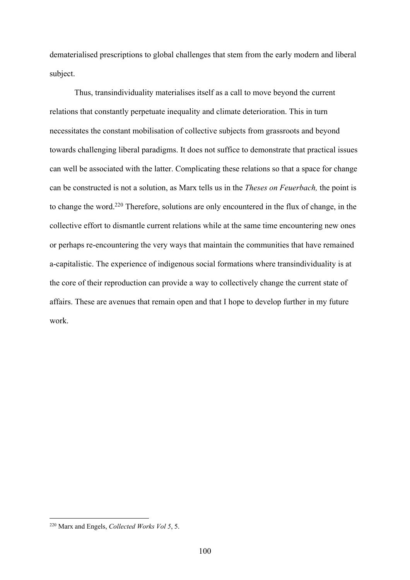dematerialised prescriptions to global challenges that stem from the early modern and liberal subject.

Thus, transindividuality materialises itself as a call to move beyond the current relations that constantly perpetuate inequality and climate deterioration. This in turn necessitates the constant mobilisation of collective subjects from grassroots and beyond towards challenging liberal paradigms. It does not suffice to demonstrate that practical issues can well be associated with the latter. Complicating these relations so that a space for change can be constructed is not a solution, as Marx tells us in the *Theses on Feuerbach,* the point is to change the word.220 Therefore, solutions are only encountered in the flux of change, in the collective effort to dismantle current relations while at the same time encountering new ones or perhaps re-encountering the very ways that maintain the communities that have remained a-capitalistic. The experience of indigenous social formations where transindividuality is at the core of their reproduction can provide a way to collectively change the current state of affairs. These are avenues that remain open and that I hope to develop further in my future work.

<sup>220</sup> Marx and Engels, *Collected Works Vol 5*, 5.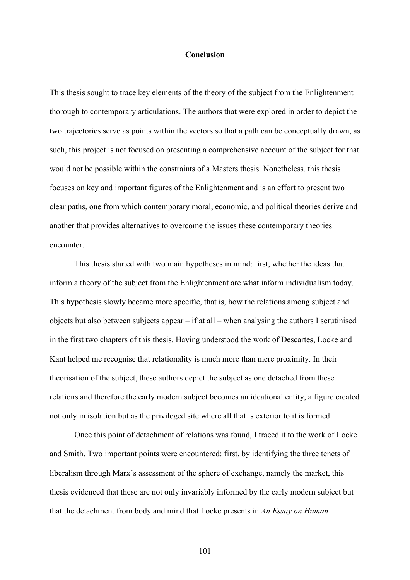## **Conclusion**

This thesis sought to trace key elements of the theory of the subject from the Enlightenment thorough to contemporary articulations. The authors that were explored in order to depict the two trajectories serve as points within the vectors so that a path can be conceptually drawn, as such, this project is not focused on presenting a comprehensive account of the subject for that would not be possible within the constraints of a Masters thesis. Nonetheless, this thesis focuses on key and important figures of the Enlightenment and is an effort to present two clear paths, one from which contemporary moral, economic, and political theories derive and another that provides alternatives to overcome the issues these contemporary theories encounter.

This thesis started with two main hypotheses in mind: first, whether the ideas that inform a theory of the subject from the Enlightenment are what inform individualism today. This hypothesis slowly became more specific, that is, how the relations among subject and objects but also between subjects appear – if at all – when analysing the authors I scrutinised in the first two chapters of this thesis. Having understood the work of Descartes, Locke and Kant helped me recognise that relationality is much more than mere proximity. In their theorisation of the subject, these authors depict the subject as one detached from these relations and therefore the early modern subject becomes an ideational entity, a figure created not only in isolation but as the privileged site where all that is exterior to it is formed.

Once this point of detachment of relations was found, I traced it to the work of Locke and Smith. Two important points were encountered: first, by identifying the three tenets of liberalism through Marx's assessment of the sphere of exchange, namely the market, this thesis evidenced that these are not only invariably informed by the early modern subject but that the detachment from body and mind that Locke presents in *An Essay on Human* 

101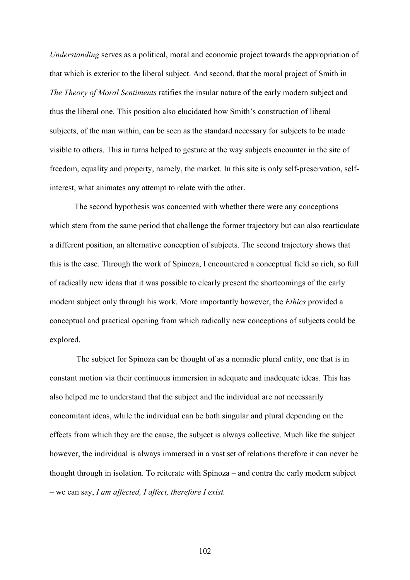*Understanding* serves as a political, moral and economic project towards the appropriation of that which is exterior to the liberal subject. And second, that the moral project of Smith in *The Theory of Moral Sentiments* ratifies the insular nature of the early modern subject and thus the liberal one. This position also elucidated how Smith's construction of liberal subjects, of the man within, can be seen as the standard necessary for subjects to be made visible to others. This in turns helped to gesture at the way subjects encounter in the site of freedom, equality and property, namely, the market. In this site is only self-preservation, selfinterest, what animates any attempt to relate with the other.

The second hypothesis was concerned with whether there were any conceptions which stem from the same period that challenge the former trajectory but can also rearticulate a different position, an alternative conception of subjects. The second trajectory shows that this is the case. Through the work of Spinoza, I encountered a conceptual field so rich, so full of radically new ideas that it was possible to clearly present the shortcomings of the early modern subject only through his work. More importantly however, the *Ethics* provided a conceptual and practical opening from which radically new conceptions of subjects could be explored.

The subject for Spinoza can be thought of as a nomadic plural entity, one that is in constant motion via their continuous immersion in adequate and inadequate ideas. This has also helped me to understand that the subject and the individual are not necessarily concomitant ideas, while the individual can be both singular and plural depending on the effects from which they are the cause, the subject is always collective. Much like the subject however, the individual is always immersed in a vast set of relations therefore it can never be thought through in isolation. To reiterate with Spinoza – and contra the early modern subject – we can say, *I am affected, I affect, therefore I exist.*

102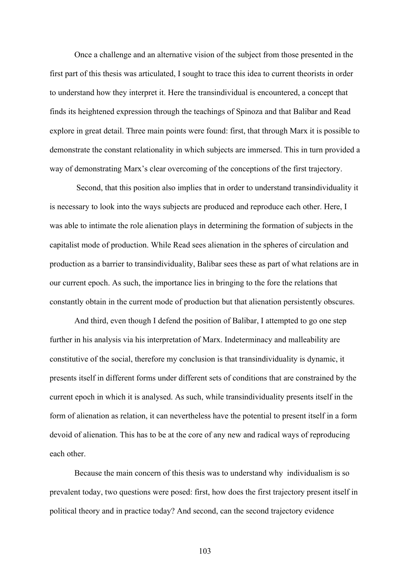Once a challenge and an alternative vision of the subject from those presented in the first part of this thesis was articulated, I sought to trace this idea to current theorists in order to understand how they interpret it. Here the transindividual is encountered, a concept that finds its heightened expression through the teachings of Spinoza and that Balibar and Read explore in great detail. Three main points were found: first, that through Marx it is possible to demonstrate the constant relationality in which subjects are immersed. This in turn provided a way of demonstrating Marx's clear overcoming of the conceptions of the first trajectory.

Second, that this position also implies that in order to understand transindividuality it is necessary to look into the ways subjects are produced and reproduce each other. Here, I was able to intimate the role alienation plays in determining the formation of subjects in the capitalist mode of production. While Read sees alienation in the spheres of circulation and production as a barrier to transindividuality, Balibar sees these as part of what relations are in our current epoch. As such, the importance lies in bringing to the fore the relations that constantly obtain in the current mode of production but that alienation persistently obscures.

And third, even though I defend the position of Balibar, I attempted to go one step further in his analysis via his interpretation of Marx. Indeterminacy and malleability are constitutive of the social, therefore my conclusion is that transindividuality is dynamic, it presents itself in different forms under different sets of conditions that are constrained by the current epoch in which it is analysed. As such, while transindividuality presents itself in the form of alienation as relation, it can nevertheless have the potential to present itself in a form devoid of alienation. This has to be at the core of any new and radical ways of reproducing each other.

Because the main concern of this thesis was to understand why individualism is so prevalent today, two questions were posed: first, how does the first trajectory present itself in political theory and in practice today? And second, can the second trajectory evidence

103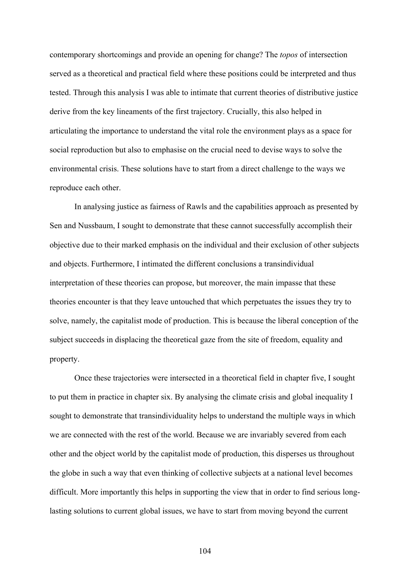contemporary shortcomings and provide an opening for change? The *topos* of intersection served as a theoretical and practical field where these positions could be interpreted and thus tested. Through this analysis I was able to intimate that current theories of distributive justice derive from the key lineaments of the first trajectory. Crucially, this also helped in articulating the importance to understand the vital role the environment plays as a space for social reproduction but also to emphasise on the crucial need to devise ways to solve the environmental crisis. These solutions have to start from a direct challenge to the ways we reproduce each other.

In analysing justice as fairness of Rawls and the capabilities approach as presented by Sen and Nussbaum, I sought to demonstrate that these cannot successfully accomplish their objective due to their marked emphasis on the individual and their exclusion of other subjects and objects. Furthermore, I intimated the different conclusions a transindividual interpretation of these theories can propose, but moreover, the main impasse that these theories encounter is that they leave untouched that which perpetuates the issues they try to solve, namely, the capitalist mode of production. This is because the liberal conception of the subject succeeds in displacing the theoretical gaze from the site of freedom, equality and property.

Once these trajectories were intersected in a theoretical field in chapter five, I sought to put them in practice in chapter six. By analysing the climate crisis and global inequality I sought to demonstrate that transindividuality helps to understand the multiple ways in which we are connected with the rest of the world. Because we are invariably severed from each other and the object world by the capitalist mode of production, this disperses us throughout the globe in such a way that even thinking of collective subjects at a national level becomes difficult. More importantly this helps in supporting the view that in order to find serious longlasting solutions to current global issues, we have to start from moving beyond the current

104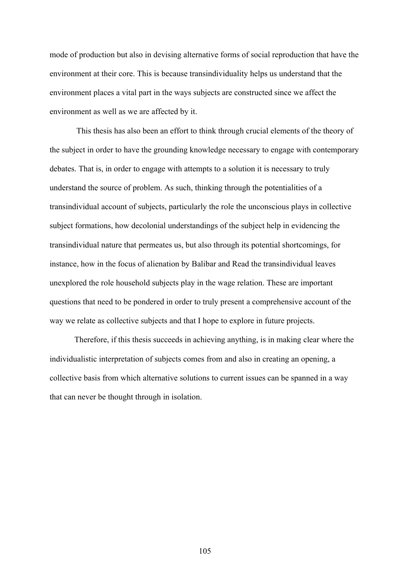mode of production but also in devising alternative forms of social reproduction that have the environment at their core. This is because transindividuality helps us understand that the environment places a vital part in the ways subjects are constructed since we affect the environment as well as we are affected by it.

This thesis has also been an effort to think through crucial elements of the theory of the subject in order to have the grounding knowledge necessary to engage with contemporary debates. That is, in order to engage with attempts to a solution it is necessary to truly understand the source of problem. As such, thinking through the potentialities of a transindividual account of subjects, particularly the role the unconscious plays in collective subject formations, how decolonial understandings of the subject help in evidencing the transindividual nature that permeates us, but also through its potential shortcomings, for instance, how in the focus of alienation by Balibar and Read the transindividual leaves unexplored the role household subjects play in the wage relation. These are important questions that need to be pondered in order to truly present a comprehensive account of the way we relate as collective subjects and that I hope to explore in future projects.

Therefore, if this thesis succeeds in achieving anything, is in making clear where the individualistic interpretation of subjects comes from and also in creating an opening, a collective basis from which alternative solutions to current issues can be spanned in a way that can never be thought through in isolation.

105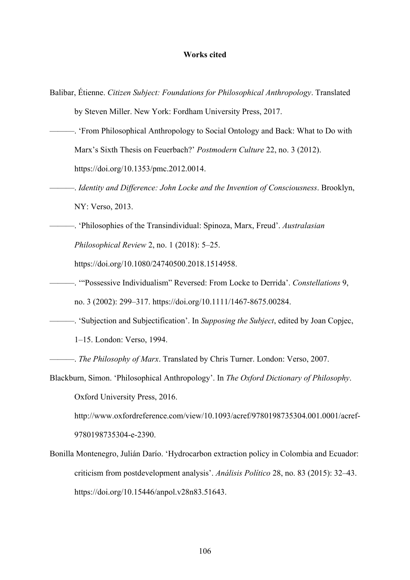## **Works cited**

- Balibar, Étienne. *Citizen Subject: Foundations for Philosophical Anthropology*. Translated by Steven Miller. New York: Fordham University Press, 2017.
- ———. 'From Philosophical Anthropology to Social Ontology and Back: What to Do with Marx's Sixth Thesis on Feuerbach?' *Postmodern Culture* 22, no. 3 (2012). https://doi.org/10.1353/pmc.2012.0014.
- ———. *Identity and Difference: John Locke and the Invention of Consciousness*. Brooklyn, NY: Verso, 2013.
- ———. 'Philosophies of the Transindividual: Spinoza, Marx, Freud'. *Australasian Philosophical Review* 2, no. 1 (2018): 5–25.

https://doi.org/10.1080/24740500.2018.1514958.

- ———. '"Possessive Individualism" Reversed: From Locke to Derrida'. *Constellations* 9, no. 3 (2002): 299–317. https://doi.org/10.1111/1467-8675.00284.
- ———. 'Subjection and Subjectification'. In *Supposing the Subject*, edited by Joan Copjec, 1–15. London: Verso, 1994.
- ———. *The Philosophy of Marx*. Translated by Chris Turner. London: Verso, 2007.
- Blackburn, Simon. 'Philosophical Anthropology'. In *The Oxford Dictionary of Philosophy*. Oxford University Press, 2016.

http://www.oxfordreference.com/view/10.1093/acref/9780198735304.001.0001/acref-9780198735304-e-2390.

Bonilla Montenegro, Julián Darío. 'Hydrocarbon extraction policy in Colombia and Ecuador: criticism from postdevelopment analysis'. *Análisis Político* 28, no. 83 (2015): 32–43. https://doi.org/10.15446/anpol.v28n83.51643.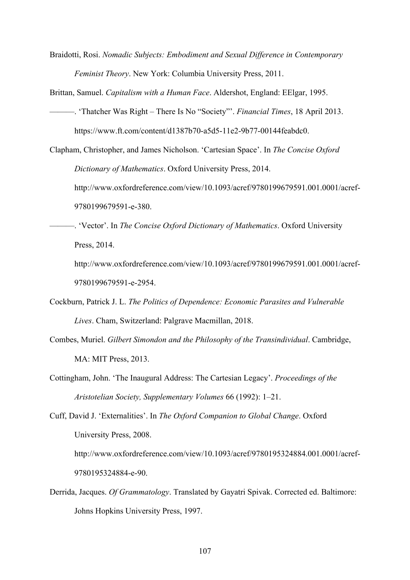Braidotti, Rosi. *Nomadic Subjects: Embodiment and Sexual Difference in Contemporary Feminist Theory*. New York: Columbia University Press, 2011.

Brittan, Samuel. *Capitalism with a Human Face*. Aldershot, England: EElgar, 1995.

- ———. 'Thatcher Was Right There Is No "Society"'. *Financial Times*, 18 April 2013. https://www.ft.com/content/d1387b70-a5d5-11e2-9b77-00144feabdc0.
- Clapham, Christopher, and James Nicholson. 'Cartesian Space'. In *The Concise Oxford Dictionary of Mathematics*. Oxford University Press, 2014.

http://www.oxfordreference.com/view/10.1093/acref/9780199679591.001.0001/acref-9780199679591-e-380.

———. 'Vector'. In *The Concise Oxford Dictionary of Mathematics*. Oxford University Press, 2014.

http://www.oxfordreference.com/view/10.1093/acref/9780199679591.001.0001/acref-9780199679591-e-2954.

- Cockburn, Patrick J. L. *The Politics of Dependence: Economic Parasites and Vulnerable Lives*. Cham, Switzerland: Palgrave Macmillan, 2018.
- Combes, Muriel. *Gilbert Simondon and the Philosophy of the Transindividual*. Cambridge, MA: MIT Press, 2013.
- Cottingham, John. 'The Inaugural Address: The Cartesian Legacy'. *Proceedings of the Aristotelian Society, Supplementary Volumes* 66 (1992): 1–21.
- Cuff, David J. 'Externalities'. In *The Oxford Companion to Global Change*. Oxford University Press, 2008.

http://www.oxfordreference.com/view/10.1093/acref/9780195324884.001.0001/acref-9780195324884-e-90.

Derrida, Jacques. *Of Grammatology*. Translated by Gayatri Spivak. Corrected ed. Baltimore: Johns Hopkins University Press, 1997.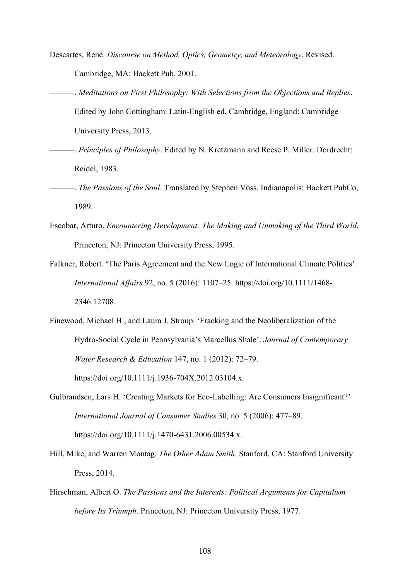- Descartes, René. *Discourse on Method, Optics, Geometry, and Meteorology*. Revised. Cambridge, MA: Hackett Pub, 2001.
- ———. *Meditations on First Philosophy: With Selections from the Objections and Replies*. Edited by John Cottingham. Latin-English ed. Cambridge, England: Cambridge University Press, 2013.
- ———. *Principles of Philosophy*. Edited by N. Kretzmann and Reese P. Miller. Dordrecht: Reidel, 1983.
- ———. *The Passions of the Soul*. Translated by Stephen Voss. Indianapolis: Hackett PubCo, 1989.
- Escobar, Arturo. *Encountering Development: The Making and Unmaking of the Third World*. Princeton, NJ: Princeton University Press, 1995.
- Falkner, Robert. 'The Paris Agreement and the New Logic of International Climate Politics'. *International Affairs* 92, no. 5 (2016): 1107–25. https://doi.org/10.1111/1468- 2346.12708.
- Finewood, Michael H., and Laura J. Stroup. 'Fracking and the Neoliberalization of the Hydro-Social Cycle in Pennsylvania's Marcellus Shale'. *Journal of Contemporary Water Research & Education* 147, no. 1 (2012): 72–79. https://doi.org/10.1111/j.1936-704X.2012.03104.x.
- Gulbrandsen, Lars H. 'Creating Markets for Eco-Labelling: Are Consumers Insignificant?' *International Journal of Consumer Studies* 30, no. 5 (2006): 477–89. https://doi.org/10.1111/j.1470-6431.2006.00534.x.
- Hill, Mike, and Warren Montag. *The Other Adam Smith*. Stanford, CA: Stanford University Press, 2014.
- Hirschman, Albert O. *The Passions and the Interests: Political Arguments for Capitalism before Its Triumph*. Princeton, NJ: Princeton University Press, 1977.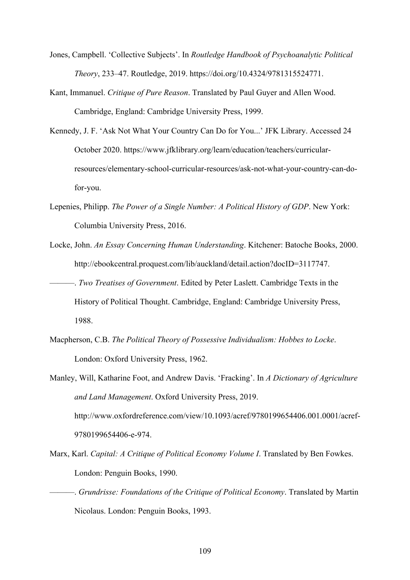- Jones, Campbell. 'Collective Subjects'. In *Routledge Handbook of Psychoanalytic Political Theory*, 233–47. Routledge, 2019. https://doi.org/10.4324/9781315524771.
- Kant, Immanuel. *Critique of Pure Reason*. Translated by Paul Guyer and Allen Wood. Cambridge, England: Cambridge University Press, 1999.
- Kennedy, J. F. 'Ask Not What Your Country Can Do for You...' JFK Library. Accessed 24 October 2020. https://www.jfklibrary.org/learn/education/teachers/curricularresources/elementary-school-curricular-resources/ask-not-what-your-country-can-dofor-you.
- Lepenies, Philipp. *The Power of a Single Number: A Political History of GDP*. New York: Columbia University Press, 2016.
- Locke, John. *An Essay Concerning Human Understanding*. Kitchener: Batoche Books, 2000. http://ebookcentral.proquest.com/lib/auckland/detail.action?docID=3117747.
- ———. *Two Treatises of Government*. Edited by Peter Laslett. Cambridge Texts in the History of Political Thought. Cambridge, England: Cambridge University Press, 1988.
- Macpherson, C.B. *The Political Theory of Possessive Individualism: Hobbes to Locke*. London: Oxford University Press, 1962.
- Manley, Will, Katharine Foot, and Andrew Davis. 'Fracking'. In *A Dictionary of Agriculture and Land Management*. Oxford University Press, 2019. http://www.oxfordreference.com/view/10.1093/acref/9780199654406.001.0001/acref-9780199654406-e-974.
- Marx, Karl. *Capital: A Critique of Political Economy Volume I*. Translated by Ben Fowkes. London: Penguin Books, 1990.
- ———. *Grundrisse: Foundations of the Critique of Political Economy*. Translated by Martin Nicolaus. London: Penguin Books, 1993.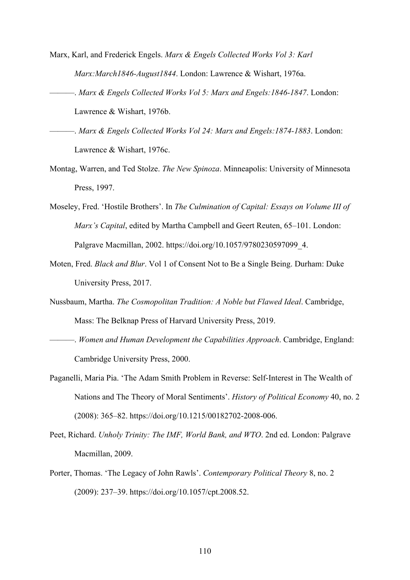- Marx, Karl, and Frederick Engels. *Marx & Engels Collected Works Vol 3: Karl Marx:March1846-August1844*. London: Lawrence & Wishart, 1976a.
- ———. *Marx & Engels Collected Works Vol 5: Marx and Engels:1846-1847*. London: Lawrence & Wishart, 1976b.
- ———. *Marx & Engels Collected Works Vol 24: Marx and Engels:1874-1883*. London: Lawrence & Wishart, 1976c.
- Montag, Warren, and Ted Stolze. *The New Spinoza*. Minneapolis: University of Minnesota Press, 1997.
- Moseley, Fred. 'Hostile Brothers'. In *The Culmination of Capital: Essays on Volume III of Marx's Capital*, edited by Martha Campbell and Geert Reuten, 65–101. London: Palgrave Macmillan, 2002. https://doi.org/10.1057/9780230597099\_4.
- Moten, Fred. *Black and Blur*. Vol 1 of Consent Not to Be a Single Being. Durham: Duke University Press, 2017.
- Nussbaum, Martha. *The Cosmopolitan Tradition: A Noble but Flawed Ideal*. Cambridge, Mass: The Belknap Press of Harvard University Press, 2019.
- ———. *Women and Human Development the Capabilities Approach*. Cambridge, England: Cambridge University Press, 2000.
- Paganelli, Maria Pia. 'The Adam Smith Problem in Reverse: Self-Interest in The Wealth of Nations and The Theory of Moral Sentiments'. *History of Political Economy* 40, no. 2 (2008): 365–82. https://doi.org/10.1215/00182702-2008-006.
- Peet, Richard. *Unholy Trinity: The IMF, World Bank, and WTO*. 2nd ed. London: Palgrave Macmillan, 2009.
- Porter, Thomas. 'The Legacy of John Rawls'. *Contemporary Political Theory* 8, no. 2 (2009): 237–39. https://doi.org/10.1057/cpt.2008.52.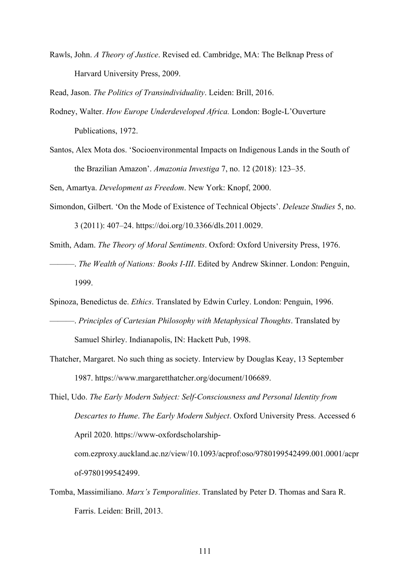Rawls, John. *A Theory of Justice*. Revised ed. Cambridge, MA: The Belknap Press of Harvard University Press, 2009.

Read, Jason. *The Politics of Transindividuality*. Leiden: Brill, 2016.

- Rodney, Walter. *How Europe Underdeveloped Africa.* London: Bogle-L'Ouverture Publications, 1972.
- Santos, Alex Mota dos. 'Socioenvironmental Impacts on Indigenous Lands in the South of the Brazilian Amazon'. *Amazonia Investiga* 7, no. 12 (2018): 123–35.

Sen, Amartya. *Development as Freedom*. New York: Knopf, 2000.

Simondon, Gilbert. 'On the Mode of Existence of Technical Objects'. *Deleuze Studies* 5, no. 3 (2011): 407–24. https://doi.org/10.3366/dls.2011.0029.

Smith, Adam. *The Theory of Moral Sentiments*. Oxford: Oxford University Press, 1976.

———. *The Wealth of Nations: Books I-III*. Edited by Andrew Skinner. London: Penguin, 1999.

Spinoza, Benedictus de. *Ethics*. Translated by Edwin Curley. London: Penguin, 1996.

- ———. *Principles of Cartesian Philosophy with Metaphysical Thoughts*. Translated by Samuel Shirley. Indianapolis, IN: Hackett Pub, 1998.
- Thatcher, Margaret. No such thing as society. Interview by Douglas Keay, 13 September 1987. https://www.margaretthatcher.org/document/106689.

Thiel, Udo. *The Early Modern Subject: Self-Consciousness and Personal Identity from Descartes to Hume*. *The Early Modern Subject*. Oxford University Press. Accessed 6 April 2020. https://www-oxfordscholarshipcom.ezproxy.auckland.ac.nz/view/10.1093/acprof:oso/9780199542499.001.0001/acpr of-9780199542499.

Tomba, Massimiliano. *Marx's Temporalities*. Translated by Peter D. Thomas and Sara R. Farris. Leiden: Brill, 2013.